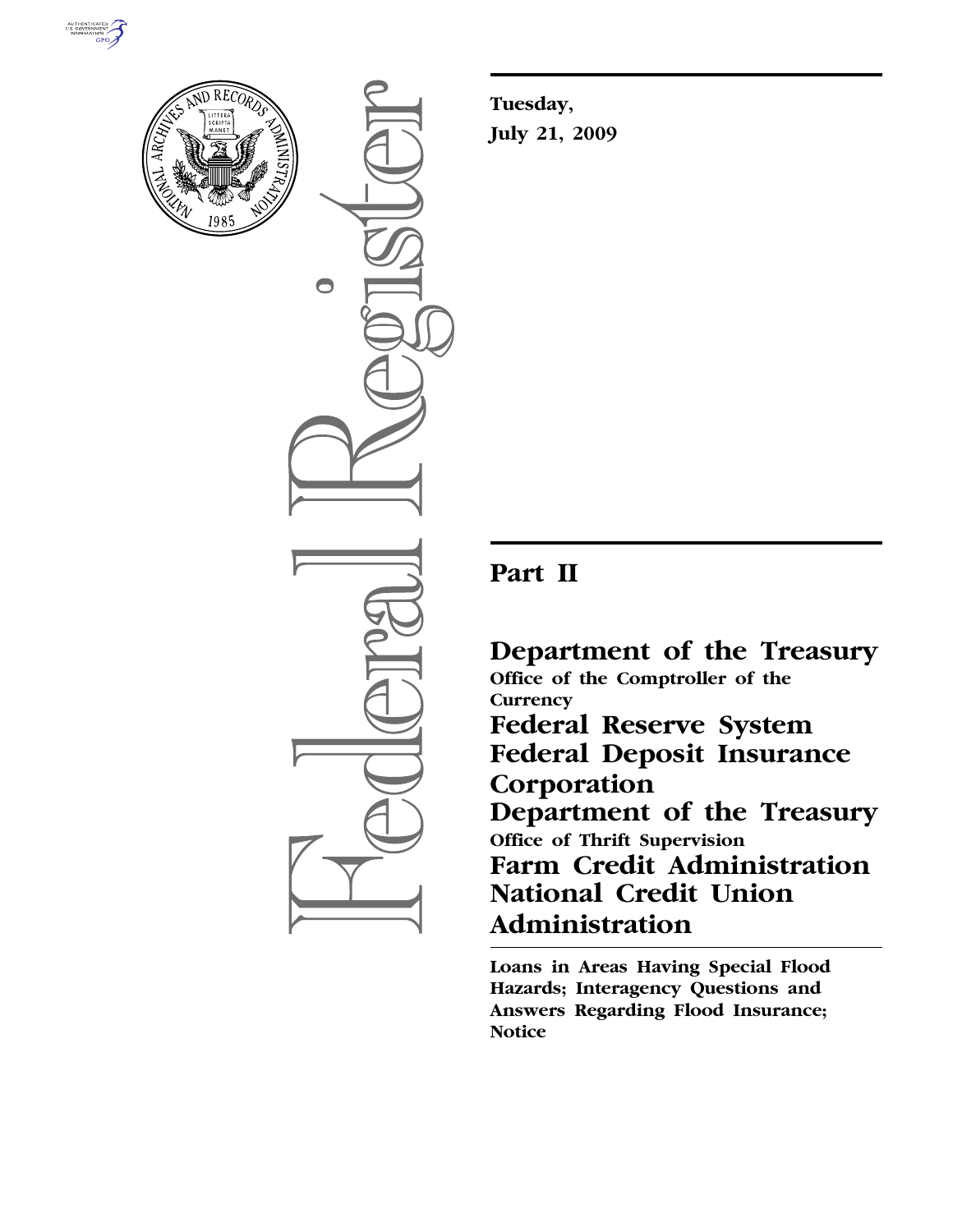



 $\bigcirc$ 

**Tuesday, July 21, 2009** 

# **Part II**

**Department of the Treasury Office of the Comptroller of the Currency Federal Reserve System Federal Deposit Insurance Corporation Department of the Treasury Office of Thrift Supervision Farm Credit Administration National Credit Union Administration** 

**Loans in Areas Having Special Flood Hazards; Interagency Questions and Answers Regarding Flood Insurance; Notice**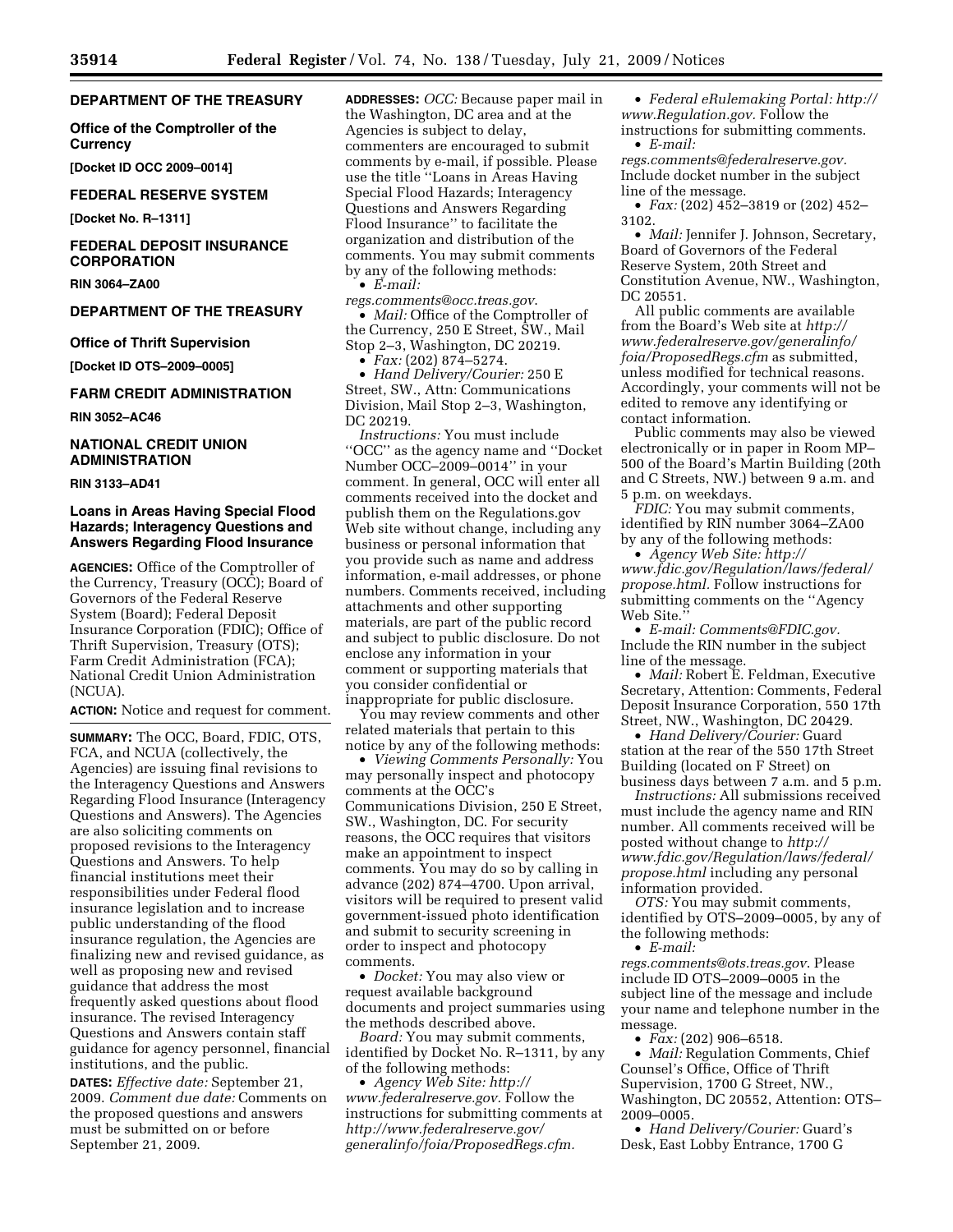## **DEPARTMENT OF THE TREASURY**

**Office of the Comptroller of the Currency** 

**[Docket ID OCC 2009–0014]** 

## **FEDERAL RESERVE SYSTEM**

**[Docket No. R–1311]** 

# **FEDERAL DEPOSIT INSURANCE CORPORATION**

**RIN 3064–ZA00** 

## **DEPARTMENT OF THE TREASURY**

#### **Office of Thrift Supervision**

**[Docket ID OTS–2009–0005]** 

## **FARM CREDIT ADMINISTRATION**

**RIN 3052–AC46** 

# **NATIONAL CREDIT UNION ADMINISTRATION**

**RIN 3133–AD41** 

# **Loans in Areas Having Special Flood Hazards; Interagency Questions and Answers Regarding Flood Insurance**

**AGENCIES:** Office of the Comptroller of the Currency, Treasury (OCC); Board of Governors of the Federal Reserve System (Board); Federal Deposit Insurance Corporation (FDIC); Office of Thrift Supervision, Treasury (OTS); Farm Credit Administration (FCA); National Credit Union Administration (NCUA).

**ACTION:** Notice and request for comment.

**SUMMARY:** The OCC, Board, FDIC, OTS, FCA, and NCUA (collectively, the Agencies) are issuing final revisions to the Interagency Questions and Answers Regarding Flood Insurance (Interagency Questions and Answers). The Agencies are also soliciting comments on proposed revisions to the Interagency Questions and Answers. To help financial institutions meet their responsibilities under Federal flood insurance legislation and to increase public understanding of the flood insurance regulation, the Agencies are finalizing new and revised guidance, as well as proposing new and revised guidance that address the most frequently asked questions about flood insurance. The revised Interagency Questions and Answers contain staff guidance for agency personnel, financial institutions, and the public.

**DATES:** *Effective date:* September 21, 2009. *Comment due date:* Comments on the proposed questions and answers must be submitted on or before September 21, 2009.

**ADDRESSES:** *OCC:* Because paper mail in the Washington, DC area and at the Agencies is subject to delay, commenters are encouraged to submit comments by e-mail, if possible. Please use the title ''Loans in Areas Having Special Flood Hazards; Interagency Questions and Answers Regarding Flood Insurance'' to facilitate the organization and distribution of the comments. You may submit comments by any of the following methods: • *E-mail:* 

*regs.comments@occ.treas.gov*.

• *Mail:* Office of the Comptroller of the Currency, 250 E Street, SW., Mail Stop 2–3, Washington, DC 20219. • *Fax:* (202) 874–5274.

• *Hand Delivery/Courier:* 250 E

Street, SW., Attn: Communications Division, Mail Stop 2–3, Washington, DC 20219.

*Instructions:* You must include ''OCC'' as the agency name and ''Docket Number OCC–2009–0014'' in your comment. In general, OCC will enter all comments received into the docket and publish them on the Regulations.gov Web site without change, including any business or personal information that you provide such as name and address information, e-mail addresses, or phone numbers. Comments received, including attachments and other supporting materials, are part of the public record and subject to public disclosure. Do not enclose any information in your comment or supporting materials that you consider confidential or inappropriate for public disclosure.

You may review comments and other related materials that pertain to this notice by any of the following methods:

• *Viewing Comments Personally:* You may personally inspect and photocopy comments at the OCC's Communications Division, 250 E Street, SW., Washington, DC. For security reasons, the OCC requires that visitors make an appointment to inspect comments. You may do so by calling in advance (202) 874–4700. Upon arrival, visitors will be required to present valid government-issued photo identification and submit to security screening in order to inspect and photocopy comments.

• *Docket:* You may also view or request available background documents and project summaries using the methods described above.

*Board:* You may submit comments, identified by Docket No. R–1311, by any of the following methods:

• *Agency Web Site: http:// www.federalreserve.gov.* Follow the instructions for submitting comments at *http://www.federalreserve.gov/ generalinfo/foia/ProposedRegs.cfm.* 

• *Federal eRulemaking Portal: http:// www.Regulation.gov.* Follow the instructions for submitting comments.

• *E-mail: regs.comments@federalreserve.gov.*  Include docket number in the subject line of the message.

• *Fax:* (202) 452–3819 or (202) 452– 3102.

• *Mail:* Jennifer J. Johnson, Secretary, Board of Governors of the Federal Reserve System, 20th Street and Constitution Avenue, NW., Washington, DC 20551.

All public comments are available from the Board's Web site at *http:// www.federalreserve.gov/generalinfo/ foia/ProposedRegs.cfm* as submitted, unless modified for technical reasons. Accordingly, your comments will not be edited to remove any identifying or contact information.

Public comments may also be viewed electronically or in paper in Room MP– 500 of the Board's Martin Building (20th and C Streets, NW.) between 9 a.m. and 5 p.m. on weekdays.

*FDIC:* You may submit comments, identified by RIN number 3064–ZA00 by any of the following methods:

• *Agency Web Site: http:// www.fdic.gov/Regulation/laws/federal/ propose.html.* Follow instructions for submitting comments on the ''Agency Web Site.

• *E-mail: Comments@FDIC.gov.*  Include the RIN number in the subject line of the message.

• *Mail:* Robert E. Feldman, Executive Secretary, Attention: Comments, Federal Deposit Insurance Corporation, 550 17th Street, NW., Washington, DC 20429.

• *Hand Delivery/Courier:* Guard station at the rear of the 550 17th Street Building (located on F Street) on business days between 7 a.m. and 5 p.m.

*Instructions:* All submissions received must include the agency name and RIN number. All comments received will be posted without change to *http:// www.fdic.gov/Regulation/laws/federal/ propose.html* including any personal information provided.

*OTS:* You may submit comments, identified by OTS–2009–0005, by any of the following methods:

• *E-mail:* 

*regs.comments@ots.treas.gov*. Please include ID OTS–2009–0005 in the subject line of the message and include your name and telephone number in the message.

• *Fax:* (202) 906–6518.

• *Mail:* Regulation Comments, Chief Counsel's Office, Office of Thrift Supervision, 1700 G Street, NW., Washington, DC 20552, Attention: OTS– 2009–0005.

• *Hand Delivery/Courier:* Guard's Desk, East Lobby Entrance, 1700 G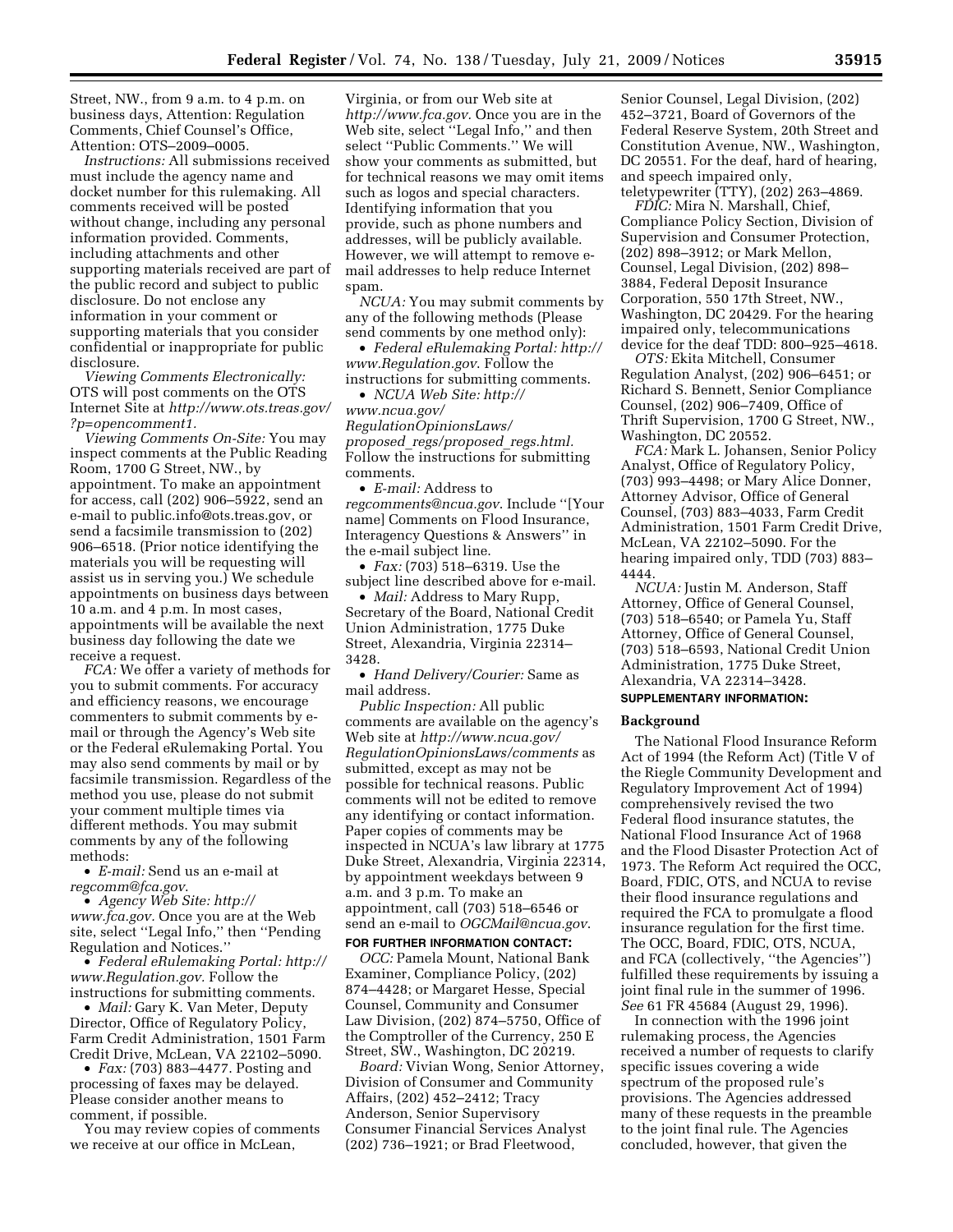Street, NW., from 9 a.m. to 4 p.m. on business days, Attention: Regulation Comments, Chief Counsel's Office, Attention: OTS–2009–0005.

*Instructions:* All submissions received must include the agency name and docket number for this rulemaking. All comments received will be posted without change, including any personal information provided. Comments, including attachments and other supporting materials received are part of the public record and subject to public disclosure. Do not enclose any information in your comment or supporting materials that you consider confidential or inappropriate for public disclosure.

*Viewing Comments Electronically:*  OTS will post comments on the OTS Internet Site at *http://www.ots.treas.gov/ ?p=opencomment1.* 

*Viewing Comments On-Site:* You may inspect comments at the Public Reading Room, 1700 G Street, NW., by appointment. To make an appointment for access, call (202) 906–5922, send an e-mail to public.info@ots.treas.gov, or send a facsimile transmission to (202) 906–6518. (Prior notice identifying the materials you will be requesting will assist us in serving you.) We schedule appointments on business days between 10 a.m. and 4 p.m. In most cases, appointments will be available the next business day following the date we receive a request.

*FCA:* We offer a variety of methods for you to submit comments. For accuracy and efficiency reasons, we encourage commenters to submit comments by email or through the Agency's Web site or the Federal eRulemaking Portal. You may also send comments by mail or by facsimile transmission. Regardless of the method you use, please do not submit your comment multiple times via different methods. You may submit comments by any of the following methods:

• *E-mail:* Send us an e-mail at *regcomm@fca.gov*.

• *Agency Web Site: http:// www.fca.gov.* Once you are at the Web site, select ''Legal Info,'' then ''Pending Regulation and Notices.''

• *Federal eRulemaking Portal: http:// www.Regulation.gov.* Follow the instructions for submitting comments.

• *Mail:* Gary K. Van Meter, Deputy Director, Office of Regulatory Policy, Farm Credit Administration, 1501 Farm Credit Drive, McLean, VA 22102–5090.

• *Fax:* (703) 883–4477. Posting and processing of faxes may be delayed. Please consider another means to comment, if possible.

You may review copies of comments we receive at our office in McLean,

Virginia, or from our Web site at *http://www.fca.gov.* Once you are in the Web site, select ''Legal Info,'' and then select ''Public Comments.'' We will show your comments as submitted, but for technical reasons we may omit items such as logos and special characters. Identifying information that you provide, such as phone numbers and addresses, will be publicly available. However, we will attempt to remove email addresses to help reduce Internet spam.

*NCUA:* You may submit comments by any of the following methods (Please send comments by one method only):

• *Federal eRulemaking Portal: http:// www.Regulation.gov*. Follow the instructions for submitting comments.

• *NCUA Web Site: http:// www.ncua.gov/ RegulationOpinionsLaws/ proposed*\_*regs/proposed*\_*regs.html.*  Follow the instructions for submitting comments.

• *E-mail:* Address to *regcomments@ncua.gov*. Include ''[Your name] Comments on Flood Insurance, Interagency Questions & Answers'' in the e-mail subject line.

• *Fax:* (703) 518–6319. Use the subject line described above for e-mail.

• *Mail:* Address to Mary Rupp Secretary of the Board, National Credit Union Administration, 1775 Duke Street, Alexandria, Virginia 22314– 3428.

• *Hand Delivery/Courier:* Same as mail address.

*Public Inspection:* All public comments are available on the agency's Web site at *http://www.ncua.gov/ RegulationOpinionsLaws/comments* as submitted, except as may not be possible for technical reasons. Public comments will not be edited to remove any identifying or contact information. Paper copies of comments may be inspected in NCUA's law library at 1775 Duke Street, Alexandria, Virginia 22314, by appointment weekdays between 9 a.m. and 3 p.m. To make an appointment, call (703) 518–6546 or send an e-mail to *OGCMail@ncua.gov*.

#### **FOR FURTHER INFORMATION CONTACT:**

*OCC:* Pamela Mount, National Bank Examiner, Compliance Policy, (202) 874–4428; or Margaret Hesse, Special Counsel, Community and Consumer Law Division, (202) 874–5750, Office of the Comptroller of the Currency, 250 E Street, SW., Washington, DC 20219.

*Board:* Vivian Wong, Senior Attorney, Division of Consumer and Community Affairs, (202) 452–2412; Tracy Anderson, Senior Supervisory Consumer Financial Services Analyst (202) 736–1921; or Brad Fleetwood,

Senior Counsel, Legal Division, (202) 452–3721, Board of Governors of the Federal Reserve System, 20th Street and Constitution Avenue, NW., Washington, DC 20551. For the deaf, hard of hearing, and speech impaired only, teletypewriter (TTY), (202) 263–4869.

*FDIC:* Mira N. Marshall, Chief, Compliance Policy Section, Division of Supervision and Consumer Protection, (202) 898–3912; or Mark Mellon, Counsel, Legal Division, (202) 898– 3884, Federal Deposit Insurance Corporation, 550 17th Street, NW., Washington, DC 20429. For the hearing impaired only, telecommunications device for the deaf TDD: 800–925–4618.

*OTS:* Ekita Mitchell, Consumer Regulation Analyst, (202) 906–6451; or Richard S. Bennett, Senior Compliance Counsel, (202) 906–7409, Office of Thrift Supervision, 1700 G Street, NW., Washington, DC 20552.

*FCA:* Mark L. Johansen, Senior Policy Analyst, Office of Regulatory Policy, (703) 993–4498; or Mary Alice Donner, Attorney Advisor, Office of General Counsel, (703) 883–4033, Farm Credit Administration, 1501 Farm Credit Drive, McLean, VA 22102–5090. For the hearing impaired only, TDD (703) 883– 4444.

*NCUA:* Justin M. Anderson, Staff Attorney, Office of General Counsel, (703) 518–6540; or Pamela Yu, Staff Attorney, Office of General Counsel, (703) 518–6593, National Credit Union Administration, 1775 Duke Street, Alexandria, VA 22314–3428.

# **SUPPLEMENTARY INFORMATION:**

#### **Background**

The National Flood Insurance Reform Act of 1994 (the Reform Act) (Title V of the Riegle Community Development and Regulatory Improvement Act of 1994) comprehensively revised the two Federal flood insurance statutes, the National Flood Insurance Act of 1968 and the Flood Disaster Protection Act of 1973. The Reform Act required the OCC, Board, FDIC, OTS, and NCUA to revise their flood insurance regulations and required the FCA to promulgate a flood insurance regulation for the first time. The OCC, Board, FDIC, OTS, NCUA, and FCA (collectively, ''the Agencies'') fulfilled these requirements by issuing a joint final rule in the summer of 1996. *See* 61 FR 45684 (August 29, 1996).

In connection with the 1996 joint rulemaking process, the Agencies received a number of requests to clarify specific issues covering a wide spectrum of the proposed rule's provisions. The Agencies addressed many of these requests in the preamble to the joint final rule. The Agencies concluded, however, that given the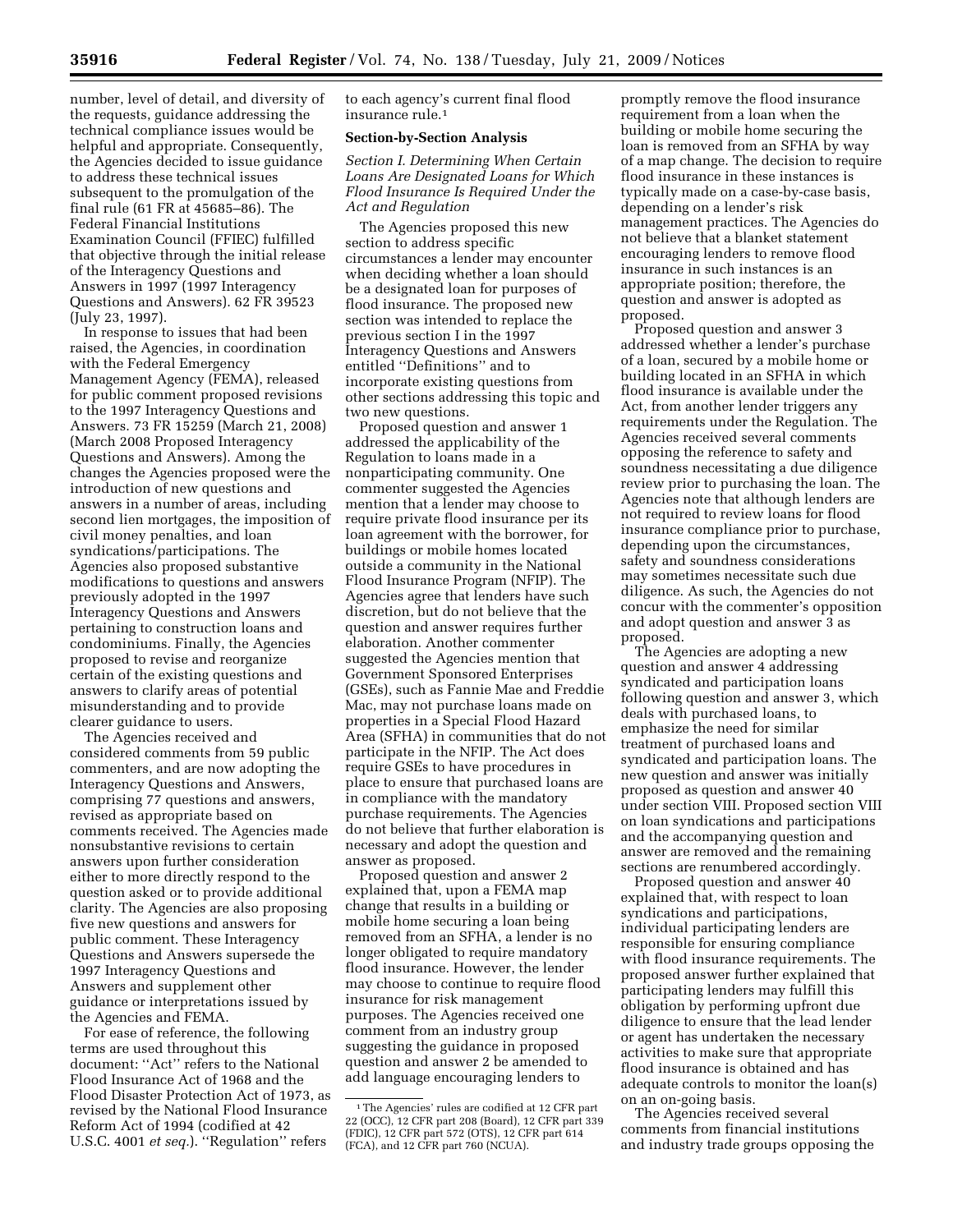number, level of detail, and diversity of the requests, guidance addressing the technical compliance issues would be helpful and appropriate. Consequently, the Agencies decided to issue guidance to address these technical issues subsequent to the promulgation of the final rule (61 FR at 45685–86). The Federal Financial Institutions Examination Council (FFIEC) fulfilled that objective through the initial release of the Interagency Questions and Answers in 1997 (1997 Interagency Questions and Answers). 62 FR 39523 (July 23, 1997).

In response to issues that had been raised, the Agencies, in coordination with the Federal Emergency Management Agency (FEMA), released for public comment proposed revisions to the 1997 Interagency Questions and Answers. 73 FR 15259 (March 21, 2008) (March 2008 Proposed Interagency Questions and Answers). Among the changes the Agencies proposed were the introduction of new questions and answers in a number of areas, including second lien mortgages, the imposition of civil money penalties, and loan syndications/participations. The Agencies also proposed substantive modifications to questions and answers previously adopted in the 1997 Interagency Questions and Answers pertaining to construction loans and condominiums. Finally, the Agencies proposed to revise and reorganize certain of the existing questions and answers to clarify areas of potential misunderstanding and to provide clearer guidance to users.

The Agencies received and considered comments from 59 public commenters, and are now adopting the Interagency Questions and Answers, comprising 77 questions and answers, revised as appropriate based on comments received. The Agencies made nonsubstantive revisions to certain answers upon further consideration either to more directly respond to the question asked or to provide additional clarity. The Agencies are also proposing five new questions and answers for public comment. These Interagency Questions and Answers supersede the 1997 Interagency Questions and Answers and supplement other guidance or interpretations issued by the Agencies and FEMA.

For ease of reference, the following terms are used throughout this document: ''Act'' refers to the National Flood Insurance Act of 1968 and the Flood Disaster Protection Act of 1973, as revised by the National Flood Insurance Reform Act of 1994 (codified at 42 U.S.C. 4001 *et seq.*). ''Regulation'' refers

to each agency's current final flood insurance rule.1

## **Section-by-Section Analysis**

*Section I. Determining When Certain Loans Are Designated Loans for Which Flood Insurance Is Required Under the Act and Regulation* 

The Agencies proposed this new section to address specific circumstances a lender may encounter when deciding whether a loan should be a designated loan for purposes of flood insurance. The proposed new section was intended to replace the previous section I in the 1997 Interagency Questions and Answers entitled ''Definitions'' and to incorporate existing questions from other sections addressing this topic and two new questions.

Proposed question and answer 1 addressed the applicability of the Regulation to loans made in a nonparticipating community. One commenter suggested the Agencies mention that a lender may choose to require private flood insurance per its loan agreement with the borrower, for buildings or mobile homes located outside a community in the National Flood Insurance Program (NFIP). The Agencies agree that lenders have such discretion, but do not believe that the question and answer requires further elaboration. Another commenter suggested the Agencies mention that Government Sponsored Enterprises (GSEs), such as Fannie Mae and Freddie Mac, may not purchase loans made on properties in a Special Flood Hazard Area (SFHA) in communities that do not participate in the NFIP. The Act does require GSEs to have procedures in place to ensure that purchased loans are in compliance with the mandatory purchase requirements. The Agencies do not believe that further elaboration is necessary and adopt the question and answer as proposed.

Proposed question and answer 2 explained that, upon a FEMA map change that results in a building or mobile home securing a loan being removed from an SFHA, a lender is no longer obligated to require mandatory flood insurance. However, the lender may choose to continue to require flood insurance for risk management purposes. The Agencies received one comment from an industry group suggesting the guidance in proposed question and answer 2 be amended to add language encouraging lenders to

promptly remove the flood insurance requirement from a loan when the building or mobile home securing the loan is removed from an SFHA by way of a map change. The decision to require flood insurance in these instances is typically made on a case-by-case basis, depending on a lender's risk management practices. The Agencies do not believe that a blanket statement encouraging lenders to remove flood insurance in such instances is an appropriate position; therefore, the question and answer is adopted as proposed.

Proposed question and answer 3 addressed whether a lender's purchase of a loan, secured by a mobile home or building located in an SFHA in which flood insurance is available under the Act, from another lender triggers any requirements under the Regulation. The Agencies received several comments opposing the reference to safety and soundness necessitating a due diligence review prior to purchasing the loan. The Agencies note that although lenders are not required to review loans for flood insurance compliance prior to purchase, depending upon the circumstances, safety and soundness considerations may sometimes necessitate such due diligence. As such, the Agencies do not concur with the commenter's opposition and adopt question and answer 3 as proposed.

The Agencies are adopting a new question and answer 4 addressing syndicated and participation loans following question and answer 3, which deals with purchased loans, to emphasize the need for similar treatment of purchased loans and syndicated and participation loans. The new question and answer was initially proposed as question and answer 40 under section VIII. Proposed section VIII on loan syndications and participations and the accompanying question and answer are removed and the remaining sections are renumbered accordingly.

Proposed question and answer 40 explained that, with respect to loan syndications and participations, individual participating lenders are responsible for ensuring compliance with flood insurance requirements. The proposed answer further explained that participating lenders may fulfill this obligation by performing upfront due diligence to ensure that the lead lender or agent has undertaken the necessary activities to make sure that appropriate flood insurance is obtained and has adequate controls to monitor the loan(s) on an on-going basis.

The Agencies received several comments from financial institutions and industry trade groups opposing the

<sup>1</sup>The Agencies' rules are codified at 12 CFR part 22 (OCC), 12 CFR part 208 (Board), 12 CFR part 339 (FDIC), 12 CFR part 572 (OTS), 12 CFR part 614 (FCA), and 12 CFR part 760 (NCUA).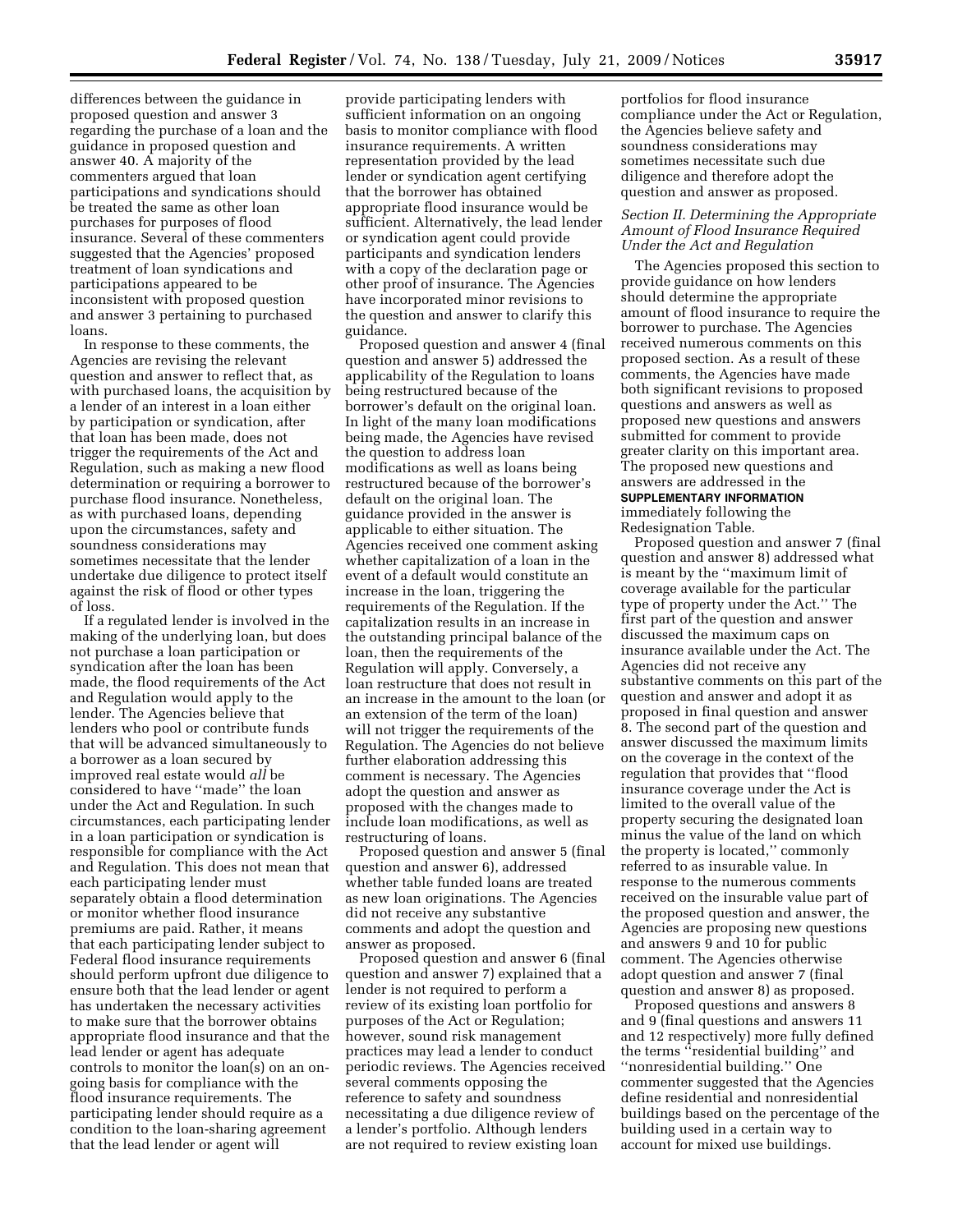differences between the guidance in proposed question and answer 3 regarding the purchase of a loan and the guidance in proposed question and answer 40. A majority of the commenters argued that loan participations and syndications should be treated the same as other loan purchases for purposes of flood insurance. Several of these commenters suggested that the Agencies' proposed treatment of loan syndications and participations appeared to be inconsistent with proposed question and answer 3 pertaining to purchased loans.

In response to these comments, the Agencies are revising the relevant question and answer to reflect that, as with purchased loans, the acquisition by a lender of an interest in a loan either by participation or syndication, after that loan has been made, does not trigger the requirements of the Act and Regulation, such as making a new flood determination or requiring a borrower to purchase flood insurance. Nonetheless, as with purchased loans, depending upon the circumstances, safety and soundness considerations may sometimes necessitate that the lender undertake due diligence to protect itself against the risk of flood or other types of loss.

If a regulated lender is involved in the making of the underlying loan, but does not purchase a loan participation or syndication after the loan has been made, the flood requirements of the Act and Regulation would apply to the lender. The Agencies believe that lenders who pool or contribute funds that will be advanced simultaneously to a borrower as a loan secured by improved real estate would *all* be considered to have ''made'' the loan under the Act and Regulation. In such circumstances, each participating lender in a loan participation or syndication is responsible for compliance with the Act and Regulation. This does not mean that each participating lender must separately obtain a flood determination or monitor whether flood insurance premiums are paid. Rather, it means that each participating lender subject to Federal flood insurance requirements should perform upfront due diligence to ensure both that the lead lender or agent has undertaken the necessary activities to make sure that the borrower obtains appropriate flood insurance and that the lead lender or agent has adequate controls to monitor the loan(s) on an ongoing basis for compliance with the flood insurance requirements. The participating lender should require as a condition to the loan-sharing agreement that the lead lender or agent will

provide participating lenders with sufficient information on an ongoing basis to monitor compliance with flood insurance requirements. A written representation provided by the lead lender or syndication agent certifying that the borrower has obtained appropriate flood insurance would be sufficient. Alternatively, the lead lender or syndication agent could provide participants and syndication lenders with a copy of the declaration page or other proof of insurance. The Agencies have incorporated minor revisions to the question and answer to clarify this guidance.

Proposed question and answer 4 (final question and answer 5) addressed the applicability of the Regulation to loans being restructured because of the borrower's default on the original loan. In light of the many loan modifications being made, the Agencies have revised the question to address loan modifications as well as loans being restructured because of the borrower's default on the original loan. The guidance provided in the answer is applicable to either situation. The Agencies received one comment asking whether capitalization of a loan in the event of a default would constitute an increase in the loan, triggering the requirements of the Regulation. If the capitalization results in an increase in the outstanding principal balance of the loan, then the requirements of the Regulation will apply. Conversely, a loan restructure that does not result in an increase in the amount to the loan (or an extension of the term of the loan) will not trigger the requirements of the Regulation. The Agencies do not believe further elaboration addressing this comment is necessary. The Agencies adopt the question and answer as proposed with the changes made to include loan modifications, as well as restructuring of loans.

Proposed question and answer 5 (final question and answer 6), addressed whether table funded loans are treated as new loan originations. The Agencies did not receive any substantive comments and adopt the question and answer as proposed.

Proposed question and answer 6 (final question and answer 7) explained that a lender is not required to perform a review of its existing loan portfolio for purposes of the Act or Regulation; however, sound risk management practices may lead a lender to conduct periodic reviews. The Agencies received several comments opposing the reference to safety and soundness necessitating a due diligence review of a lender's portfolio. Although lenders are not required to review existing loan

portfolios for flood insurance compliance under the Act or Regulation, the Agencies believe safety and soundness considerations may sometimes necessitate such due diligence and therefore adopt the question and answer as proposed.

# *Section II. Determining the Appropriate Amount of Flood Insurance Required Under the Act and Regulation*

The Agencies proposed this section to provide guidance on how lenders should determine the appropriate amount of flood insurance to require the borrower to purchase. The Agencies received numerous comments on this proposed section. As a result of these comments, the Agencies have made both significant revisions to proposed questions and answers as well as proposed new questions and answers submitted for comment to provide greater clarity on this important area. The proposed new questions and answers are addressed in the **SUPPLEMENTARY INFORMATION** immediately following the Redesignation Table.

Proposed question and answer 7 (final question and answer 8) addressed what is meant by the ''maximum limit of coverage available for the particular type of property under the Act.'' The first part of the question and answer discussed the maximum caps on insurance available under the Act. The Agencies did not receive any substantive comments on this part of the question and answer and adopt it as proposed in final question and answer 8. The second part of the question and answer discussed the maximum limits on the coverage in the context of the regulation that provides that ''flood insurance coverage under the Act is limited to the overall value of the property securing the designated loan minus the value of the land on which the property is located,'' commonly referred to as insurable value. In response to the numerous comments received on the insurable value part of the proposed question and answer, the Agencies are proposing new questions and answers 9 and 10 for public comment. The Agencies otherwise adopt question and answer 7 (final question and answer 8) as proposed.

Proposed questions and answers 8 and 9 (final questions and answers 11 and 12 respectively) more fully defined the terms ''residential building'' and ''nonresidential building.'' One commenter suggested that the Agencies define residential and nonresidential buildings based on the percentage of the building used in a certain way to account for mixed use buildings.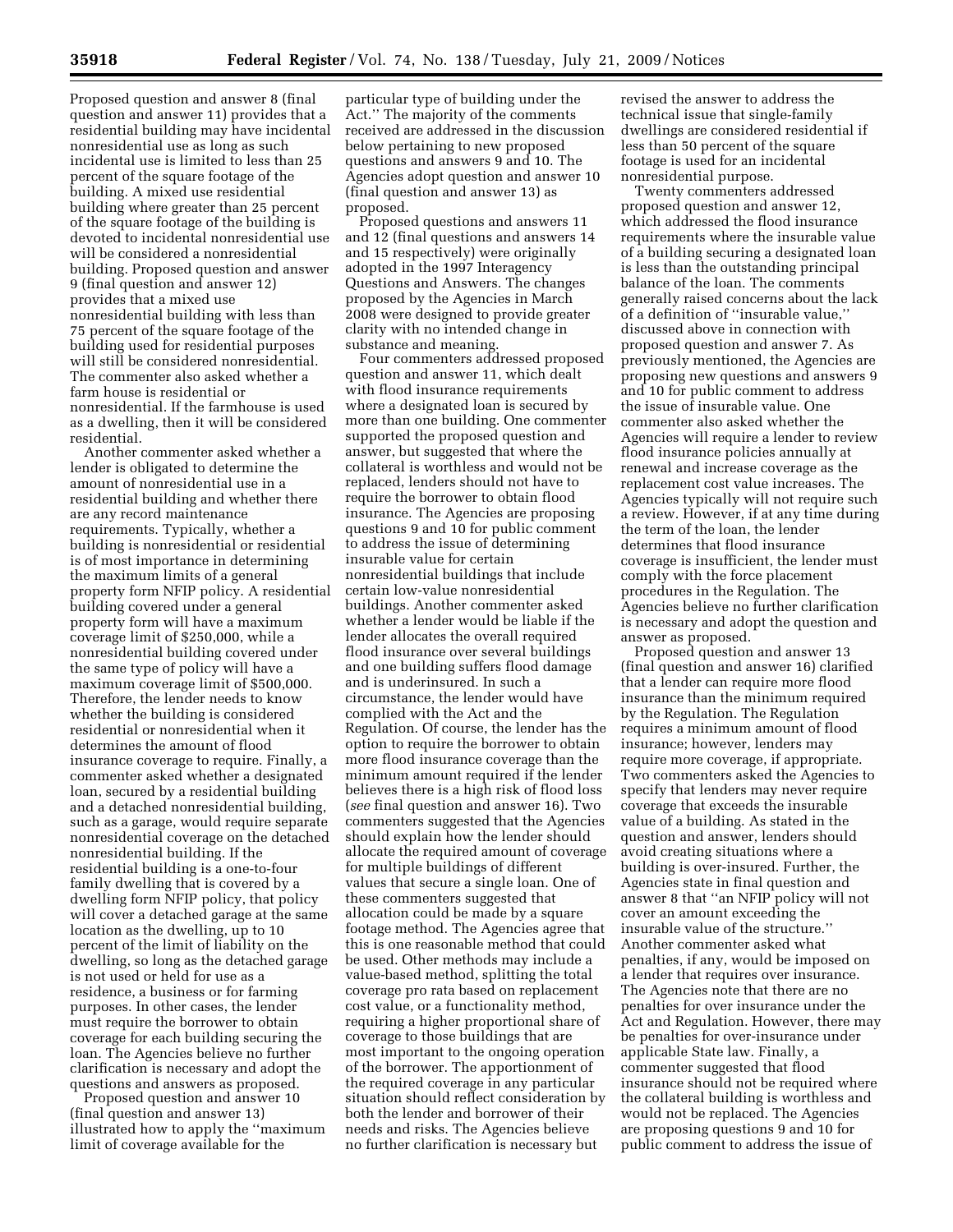Proposed question and answer 8 (final question and answer 11) provides that a residential building may have incidental nonresidential use as long as such incidental use is limited to less than 25 percent of the square footage of the building. A mixed use residential building where greater than 25 percent of the square footage of the building is devoted to incidental nonresidential use will be considered a nonresidential building. Proposed question and answer 9 (final question and answer 12) provides that a mixed use nonresidential building with less than 75 percent of the square footage of the building used for residential purposes will still be considered nonresidential. The commenter also asked whether a farm house is residential or nonresidential. If the farmhouse is used as a dwelling, then it will be considered residential.

Another commenter asked whether a lender is obligated to determine the amount of nonresidential use in a residential building and whether there are any record maintenance requirements. Typically, whether a building is nonresidential or residential is of most importance in determining the maximum limits of a general property form NFIP policy. A residential building covered under a general property form will have a maximum coverage limit of \$250,000, while a nonresidential building covered under the same type of policy will have a maximum coverage limit of \$500,000. Therefore, the lender needs to know whether the building is considered residential or nonresidential when it determines the amount of flood insurance coverage to require. Finally, a commenter asked whether a designated loan, secured by a residential building and a detached nonresidential building, such as a garage, would require separate nonresidential coverage on the detached nonresidential building. If the residential building is a one-to-four family dwelling that is covered by a dwelling form NFIP policy, that policy will cover a detached garage at the same location as the dwelling, up to 10 percent of the limit of liability on the dwelling, so long as the detached garage is not used or held for use as a residence, a business or for farming purposes. In other cases, the lender must require the borrower to obtain coverage for each building securing the loan. The Agencies believe no further clarification is necessary and adopt the questions and answers as proposed.

Proposed question and answer 10 (final question and answer 13) illustrated how to apply the ''maximum limit of coverage available for the

particular type of building under the Act.'' The majority of the comments received are addressed in the discussion below pertaining to new proposed questions and answers 9 and 10. The Agencies adopt question and answer 10 (final question and answer 13) as proposed.

Proposed questions and answers 11 and 12 (final questions and answers 14 and 15 respectively) were originally adopted in the 1997 Interagency Questions and Answers. The changes proposed by the Agencies in March 2008 were designed to provide greater clarity with no intended change in substance and meaning.

Four commenters addressed proposed question and answer 11, which dealt with flood insurance requirements where a designated loan is secured by more than one building. One commenter supported the proposed question and answer, but suggested that where the collateral is worthless and would not be replaced, lenders should not have to require the borrower to obtain flood insurance. The Agencies are proposing questions 9 and 10 for public comment to address the issue of determining insurable value for certain nonresidential buildings that include certain low-value nonresidential buildings. Another commenter asked whether a lender would be liable if the lender allocates the overall required flood insurance over several buildings and one building suffers flood damage and is underinsured. In such a circumstance, the lender would have complied with the Act and the Regulation. Of course, the lender has the option to require the borrower to obtain more flood insurance coverage than the minimum amount required if the lender believes there is a high risk of flood loss (*see* final question and answer 16). Two commenters suggested that the Agencies should explain how the lender should allocate the required amount of coverage for multiple buildings of different values that secure a single loan. One of these commenters suggested that allocation could be made by a square footage method. The Agencies agree that this is one reasonable method that could be used. Other methods may include a value-based method, splitting the total coverage pro rata based on replacement cost value, or a functionality method, requiring a higher proportional share of coverage to those buildings that are most important to the ongoing operation of the borrower. The apportionment of the required coverage in any particular situation should reflect consideration by both the lender and borrower of their needs and risks. The Agencies believe no further clarification is necessary but

revised the answer to address the technical issue that single-family dwellings are considered residential if less than 50 percent of the square footage is used for an incidental nonresidential purpose.

Twenty commenters addressed proposed question and answer 12, which addressed the flood insurance requirements where the insurable value of a building securing a designated loan is less than the outstanding principal balance of the loan. The comments generally raised concerns about the lack of a definition of ''insurable value,'' discussed above in connection with proposed question and answer 7. As previously mentioned, the Agencies are proposing new questions and answers 9 and 10 for public comment to address the issue of insurable value. One commenter also asked whether the Agencies will require a lender to review flood insurance policies annually at renewal and increase coverage as the replacement cost value increases. The Agencies typically will not require such a review. However, if at any time during the term of the loan, the lender determines that flood insurance coverage is insufficient, the lender must comply with the force placement procedures in the Regulation. The Agencies believe no further clarification is necessary and adopt the question and answer as proposed.

Proposed question and answer 13 (final question and answer 16) clarified that a lender can require more flood insurance than the minimum required by the Regulation. The Regulation requires a minimum amount of flood insurance; however, lenders may require more coverage, if appropriate. Two commenters asked the Agencies to specify that lenders may never require coverage that exceeds the insurable value of a building. As stated in the question and answer, lenders should avoid creating situations where a building is over-insured. Further, the Agencies state in final question and answer 8 that ''an NFIP policy will not cover an amount exceeding the insurable value of the structure.'' Another commenter asked what penalties, if any, would be imposed on a lender that requires over insurance. The Agencies note that there are no penalties for over insurance under the Act and Regulation. However, there may be penalties for over-insurance under applicable State law. Finally, a commenter suggested that flood insurance should not be required where the collateral building is worthless and would not be replaced. The Agencies are proposing questions 9 and 10 for public comment to address the issue of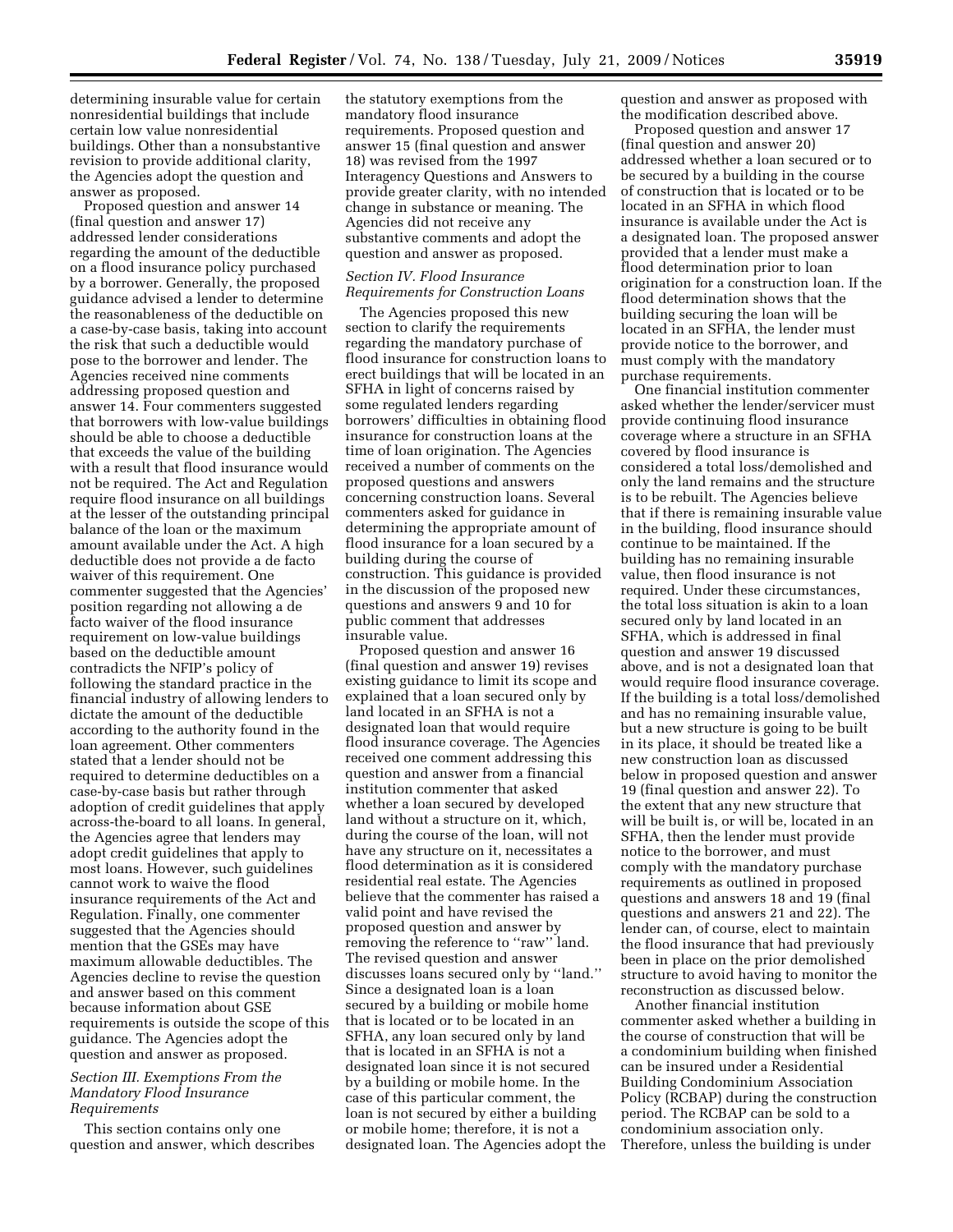determining insurable value for certain nonresidential buildings that include certain low value nonresidential buildings. Other than a nonsubstantive revision to provide additional clarity, the Agencies adopt the question and answer as proposed.

Proposed question and answer 14 (final question and answer 17) addressed lender considerations regarding the amount of the deductible on a flood insurance policy purchased by a borrower. Generally, the proposed guidance advised a lender to determine the reasonableness of the deductible on a case-by-case basis, taking into account the risk that such a deductible would pose to the borrower and lender. The Agencies received nine comments addressing proposed question and answer 14. Four commenters suggested that borrowers with low-value buildings should be able to choose a deductible that exceeds the value of the building with a result that flood insurance would not be required. The Act and Regulation require flood insurance on all buildings at the lesser of the outstanding principal balance of the loan or the maximum amount available under the Act. A high deductible does not provide a de facto waiver of this requirement. One commenter suggested that the Agencies' position regarding not allowing a de facto waiver of the flood insurance requirement on low-value buildings based on the deductible amount contradicts the NFIP's policy of following the standard practice in the financial industry of allowing lenders to dictate the amount of the deductible according to the authority found in the loan agreement. Other commenters stated that a lender should not be required to determine deductibles on a case-by-case basis but rather through adoption of credit guidelines that apply across-the-board to all loans. In general, the Agencies agree that lenders may adopt credit guidelines that apply to most loans. However, such guidelines cannot work to waive the flood insurance requirements of the Act and Regulation. Finally, one commenter suggested that the Agencies should mention that the GSEs may have maximum allowable deductibles. The Agencies decline to revise the question and answer based on this comment because information about GSE requirements is outside the scope of this guidance. The Agencies adopt the question and answer as proposed.

#### *Section III. Exemptions From the Mandatory Flood Insurance Requirements*

This section contains only one question and answer, which describes

the statutory exemptions from the mandatory flood insurance requirements. Proposed question and answer 15 (final question and answer 18) was revised from the 1997 Interagency Questions and Answers to provide greater clarity, with no intended change in substance or meaning. The Agencies did not receive any substantive comments and adopt the question and answer as proposed.

# *Section IV. Flood Insurance Requirements for Construction Loans*

The Agencies proposed this new section to clarify the requirements regarding the mandatory purchase of flood insurance for construction loans to erect buildings that will be located in an SFHA in light of concerns raised by some regulated lenders regarding borrowers' difficulties in obtaining flood insurance for construction loans at the time of loan origination. The Agencies received a number of comments on the proposed questions and answers concerning construction loans. Several commenters asked for guidance in determining the appropriate amount of flood insurance for a loan secured by a building during the course of construction. This guidance is provided in the discussion of the proposed new questions and answers 9 and 10 for public comment that addresses insurable value.

Proposed question and answer 16 (final question and answer 19) revises existing guidance to limit its scope and explained that a loan secured only by land located in an SFHA is not a designated loan that would require flood insurance coverage. The Agencies received one comment addressing this question and answer from a financial institution commenter that asked whether a loan secured by developed land without a structure on it, which, during the course of the loan, will not have any structure on it, necessitates a flood determination as it is considered residential real estate. The Agencies believe that the commenter has raised a valid point and have revised the proposed question and answer by removing the reference to "raw" land. The revised question and answer discusses loans secured only by ''land.'' Since a designated loan is a loan secured by a building or mobile home that is located or to be located in an SFHA, any loan secured only by land that is located in an SFHA is not a designated loan since it is not secured by a building or mobile home. In the case of this particular comment, the loan is not secured by either a building or mobile home; therefore, it is not a designated loan. The Agencies adopt the question and answer as proposed with the modification described above.

Proposed question and answer 17 (final question and answer 20) addressed whether a loan secured or to be secured by a building in the course of construction that is located or to be located in an SFHA in which flood insurance is available under the Act is a designated loan. The proposed answer provided that a lender must make a flood determination prior to loan origination for a construction loan. If the flood determination shows that the building securing the loan will be located in an SFHA, the lender must provide notice to the borrower, and must comply with the mandatory purchase requirements.

One financial institution commenter asked whether the lender/servicer must provide continuing flood insurance coverage where a structure in an SFHA covered by flood insurance is considered a total loss/demolished and only the land remains and the structure is to be rebuilt. The Agencies believe that if there is remaining insurable value in the building, flood insurance should continue to be maintained. If the building has no remaining insurable value, then flood insurance is not required. Under these circumstances, the total loss situation is akin to a loan secured only by land located in an SFHA, which is addressed in final question and answer 19 discussed above, and is not a designated loan that would require flood insurance coverage. If the building is a total loss/demolished and has no remaining insurable value, but a new structure is going to be built in its place, it should be treated like a new construction loan as discussed below in proposed question and answer 19 (final question and answer 22). To the extent that any new structure that will be built is, or will be, located in an SFHA, then the lender must provide notice to the borrower, and must comply with the mandatory purchase requirements as outlined in proposed questions and answers 18 and 19 (final questions and answers 21 and 22). The lender can, of course, elect to maintain the flood insurance that had previously been in place on the prior demolished structure to avoid having to monitor the reconstruction as discussed below.

Another financial institution commenter asked whether a building in the course of construction that will be a condominium building when finished can be insured under a Residential Building Condominium Association Policy (RCBAP) during the construction period. The RCBAP can be sold to a condominium association only. Therefore, unless the building is under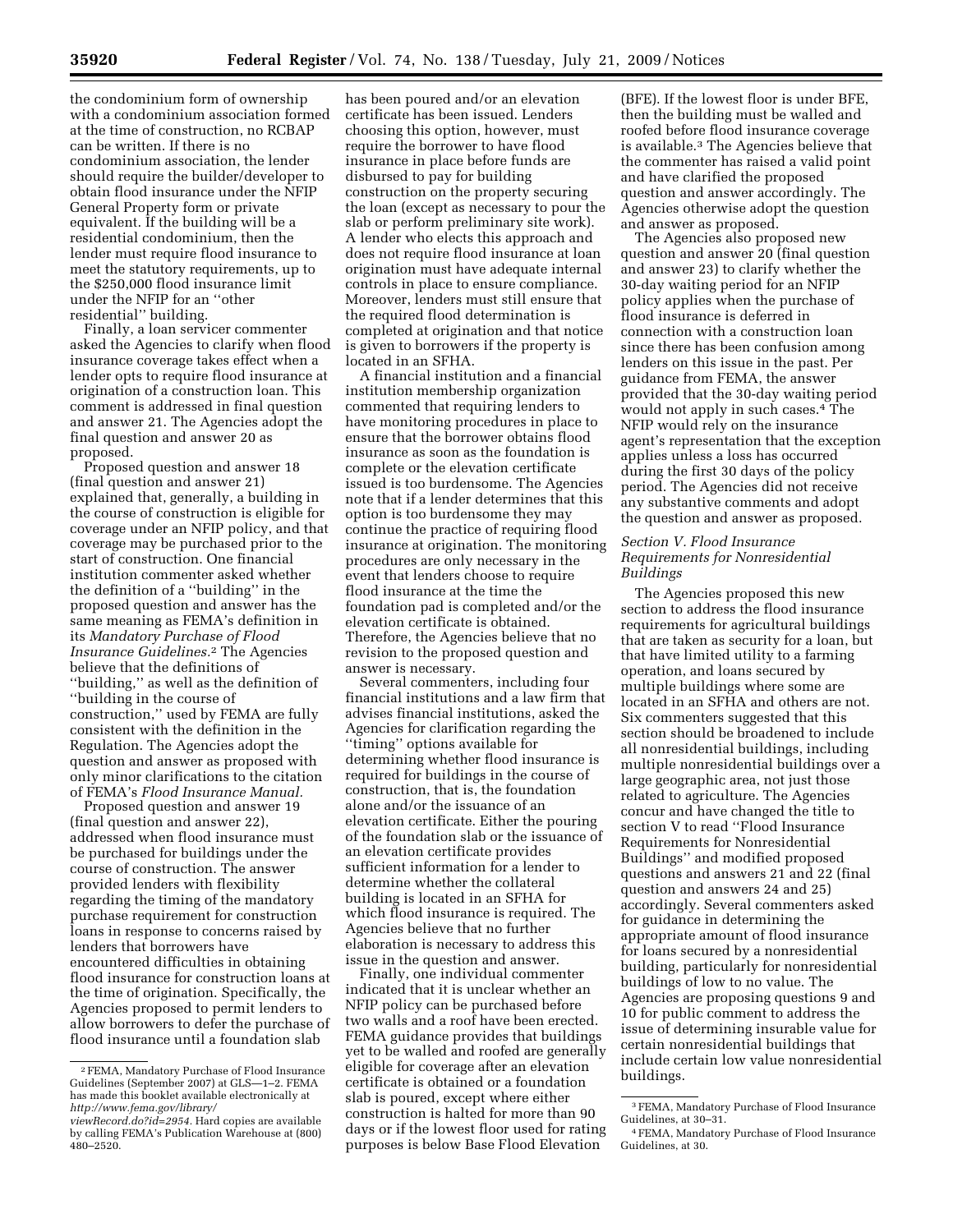the condominium form of ownership with a condominium association formed at the time of construction, no RCBAP can be written. If there is no condominium association, the lender should require the builder/developer to obtain flood insurance under the NFIP General Property form or private equivalent. If the building will be a residential condominium, then the lender must require flood insurance to meet the statutory requirements, up to the \$250,000 flood insurance limit under the NFIP for an ''other residential'' building.

Finally, a loan servicer commenter asked the Agencies to clarify when flood insurance coverage takes effect when a lender opts to require flood insurance at origination of a construction loan. This comment is addressed in final question and answer 21. The Agencies adopt the final question and answer 20 as proposed.

Proposed question and answer 18 (final question and answer 21) explained that, generally, a building in the course of construction is eligible for coverage under an NFIP policy, and that coverage may be purchased prior to the start of construction. One financial institution commenter asked whether the definition of a ''building'' in the proposed question and answer has the same meaning as FEMA's definition in its *Mandatory Purchase of Flood Insurance Guidelines.*2 The Agencies believe that the definitions of ''building,'' as well as the definition of ''building in the course of construction,'' used by FEMA are fully consistent with the definition in the Regulation. The Agencies adopt the question and answer as proposed with only minor clarifications to the citation of FEMA's *Flood Insurance Manual.* 

Proposed question and answer 19 (final question and answer 22), addressed when flood insurance must be purchased for buildings under the course of construction. The answer provided lenders with flexibility regarding the timing of the mandatory purchase requirement for construction loans in response to concerns raised by lenders that borrowers have encountered difficulties in obtaining flood insurance for construction loans at the time of origination. Specifically, the Agencies proposed to permit lenders to allow borrowers to defer the purchase of flood insurance until a foundation slab

has been poured and/or an elevation certificate has been issued. Lenders choosing this option, however, must require the borrower to have flood insurance in place before funds are disbursed to pay for building construction on the property securing the loan (except as necessary to pour the slab or perform preliminary site work). A lender who elects this approach and does not require flood insurance at loan origination must have adequate internal controls in place to ensure compliance. Moreover, lenders must still ensure that the required flood determination is completed at origination and that notice is given to borrowers if the property is located in an SFHA.

A financial institution and a financial institution membership organization commented that requiring lenders to have monitoring procedures in place to ensure that the borrower obtains flood insurance as soon as the foundation is complete or the elevation certificate issued is too burdensome. The Agencies note that if a lender determines that this option is too burdensome they may continue the practice of requiring flood insurance at origination. The monitoring procedures are only necessary in the event that lenders choose to require flood insurance at the time the foundation pad is completed and/or the elevation certificate is obtained. Therefore, the Agencies believe that no revision to the proposed question and answer is necessary.

Several commenters, including four financial institutions and a law firm that advises financial institutions, asked the Agencies for clarification regarding the ''timing'' options available for determining whether flood insurance is required for buildings in the course of construction, that is, the foundation alone and/or the issuance of an elevation certificate. Either the pouring of the foundation slab or the issuance of an elevation certificate provides sufficient information for a lender to determine whether the collateral building is located in an SFHA for which flood insurance is required. The Agencies believe that no further elaboration is necessary to address this issue in the question and answer.

Finally, one individual commenter indicated that it is unclear whether an NFIP policy can be purchased before two walls and a roof have been erected. FEMA guidance provides that buildings yet to be walled and roofed are generally eligible for coverage after an elevation certificate is obtained or a foundation slab is poured, except where either construction is halted for more than 90 days or if the lowest floor used for rating purposes is below Base Flood Elevation

(BFE). If the lowest floor is under BFE, then the building must be walled and roofed before flood insurance coverage is available.3 The Agencies believe that the commenter has raised a valid point and have clarified the proposed question and answer accordingly. The Agencies otherwise adopt the question and answer as proposed.

The Agencies also proposed new question and answer 20 (final question and answer 23) to clarify whether the 30-day waiting period for an NFIP policy applies when the purchase of flood insurance is deferred in connection with a construction loan since there has been confusion among lenders on this issue in the past. Per guidance from FEMA, the answer provided that the 30-day waiting period would not apply in such cases.4 The NFIP would rely on the insurance agent's representation that the exception applies unless a loss has occurred during the first 30 days of the policy period. The Agencies did not receive any substantive comments and adopt the question and answer as proposed.

# *Section V. Flood Insurance Requirements for Nonresidential Buildings*

The Agencies proposed this new section to address the flood insurance requirements for agricultural buildings that are taken as security for a loan, but that have limited utility to a farming operation, and loans secured by multiple buildings where some are located in an SFHA and others are not. Six commenters suggested that this section should be broadened to include all nonresidential buildings, including multiple nonresidential buildings over a large geographic area, not just those related to agriculture. The Agencies concur and have changed the title to section V to read ''Flood Insurance Requirements for Nonresidential Buildings'' and modified proposed questions and answers 21 and 22 (final question and answers 24 and 25) accordingly. Several commenters asked for guidance in determining the appropriate amount of flood insurance for loans secured by a nonresidential building, particularly for nonresidential buildings of low to no value. The Agencies are proposing questions 9 and 10 for public comment to address the issue of determining insurable value for certain nonresidential buildings that include certain low value nonresidential buildings.

<sup>2</sup>FEMA, Mandatory Purchase of Flood Insurance Guidelines (September 2007) at GLS—1–2. FEMA has made this booklet available electronically at *http://www.fema.gov/library/* 

*viewRecord.do?id=2954.* Hard copies are available by calling FEMA's Publication Warehouse at (800) 480–2520.

<sup>3</sup>FEMA, Mandatory Purchase of Flood Insurance Guidelines, at 30–31.

<sup>4</sup>FEMA, Mandatory Purchase of Flood Insurance Guidelines, at 30.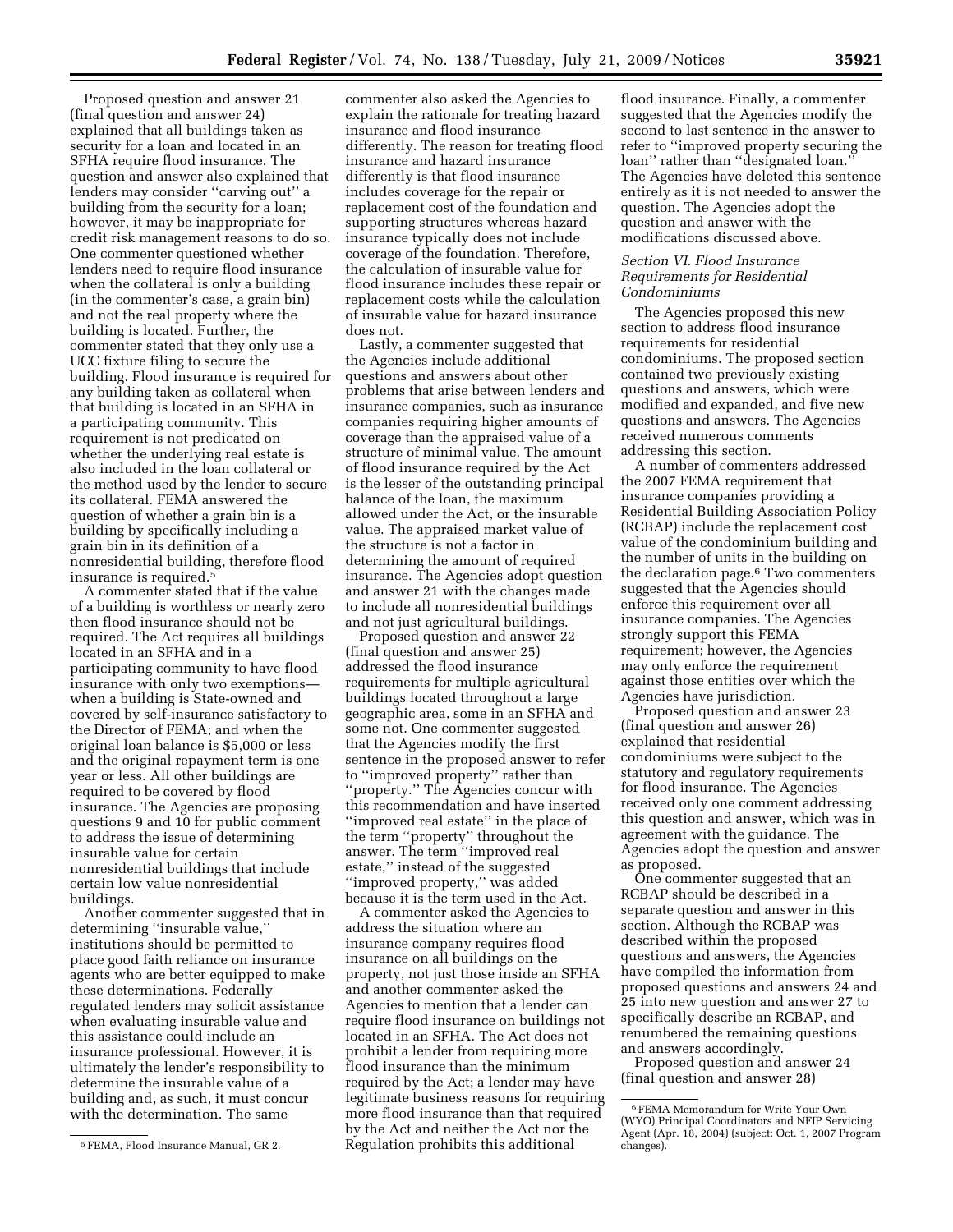Proposed question and answer 21 (final question and answer 24) explained that all buildings taken as security for a loan and located in an SFHA require flood insurance. The question and answer also explained that lenders may consider ''carving out'' a building from the security for a loan; however, it may be inappropriate for credit risk management reasons to do so. One commenter questioned whether lenders need to require flood insurance when the collateral is only a building (in the commenter's case, a grain bin) and not the real property where the building is located. Further, the commenter stated that they only use a UCC fixture filing to secure the building. Flood insurance is required for any building taken as collateral when that building is located in an SFHA in a participating community. This requirement is not predicated on whether the underlying real estate is also included in the loan collateral or the method used by the lender to secure its collateral. FEMA answered the question of whether a grain bin is a building by specifically including a grain bin in its definition of a nonresidential building, therefore flood insurance is required.5

A commenter stated that if the value of a building is worthless or nearly zero then flood insurance should not be required. The Act requires all buildings located in an SFHA and in a participating community to have flood insurance with only two exemptions when a building is State-owned and covered by self-insurance satisfactory to the Director of FEMA; and when the original loan balance is \$5,000 or less and the original repayment term is one year or less. All other buildings are required to be covered by flood insurance. The Agencies are proposing questions 9 and 10 for public comment to address the issue of determining insurable value for certain nonresidential buildings that include certain low value nonresidential buildings.

Another commenter suggested that in determining ''insurable value,'' institutions should be permitted to place good faith reliance on insurance agents who are better equipped to make these determinations. Federally regulated lenders may solicit assistance when evaluating insurable value and this assistance could include an insurance professional. However, it is ultimately the lender's responsibility to determine the insurable value of a building and, as such, it must concur with the determination. The same

commenter also asked the Agencies to explain the rationale for treating hazard insurance and flood insurance differently. The reason for treating flood insurance and hazard insurance differently is that flood insurance includes coverage for the repair or replacement cost of the foundation and supporting structures whereas hazard insurance typically does not include coverage of the foundation. Therefore, the calculation of insurable value for flood insurance includes these repair or replacement costs while the calculation of insurable value for hazard insurance does not.

Lastly, a commenter suggested that the Agencies include additional questions and answers about other problems that arise between lenders and insurance companies, such as insurance companies requiring higher amounts of coverage than the appraised value of a structure of minimal value. The amount of flood insurance required by the Act is the lesser of the outstanding principal balance of the loan, the maximum allowed under the Act, or the insurable value. The appraised market value of the structure is not a factor in determining the amount of required insurance. The Agencies adopt question and answer 21 with the changes made to include all nonresidential buildings and not just agricultural buildings.

Proposed question and answer 22 (final question and answer 25) addressed the flood insurance requirements for multiple agricultural buildings located throughout a large geographic area, some in an SFHA and some not. One commenter suggested that the Agencies modify the first sentence in the proposed answer to refer to ''improved property'' rather than ''property.'' The Agencies concur with this recommendation and have inserted ''improved real estate'' in the place of the term ''property'' throughout the answer. The term ''improved real estate,'' instead of the suggested ''improved property,'' was added because it is the term used in the Act.

A commenter asked the Agencies to address the situation where an insurance company requires flood insurance on all buildings on the property, not just those inside an SFHA and another commenter asked the Agencies to mention that a lender can require flood insurance on buildings not located in an SFHA. The Act does not prohibit a lender from requiring more flood insurance than the minimum required by the Act; a lender may have legitimate business reasons for requiring more flood insurance than that required by the Act and neither the Act nor the Regulation prohibits this additional

flood insurance. Finally, a commenter suggested that the Agencies modify the second to last sentence in the answer to refer to ''improved property securing the loan'' rather than ''designated loan.'' The Agencies have deleted this sentence entirely as it is not needed to answer the question. The Agencies adopt the question and answer with the modifications discussed above.

#### *Section VI. Flood Insurance Requirements for Residential Condominiums*

The Agencies proposed this new section to address flood insurance requirements for residential condominiums. The proposed section contained two previously existing questions and answers, which were modified and expanded, and five new questions and answers. The Agencies received numerous comments addressing this section.

A number of commenters addressed the 2007 FEMA requirement that insurance companies providing a Residential Building Association Policy (RCBAP) include the replacement cost value of the condominium building and the number of units in the building on the declaration page.6 Two commenters suggested that the Agencies should enforce this requirement over all insurance companies. The Agencies strongly support this FEMA requirement; however, the Agencies may only enforce the requirement against those entities over which the Agencies have jurisdiction.

Proposed question and answer 23 (final question and answer 26) explained that residential condominiums were subject to the statutory and regulatory requirements for flood insurance. The Agencies received only one comment addressing this question and answer, which was in agreement with the guidance. The Agencies adopt the question and answer as proposed.

One commenter suggested that an RCBAP should be described in a separate question and answer in this section. Although the RCBAP was described within the proposed questions and answers, the Agencies have compiled the information from proposed questions and answers 24 and 25 into new question and answer 27 to specifically describe an RCBAP, and renumbered the remaining questions and answers accordingly.

Proposed question and answer 24 (final question and answer 28)

<sup>5</sup>FEMA, Flood Insurance Manual, GR 2.

<sup>6</sup>FEMA Memorandum for Write Your Own (WYO) Principal Coordinators and NFIP Servicing Agent (Apr. 18, 2004) (subject: Oct. 1, 2007 Program changes).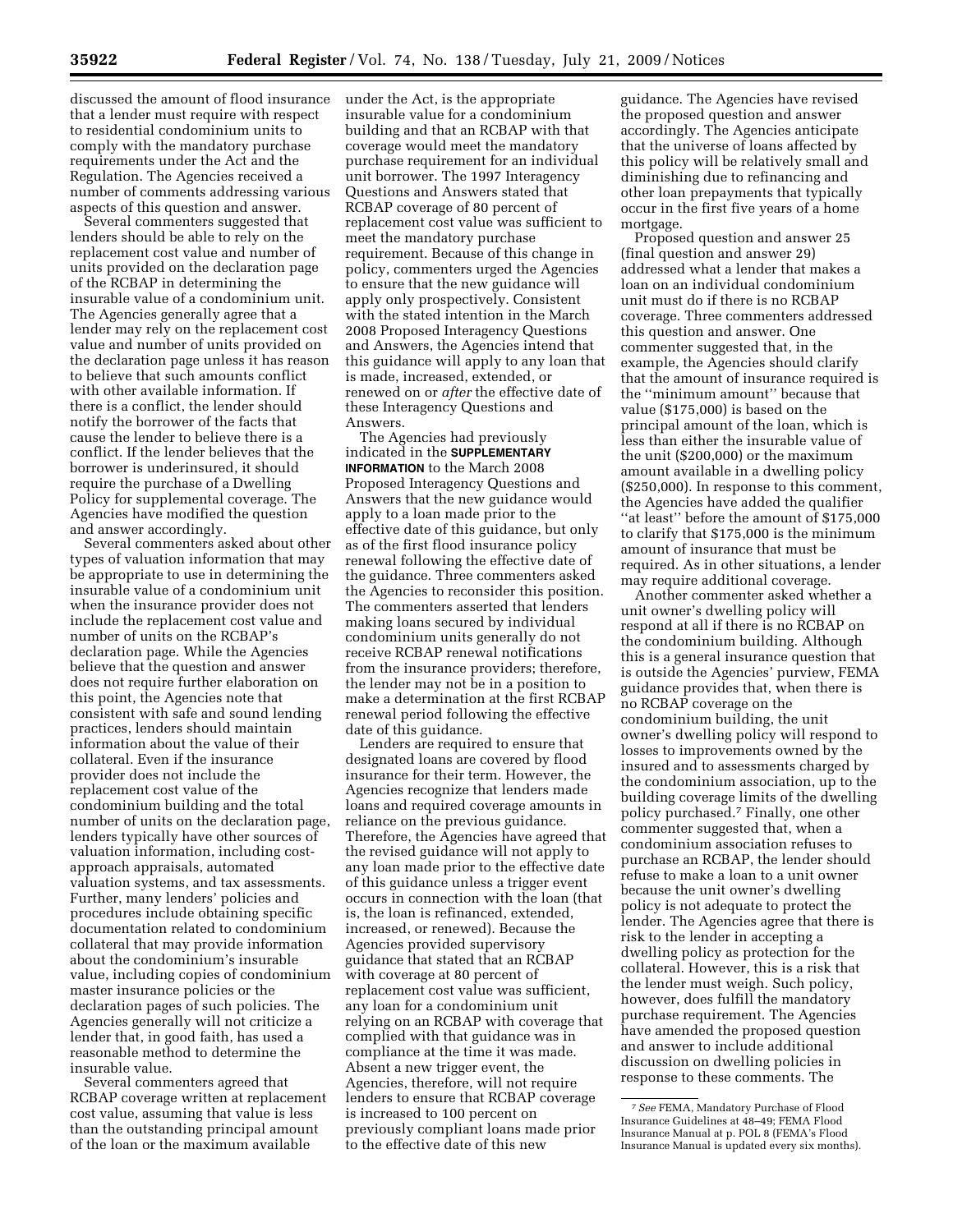discussed the amount of flood insurance that a lender must require with respect

to residential condominium units to comply with the mandatory purchase requirements under the Act and the Regulation. The Agencies received a number of comments addressing various aspects of this question and answer.

Several commenters suggested that lenders should be able to rely on the replacement cost value and number of units provided on the declaration page of the RCBAP in determining the insurable value of a condominium unit. The Agencies generally agree that a lender may rely on the replacement cost value and number of units provided on the declaration page unless it has reason to believe that such amounts conflict with other available information. If there is a conflict, the lender should notify the borrower of the facts that cause the lender to believe there is a conflict. If the lender believes that the borrower is underinsured, it should require the purchase of a Dwelling Policy for supplemental coverage. The Agencies have modified the question and answer accordingly.

Several commenters asked about other types of valuation information that may be appropriate to use in determining the insurable value of a condominium unit when the insurance provider does not include the replacement cost value and number of units on the RCBAP's declaration page. While the Agencies believe that the question and answer does not require further elaboration on this point, the Agencies note that consistent with safe and sound lending practices, lenders should maintain information about the value of their collateral. Even if the insurance provider does not include the replacement cost value of the condominium building and the total number of units on the declaration page, lenders typically have other sources of valuation information, including costapproach appraisals, automated valuation systems, and tax assessments. Further, many lenders' policies and procedures include obtaining specific documentation related to condominium collateral that may provide information about the condominium's insurable value, including copies of condominium master insurance policies or the declaration pages of such policies. The Agencies generally will not criticize a lender that, in good faith, has used a reasonable method to determine the insurable value.

Several commenters agreed that RCBAP coverage written at replacement cost value, assuming that value is less than the outstanding principal amount of the loan or the maximum available

under the Act, is the appropriate insurable value for a condominium building and that an RCBAP with that coverage would meet the mandatory purchase requirement for an individual unit borrower. The 1997 Interagency Questions and Answers stated that RCBAP coverage of 80 percent of replacement cost value was sufficient to meet the mandatory purchase requirement. Because of this change in policy, commenters urged the Agencies to ensure that the new guidance will apply only prospectively. Consistent with the stated intention in the March 2008 Proposed Interagency Questions and Answers, the Agencies intend that this guidance will apply to any loan that is made, increased, extended, or renewed on or *after* the effective date of these Interagency Questions and Answers.

The Agencies had previously indicated in the **SUPPLEMENTARY INFORMATION** to the March 2008 Proposed Interagency Questions and Answers that the new guidance would apply to a loan made prior to the effective date of this guidance, but only as of the first flood insurance policy renewal following the effective date of the guidance. Three commenters asked the Agencies to reconsider this position. The commenters asserted that lenders making loans secured by individual condominium units generally do not receive RCBAP renewal notifications from the insurance providers; therefore, the lender may not be in a position to make a determination at the first RCBAP renewal period following the effective date of this guidance.

Lenders are required to ensure that designated loans are covered by flood insurance for their term. However, the Agencies recognize that lenders made loans and required coverage amounts in reliance on the previous guidance. Therefore, the Agencies have agreed that the revised guidance will not apply to any loan made prior to the effective date of this guidance unless a trigger event occurs in connection with the loan (that is, the loan is refinanced, extended, increased, or renewed). Because the Agencies provided supervisory guidance that stated that an RCBAP with coverage at 80 percent of replacement cost value was sufficient, any loan for a condominium unit relying on an RCBAP with coverage that complied with that guidance was in compliance at the time it was made. Absent a new trigger event, the Agencies, therefore, will not require lenders to ensure that RCBAP coverage is increased to 100 percent on previously compliant loans made prior to the effective date of this new

guidance. The Agencies have revised the proposed question and answer accordingly. The Agencies anticipate that the universe of loans affected by this policy will be relatively small and diminishing due to refinancing and other loan prepayments that typically occur in the first five years of a home mortgage.

Proposed question and answer 25 (final question and answer 29) addressed what a lender that makes a loan on an individual condominium unit must do if there is no RCBAP coverage. Three commenters addressed this question and answer. One commenter suggested that, in the example, the Agencies should clarify that the amount of insurance required is the ''minimum amount'' because that value (\$175,000) is based on the principal amount of the loan, which is less than either the insurable value of the unit (\$200,000) or the maximum amount available in a dwelling policy (\$250,000). In response to this comment, the Agencies have added the qualifier ''at least'' before the amount of \$175,000 to clarify that \$175,000 is the minimum amount of insurance that must be required. As in other situations, a lender may require additional coverage.

Another commenter asked whether a unit owner's dwelling policy will respond at all if there is no RCBAP on the condominium building. Although this is a general insurance question that is outside the Agencies' purview, FEMA guidance provides that, when there is no RCBAP coverage on the condominium building, the unit owner's dwelling policy will respond to losses to improvements owned by the insured and to assessments charged by the condominium association, up to the building coverage limits of the dwelling policy purchased.7 Finally, one other commenter suggested that, when a condominium association refuses to purchase an RCBAP, the lender should refuse to make a loan to a unit owner because the unit owner's dwelling policy is not adequate to protect the lender. The Agencies agree that there is risk to the lender in accepting a dwelling policy as protection for the collateral. However, this is a risk that the lender must weigh. Such policy, however, does fulfill the mandatory purchase requirement. The Agencies have amended the proposed question and answer to include additional discussion on dwelling policies in response to these comments. The

<sup>7</sup>*See* FEMA, Mandatory Purchase of Flood Insurance Guidelines at 48–49; FEMA Flood Insurance Manual at p. POL 8 (FEMA's Flood Insurance Manual is updated every six months).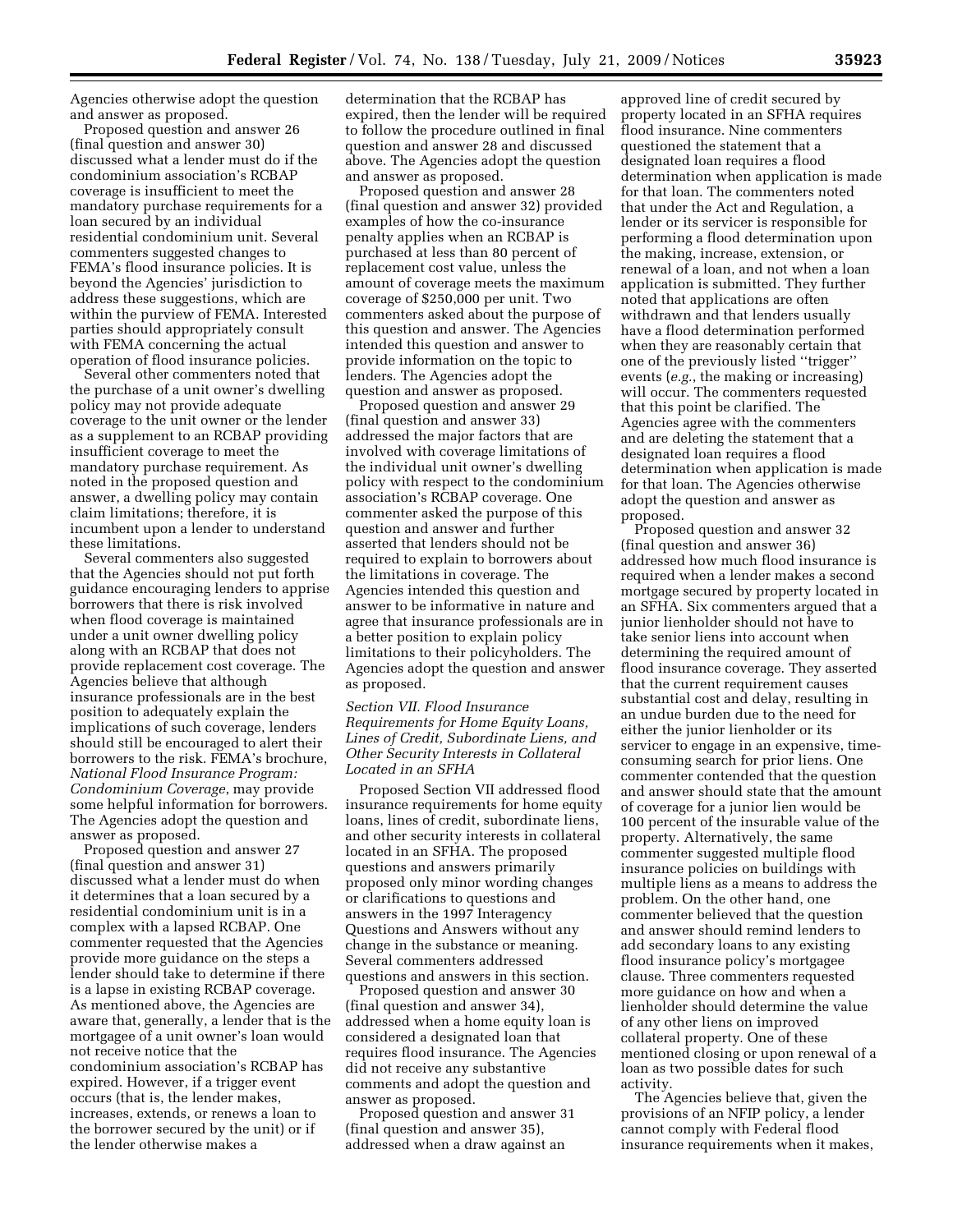Agencies otherwise adopt the question and answer as proposed.

Proposed question and answer 26 (final question and answer 30) discussed what a lender must do if the condominium association's RCBAP coverage is insufficient to meet the mandatory purchase requirements for a loan secured by an individual residential condominium unit. Several commenters suggested changes to FEMA's flood insurance policies. It is beyond the Agencies' jurisdiction to address these suggestions, which are within the purview of FEMA. Interested parties should appropriately consult with FEMA concerning the actual operation of flood insurance policies.

Several other commenters noted that the purchase of a unit owner's dwelling policy may not provide adequate coverage to the unit owner or the lender as a supplement to an RCBAP providing insufficient coverage to meet the mandatory purchase requirement. As noted in the proposed question and answer, a dwelling policy may contain claim limitations; therefore, it is incumbent upon a lender to understand these limitations.

Several commenters also suggested that the Agencies should not put forth guidance encouraging lenders to apprise borrowers that there is risk involved when flood coverage is maintained under a unit owner dwelling policy along with an RCBAP that does not provide replacement cost coverage. The Agencies believe that although insurance professionals are in the best position to adequately explain the implications of such coverage, lenders should still be encouraged to alert their borrowers to the risk. FEMA's brochure, *National Flood Insurance Program: Condominium Coverage*, may provide some helpful information for borrowers. The Agencies adopt the question and answer as proposed.

Proposed question and answer 27 (final question and answer 31) discussed what a lender must do when it determines that a loan secured by a residential condominium unit is in a complex with a lapsed RCBAP. One commenter requested that the Agencies provide more guidance on the steps a lender should take to determine if there is a lapse in existing RCBAP coverage. As mentioned above, the Agencies are aware that, generally, a lender that is the mortgagee of a unit owner's loan would not receive notice that the condominium association's RCBAP has expired. However, if a trigger event occurs (that is, the lender makes, increases, extends, or renews a loan to the borrower secured by the unit) or if the lender otherwise makes a

determination that the RCBAP has expired, then the lender will be required to follow the procedure outlined in final question and answer 28 and discussed above. The Agencies adopt the question and answer as proposed.

Proposed question and answer 28 (final question and answer 32) provided examples of how the co-insurance penalty applies when an RCBAP is purchased at less than 80 percent of replacement cost value, unless the amount of coverage meets the maximum coverage of \$250,000 per unit. Two commenters asked about the purpose of this question and answer. The Agencies intended this question and answer to provide information on the topic to lenders. The Agencies adopt the question and answer as proposed.

Proposed question and answer 29 (final question and answer 33) addressed the major factors that are involved with coverage limitations of the individual unit owner's dwelling policy with respect to the condominium association's RCBAP coverage. One commenter asked the purpose of this question and answer and further asserted that lenders should not be required to explain to borrowers about the limitations in coverage. The Agencies intended this question and answer to be informative in nature and agree that insurance professionals are in a better position to explain policy limitations to their policyholders. The Agencies adopt the question and answer as proposed.

## *Section VII. Flood Insurance Requirements for Home Equity Loans, Lines of Credit, Subordinate Liens, and Other Security Interests in Collateral Located in an SFHA*

Proposed Section VII addressed flood insurance requirements for home equity loans, lines of credit, subordinate liens, and other security interests in collateral located in an SFHA. The proposed questions and answers primarily proposed only minor wording changes or clarifications to questions and answers in the 1997 Interagency Questions and Answers without any change in the substance or meaning. Several commenters addressed questions and answers in this section.

Proposed question and answer 30 (final question and answer 34), addressed when a home equity loan is considered a designated loan that requires flood insurance. The Agencies did not receive any substantive comments and adopt the question and answer as proposed.

Proposed question and answer 31 (final question and answer 35), addressed when a draw against an

approved line of credit secured by property located in an SFHA requires flood insurance. Nine commenters questioned the statement that a designated loan requires a flood determination when application is made for that loan. The commenters noted that under the Act and Regulation, a lender or its servicer is responsible for performing a flood determination upon the making, increase, extension, or renewal of a loan, and not when a loan application is submitted. They further noted that applications are often withdrawn and that lenders usually have a flood determination performed when they are reasonably certain that one of the previously listed ''trigger'' events (*e.g.*, the making or increasing) will occur. The commenters requested that this point be clarified. The Agencies agree with the commenters and are deleting the statement that a designated loan requires a flood determination when application is made for that loan. The Agencies otherwise adopt the question and answer as proposed.

Proposed question and answer 32 (final question and answer 36) addressed how much flood insurance is required when a lender makes a second mortgage secured by property located in an SFHA. Six commenters argued that a junior lienholder should not have to take senior liens into account when determining the required amount of flood insurance coverage. They asserted that the current requirement causes substantial cost and delay, resulting in an undue burden due to the need for either the junior lienholder or its servicer to engage in an expensive, timeconsuming search for prior liens. One commenter contended that the question and answer should state that the amount of coverage for a junior lien would be 100 percent of the insurable value of the property. Alternatively, the same commenter suggested multiple flood insurance policies on buildings with multiple liens as a means to address the problem. On the other hand, one commenter believed that the question and answer should remind lenders to add secondary loans to any existing flood insurance policy's mortgagee clause. Three commenters requested more guidance on how and when a lienholder should determine the value of any other liens on improved collateral property. One of these mentioned closing or upon renewal of a loan as two possible dates for such activity.

The Agencies believe that, given the provisions of an NFIP policy, a lender cannot comply with Federal flood insurance requirements when it makes,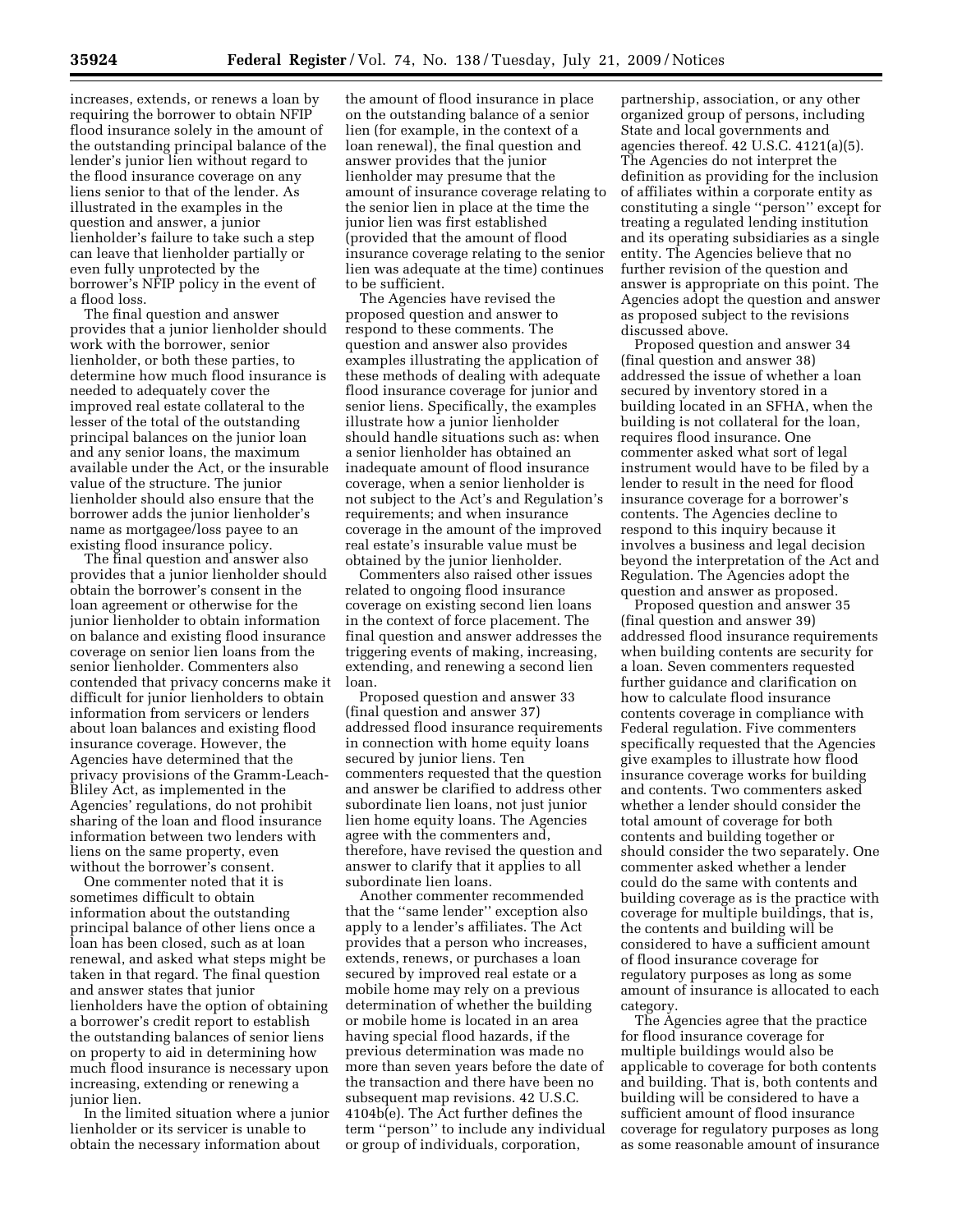increases, extends, or renews a loan by requiring the borrower to obtain NFIP flood insurance solely in the amount of the outstanding principal balance of the lender's junior lien without regard to the flood insurance coverage on any liens senior to that of the lender. As illustrated in the examples in the question and answer, a junior lienholder's failure to take such a step can leave that lienholder partially or even fully unprotected by the borrower's NFIP policy in the event of a flood loss.

The final question and answer provides that a junior lienholder should work with the borrower, senior lienholder, or both these parties, to determine how much flood insurance is needed to adequately cover the improved real estate collateral to the lesser of the total of the outstanding principal balances on the junior loan and any senior loans, the maximum available under the Act, or the insurable value of the structure. The junior lienholder should also ensure that the borrower adds the junior lienholder's name as mortgagee/loss payee to an existing flood insurance policy.

The final question and answer also provides that a junior lienholder should obtain the borrower's consent in the loan agreement or otherwise for the junior lienholder to obtain information on balance and existing flood insurance coverage on senior lien loans from the senior lienholder. Commenters also contended that privacy concerns make it difficult for junior lienholders to obtain information from servicers or lenders about loan balances and existing flood insurance coverage. However, the Agencies have determined that the privacy provisions of the Gramm-Leach-Bliley Act, as implemented in the Agencies' regulations, do not prohibit sharing of the loan and flood insurance information between two lenders with liens on the same property, even without the borrower's consent.

One commenter noted that it is sometimes difficult to obtain information about the outstanding principal balance of other liens once a loan has been closed, such as at loan renewal, and asked what steps might be taken in that regard. The final question and answer states that junior lienholders have the option of obtaining a borrower's credit report to establish the outstanding balances of senior liens on property to aid in determining how much flood insurance is necessary upon increasing, extending or renewing a junior lien.

In the limited situation where a junior lienholder or its servicer is unable to obtain the necessary information about

the amount of flood insurance in place on the outstanding balance of a senior lien (for example, in the context of a loan renewal), the final question and answer provides that the junior lienholder may presume that the amount of insurance coverage relating to the senior lien in place at the time the junior lien was first established (provided that the amount of flood insurance coverage relating to the senior lien was adequate at the time) continues to be sufficient.

The Agencies have revised the proposed question and answer to respond to these comments. The question and answer also provides examples illustrating the application of these methods of dealing with adequate flood insurance coverage for junior and senior liens. Specifically, the examples illustrate how a junior lienholder should handle situations such as: when a senior lienholder has obtained an inadequate amount of flood insurance coverage, when a senior lienholder is not subject to the Act's and Regulation's requirements; and when insurance coverage in the amount of the improved real estate's insurable value must be obtained by the junior lienholder.

Commenters also raised other issues related to ongoing flood insurance coverage on existing second lien loans in the context of force placement. The final question and answer addresses the triggering events of making, increasing, extending, and renewing a second lien loan.

Proposed question and answer 33 (final question and answer 37) addressed flood insurance requirements in connection with home equity loans secured by junior liens. Ten commenters requested that the question and answer be clarified to address other subordinate lien loans, not just junior lien home equity loans. The Agencies agree with the commenters and, therefore, have revised the question and answer to clarify that it applies to all subordinate lien loans.

Another commenter recommended that the ''same lender'' exception also apply to a lender's affiliates. The Act provides that a person who increases, extends, renews, or purchases a loan secured by improved real estate or a mobile home may rely on a previous determination of whether the building or mobile home is located in an area having special flood hazards, if the previous determination was made no more than seven years before the date of the transaction and there have been no subsequent map revisions. 42 U.S.C. 4104b(e). The Act further defines the term ''person'' to include any individual or group of individuals, corporation,

partnership, association, or any other organized group of persons, including State and local governments and agencies thereof. 42 U.S.C. 4121(a)(5). The Agencies do not interpret the definition as providing for the inclusion of affiliates within a corporate entity as constituting a single ''person'' except for treating a regulated lending institution and its operating subsidiaries as a single entity. The Agencies believe that no further revision of the question and answer is appropriate on this point. The Agencies adopt the question and answer as proposed subject to the revisions discussed above.

Proposed question and answer 34 (final question and answer 38) addressed the issue of whether a loan secured by inventory stored in a building located in an SFHA, when the building is not collateral for the loan, requires flood insurance. One commenter asked what sort of legal instrument would have to be filed by a lender to result in the need for flood insurance coverage for a borrower's contents. The Agencies decline to respond to this inquiry because it involves a business and legal decision beyond the interpretation of the Act and Regulation. The Agencies adopt the question and answer as proposed.

Proposed question and answer 35 (final question and answer 39) addressed flood insurance requirements when building contents are security for a loan. Seven commenters requested further guidance and clarification on how to calculate flood insurance contents coverage in compliance with Federal regulation. Five commenters specifically requested that the Agencies give examples to illustrate how flood insurance coverage works for building and contents. Two commenters asked whether a lender should consider the total amount of coverage for both contents and building together or should consider the two separately. One commenter asked whether a lender could do the same with contents and building coverage as is the practice with coverage for multiple buildings, that is, the contents and building will be considered to have a sufficient amount of flood insurance coverage for regulatory purposes as long as some amount of insurance is allocated to each category.

The Agencies agree that the practice for flood insurance coverage for multiple buildings would also be applicable to coverage for both contents and building. That is, both contents and building will be considered to have a sufficient amount of flood insurance coverage for regulatory purposes as long as some reasonable amount of insurance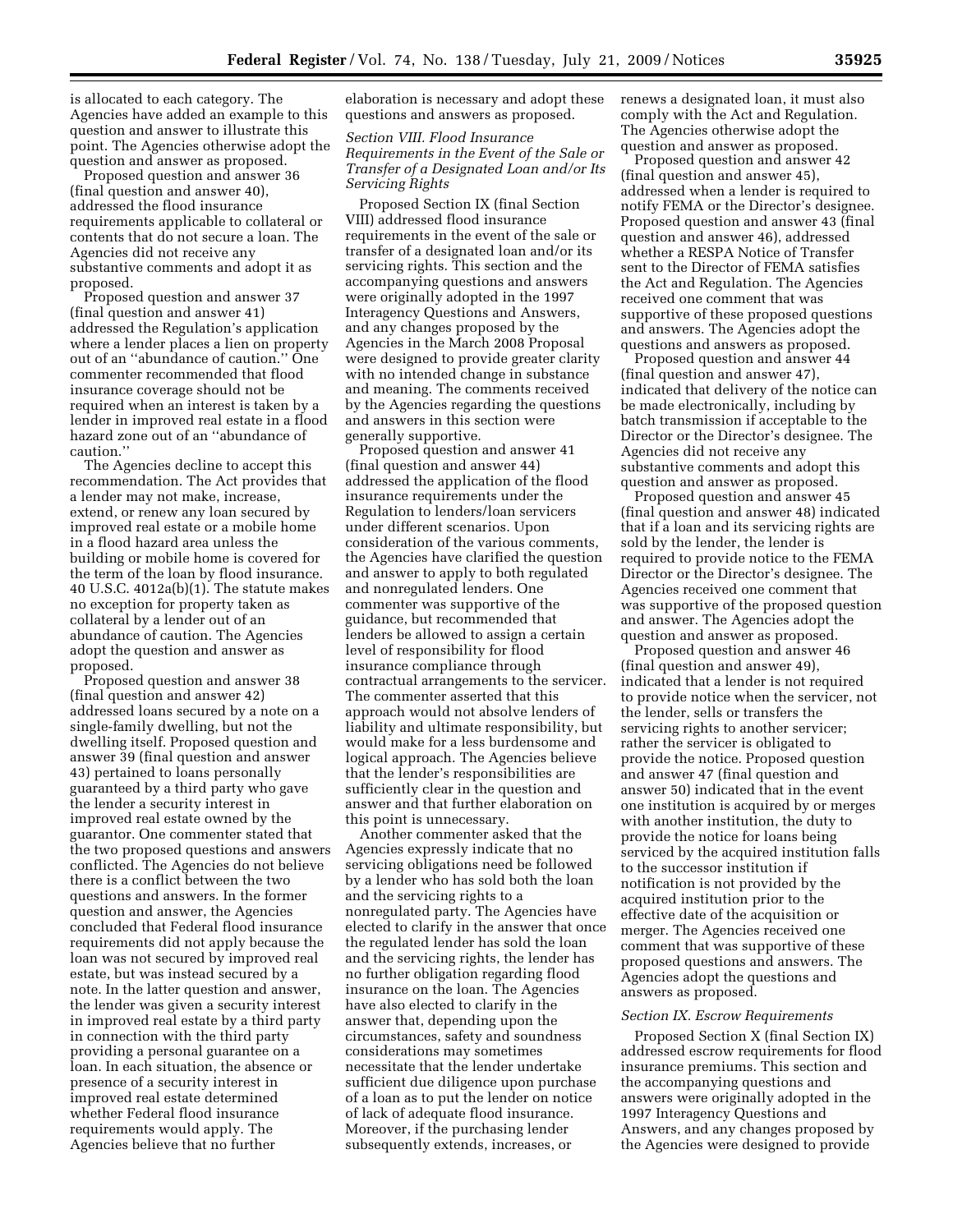is allocated to each category. The Agencies have added an example to this question and answer to illustrate this point. The Agencies otherwise adopt the question and answer as proposed.

Proposed question and answer 36 (final question and answer 40), addressed the flood insurance requirements applicable to collateral or contents that do not secure a loan. The Agencies did not receive any substantive comments and adopt it as proposed.

Proposed question and answer 37 (final question and answer 41) addressed the Regulation's application where a lender places a lien on property out of an ''abundance of caution.'' One commenter recommended that flood insurance coverage should not be required when an interest is taken by a lender in improved real estate in a flood hazard zone out of an ''abundance of caution.''

The Agencies decline to accept this recommendation. The Act provides that a lender may not make, increase, extend, or renew any loan secured by improved real estate or a mobile home in a flood hazard area unless the building or mobile home is covered for the term of the loan by flood insurance. 40 U.S.C. 4012a(b)(1). The statute makes no exception for property taken as collateral by a lender out of an abundance of caution. The Agencies adopt the question and answer as proposed.

Proposed question and answer 38 (final question and answer 42) addressed loans secured by a note on a single-family dwelling, but not the dwelling itself. Proposed question and answer 39 (final question and answer 43) pertained to loans personally guaranteed by a third party who gave the lender a security interest in improved real estate owned by the guarantor. One commenter stated that the two proposed questions and answers conflicted. The Agencies do not believe there is a conflict between the two questions and answers. In the former question and answer, the Agencies concluded that Federal flood insurance requirements did not apply because the loan was not secured by improved real estate, but was instead secured by a note. In the latter question and answer, the lender was given a security interest in improved real estate by a third party in connection with the third party providing a personal guarantee on a loan. In each situation, the absence or presence of a security interest in improved real estate determined whether Federal flood insurance requirements would apply. The Agencies believe that no further

elaboration is necessary and adopt these questions and answers as proposed.

## *Section VIII. Flood Insurance Requirements in the Event of the Sale or Transfer of a Designated Loan and/or Its Servicing Rights*

Proposed Section IX (final Section VIII) addressed flood insurance requirements in the event of the sale or transfer of a designated loan and/or its servicing rights. This section and the accompanying questions and answers were originally adopted in the 1997 Interagency Questions and Answers, and any changes proposed by the Agencies in the March 2008 Proposal were designed to provide greater clarity with no intended change in substance and meaning. The comments received by the Agencies regarding the questions and answers in this section were generally supportive.

Proposed question and answer 41 (final question and answer 44) addressed the application of the flood insurance requirements under the Regulation to lenders/loan servicers under different scenarios. Upon consideration of the various comments, the Agencies have clarified the question and answer to apply to both regulated and nonregulated lenders. One commenter was supportive of the guidance, but recommended that lenders be allowed to assign a certain level of responsibility for flood insurance compliance through contractual arrangements to the servicer. The commenter asserted that this approach would not absolve lenders of liability and ultimate responsibility, but would make for a less burdensome and logical approach. The Agencies believe that the lender's responsibilities are sufficiently clear in the question and answer and that further elaboration on this point is unnecessary.

Another commenter asked that the Agencies expressly indicate that no servicing obligations need be followed by a lender who has sold both the loan and the servicing rights to a nonregulated party. The Agencies have elected to clarify in the answer that once the regulated lender has sold the loan and the servicing rights, the lender has no further obligation regarding flood insurance on the loan. The Agencies have also elected to clarify in the answer that, depending upon the circumstances, safety and soundness considerations may sometimes necessitate that the lender undertake sufficient due diligence upon purchase of a loan as to put the lender on notice of lack of adequate flood insurance. Moreover, if the purchasing lender subsequently extends, increases, or

renews a designated loan, it must also comply with the Act and Regulation. The Agencies otherwise adopt the question and answer as proposed.

Proposed question and answer 42 (final question and answer 45), addressed when a lender is required to notify FEMA or the Director's designee. Proposed question and answer 43 (final question and answer 46), addressed whether a RESPA Notice of Transfer sent to the Director of FEMA satisfies the Act and Regulation. The Agencies received one comment that was supportive of these proposed questions and answers. The Agencies adopt the questions and answers as proposed.

Proposed question and answer 44 (final question and answer 47), indicated that delivery of the notice can be made electronically, including by batch transmission if acceptable to the Director or the Director's designee. The Agencies did not receive any substantive comments and adopt this question and answer as proposed.

Proposed question and answer 45 (final question and answer 48) indicated that if a loan and its servicing rights are sold by the lender, the lender is required to provide notice to the FEMA Director or the Director's designee. The Agencies received one comment that was supportive of the proposed question and answer. The Agencies adopt the question and answer as proposed.

Proposed question and answer 46 (final question and answer 49), indicated that a lender is not required to provide notice when the servicer, not the lender, sells or transfers the servicing rights to another servicer; rather the servicer is obligated to provide the notice. Proposed question and answer 47 (final question and answer 50) indicated that in the event one institution is acquired by or merges with another institution, the duty to provide the notice for loans being serviced by the acquired institution falls to the successor institution if notification is not provided by the acquired institution prior to the effective date of the acquisition or merger. The Agencies received one comment that was supportive of these proposed questions and answers. The Agencies adopt the questions and answers as proposed.

#### *Section IX. Escrow Requirements*

Proposed Section X (final Section IX) addressed escrow requirements for flood insurance premiums. This section and the accompanying questions and answers were originally adopted in the 1997 Interagency Questions and Answers, and any changes proposed by the Agencies were designed to provide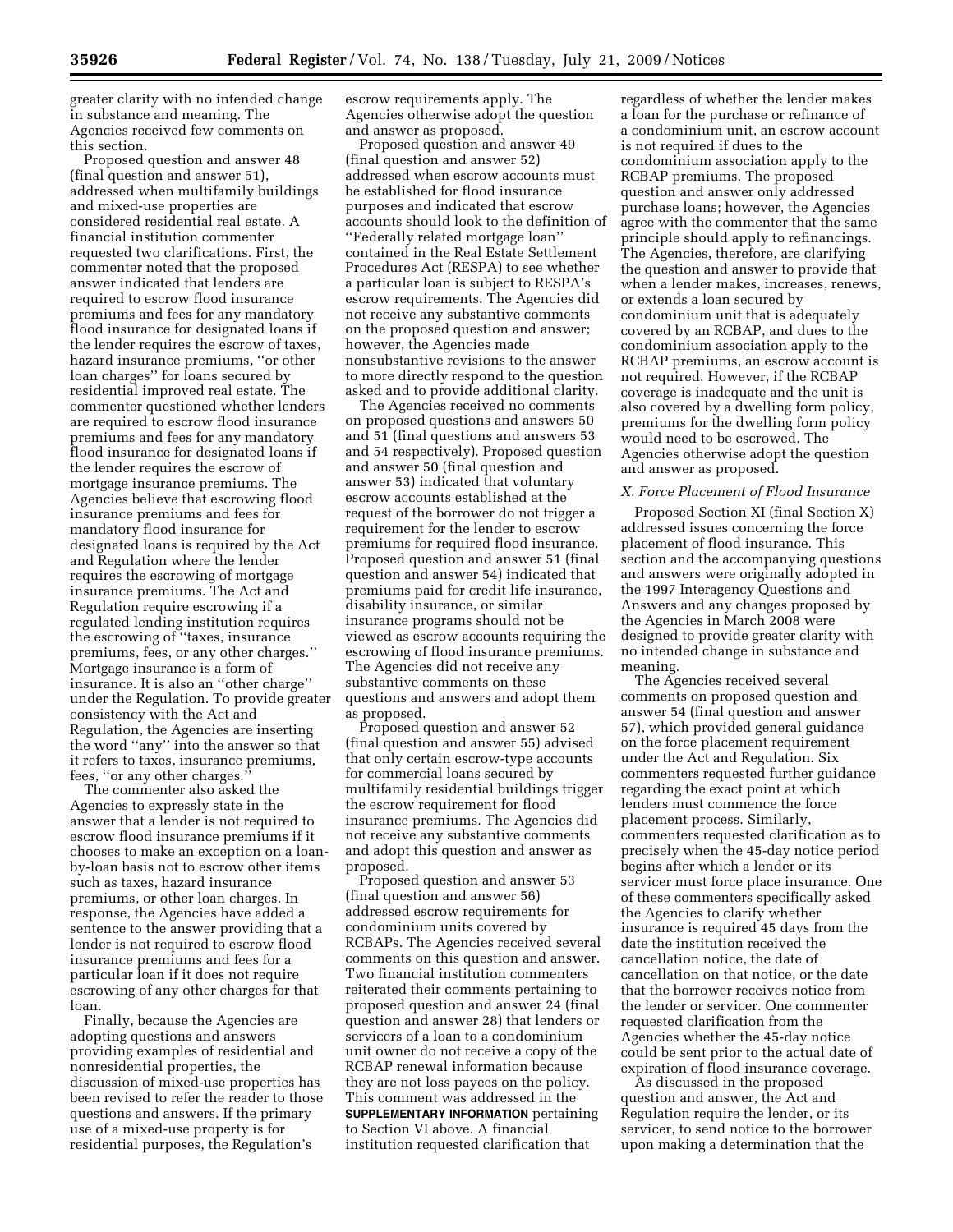greater clarity with no intended change in substance and meaning. The Agencies received few comments on this section.

Proposed question and answer 48 (final question and answer 51), addressed when multifamily buildings and mixed-use properties are considered residential real estate. A financial institution commenter requested two clarifications. First, the commenter noted that the proposed answer indicated that lenders are required to escrow flood insurance premiums and fees for any mandatory flood insurance for designated loans if the lender requires the escrow of taxes, hazard insurance premiums, ''or other loan charges'' for loans secured by residential improved real estate. The commenter questioned whether lenders are required to escrow flood insurance premiums and fees for any mandatory flood insurance for designated loans if the lender requires the escrow of mortgage insurance premiums. The Agencies believe that escrowing flood insurance premiums and fees for mandatory flood insurance for designated loans is required by the Act and Regulation where the lender requires the escrowing of mortgage insurance premiums. The Act and Regulation require escrowing if a regulated lending institution requires the escrowing of ''taxes, insurance premiums, fees, or any other charges.'' Mortgage insurance is a form of insurance. It is also an ''other charge'' under the Regulation. To provide greater consistency with the Act and Regulation, the Agencies are inserting the word ''any'' into the answer so that it refers to taxes, insurance premiums, fees, ''or any other charges.''

The commenter also asked the Agencies to expressly state in the answer that a lender is not required to escrow flood insurance premiums if it chooses to make an exception on a loanby-loan basis not to escrow other items such as taxes, hazard insurance premiums, or other loan charges. In response, the Agencies have added a sentence to the answer providing that a lender is not required to escrow flood insurance premiums and fees for a particular loan if it does not require escrowing of any other charges for that loan.

Finally, because the Agencies are adopting questions and answers providing examples of residential and nonresidential properties, the discussion of mixed-use properties has been revised to refer the reader to those questions and answers. If the primary use of a mixed-use property is for residential purposes, the Regulation's

escrow requirements apply. The Agencies otherwise adopt the question and answer as proposed.

Proposed question and answer 49 (final question and answer 52) addressed when escrow accounts must be established for flood insurance purposes and indicated that escrow accounts should look to the definition of ''Federally related mortgage loan'' contained in the Real Estate Settlement Procedures Act (RESPA) to see whether a particular loan is subject to RESPA's escrow requirements. The Agencies did not receive any substantive comments on the proposed question and answer; however, the Agencies made nonsubstantive revisions to the answer to more directly respond to the question asked and to provide additional clarity.

The Agencies received no comments on proposed questions and answers 50 and 51 (final questions and answers 53 and 54 respectively). Proposed question and answer 50 (final question and answer 53) indicated that voluntary escrow accounts established at the request of the borrower do not trigger a requirement for the lender to escrow premiums for required flood insurance. Proposed question and answer 51 (final question and answer 54) indicated that premiums paid for credit life insurance, disability insurance, or similar insurance programs should not be viewed as escrow accounts requiring the escrowing of flood insurance premiums. The Agencies did not receive any substantive comments on these questions and answers and adopt them as proposed.

Proposed question and answer 52 (final question and answer 55) advised that only certain escrow-type accounts for commercial loans secured by multifamily residential buildings trigger the escrow requirement for flood insurance premiums. The Agencies did not receive any substantive comments and adopt this question and answer as proposed.

Proposed question and answer 53 (final question and answer 56) addressed escrow requirements for condominium units covered by RCBAPs. The Agencies received several comments on this question and answer. Two financial institution commenters reiterated their comments pertaining to proposed question and answer 24 (final question and answer 28) that lenders or servicers of a loan to a condominium unit owner do not receive a copy of the RCBAP renewal information because they are not loss payees on the policy. This comment was addressed in the **SUPPLEMENTARY INFORMATION** pertaining to Section VI above. A financial institution requested clarification that

regardless of whether the lender makes a loan for the purchase or refinance of a condominium unit, an escrow account is not required if dues to the condominium association apply to the RCBAP premiums. The proposed question and answer only addressed purchase loans; however, the Agencies agree with the commenter that the same principle should apply to refinancings. The Agencies, therefore, are clarifying the question and answer to provide that when a lender makes, increases, renews, or extends a loan secured by condominium unit that is adequately covered by an RCBAP, and dues to the condominium association apply to the RCBAP premiums, an escrow account is not required. However, if the RCBAP coverage is inadequate and the unit is also covered by a dwelling form policy, premiums for the dwelling form policy would need to be escrowed. The Agencies otherwise adopt the question and answer as proposed.

#### *X. Force Placement of Flood Insurance*

Proposed Section XI (final Section X) addressed issues concerning the force placement of flood insurance. This section and the accompanying questions and answers were originally adopted in the 1997 Interagency Questions and Answers and any changes proposed by the Agencies in March 2008 were designed to provide greater clarity with no intended change in substance and meaning.

The Agencies received several comments on proposed question and answer 54 (final question and answer 57), which provided general guidance on the force placement requirement under the Act and Regulation. Six commenters requested further guidance regarding the exact point at which lenders must commence the force placement process. Similarly, commenters requested clarification as to precisely when the 45-day notice period begins after which a lender or its servicer must force place insurance. One of these commenters specifically asked the Agencies to clarify whether insurance is required 45 days from the date the institution received the cancellation notice, the date of cancellation on that notice, or the date that the borrower receives notice from the lender or servicer. One commenter requested clarification from the Agencies whether the 45-day notice could be sent prior to the actual date of expiration of flood insurance coverage.

As discussed in the proposed question and answer, the Act and Regulation require the lender, or its servicer, to send notice to the borrower upon making a determination that the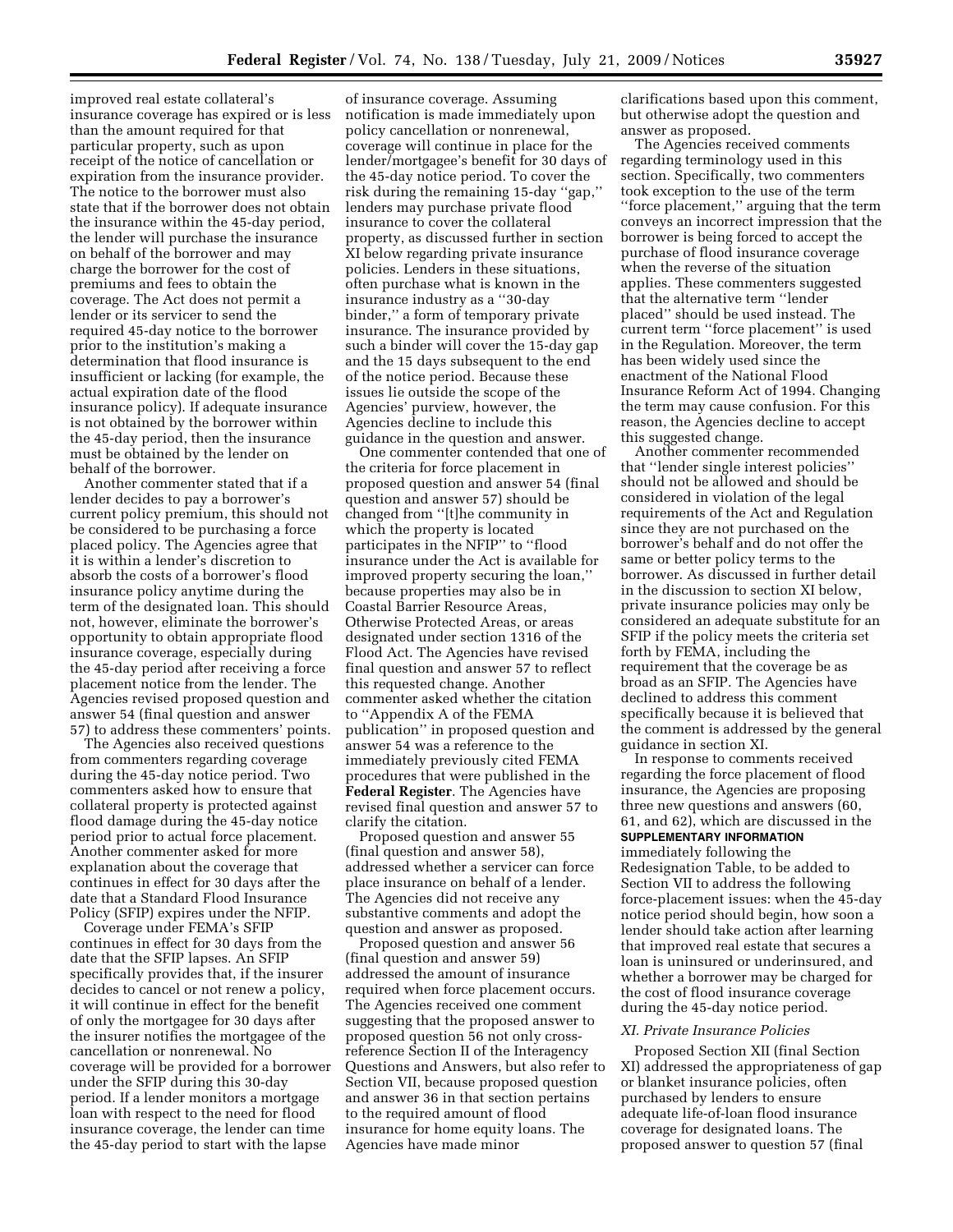improved real estate collateral's insurance coverage has expired or is less than the amount required for that particular property, such as upon receipt of the notice of cancellation or expiration from the insurance provider. The notice to the borrower must also state that if the borrower does not obtain the insurance within the 45-day period, the lender will purchase the insurance on behalf of the borrower and may charge the borrower for the cost of premiums and fees to obtain the coverage. The Act does not permit a lender or its servicer to send the required 45-day notice to the borrower prior to the institution's making a determination that flood insurance is insufficient or lacking (for example, the actual expiration date of the flood insurance policy). If adequate insurance is not obtained by the borrower within the 45-day period, then the insurance must be obtained by the lender on behalf of the borrower.

Another commenter stated that if a lender decides to pay a borrower's current policy premium, this should not be considered to be purchasing a force placed policy. The Agencies agree that it is within a lender's discretion to absorb the costs of a borrower's flood insurance policy anytime during the term of the designated loan. This should not, however, eliminate the borrower's opportunity to obtain appropriate flood insurance coverage, especially during the 45-day period after receiving a force placement notice from the lender. The Agencies revised proposed question and answer 54 (final question and answer 57) to address these commenters' points.

The Agencies also received questions from commenters regarding coverage during the 45-day notice period. Two commenters asked how to ensure that collateral property is protected against flood damage during the 45-day notice period prior to actual force placement. Another commenter asked for more explanation about the coverage that continues in effect for 30 days after the date that a Standard Flood Insurance Policy (SFIP) expires under the NFIP.

Coverage under FEMA's SFIP continues in effect for 30 days from the date that the SFIP lapses. An SFIP specifically provides that, if the insurer decides to cancel or not renew a policy, it will continue in effect for the benefit of only the mortgagee for 30 days after the insurer notifies the mortgagee of the cancellation or nonrenewal. No coverage will be provided for a borrower under the SFIP during this 30-day period. If a lender monitors a mortgage loan with respect to the need for flood insurance coverage, the lender can time the 45-day period to start with the lapse

of insurance coverage. Assuming notification is made immediately upon policy cancellation or nonrenewal, coverage will continue in place for the lender/mortgagee's benefit for 30 days of the 45-day notice period. To cover the risk during the remaining 15-day ''gap,'' lenders may purchase private flood insurance to cover the collateral property, as discussed further in section XI below regarding private insurance policies. Lenders in these situations, often purchase what is known in the insurance industry as a ''30-day binder,'' a form of temporary private insurance. The insurance provided by such a binder will cover the 15-day gap and the 15 days subsequent to the end of the notice period. Because these issues lie outside the scope of the Agencies' purview, however, the Agencies decline to include this guidance in the question and answer.

One commenter contended that one of the criteria for force placement in proposed question and answer 54 (final question and answer 57) should be changed from ''[t]he community in which the property is located participates in the NFIP'' to ''flood insurance under the Act is available for improved property securing the loan,'' because properties may also be in Coastal Barrier Resource Areas, Otherwise Protected Areas, or areas designated under section 1316 of the Flood Act. The Agencies have revised final question and answer 57 to reflect this requested change. Another commenter asked whether the citation to ''Appendix A of the FEMA publication'' in proposed question and answer 54 was a reference to the immediately previously cited FEMA procedures that were published in the **Federal Register**. The Agencies have revised final question and answer 57 to clarify the citation.

Proposed question and answer 55 (final question and answer 58), addressed whether a servicer can force place insurance on behalf of a lender. The Agencies did not receive any substantive comments and adopt the question and answer as proposed.

Proposed question and answer 56 (final question and answer 59) addressed the amount of insurance required when force placement occurs. The Agencies received one comment suggesting that the proposed answer to proposed question 56 not only crossreference Section II of the Interagency Questions and Answers, but also refer to Section VII, because proposed question and answer 36 in that section pertains to the required amount of flood insurance for home equity loans. The Agencies have made minor

clarifications based upon this comment, but otherwise adopt the question and answer as proposed.

The Agencies received comments regarding terminology used in this section. Specifically, two commenters took exception to the use of the term ''force placement,'' arguing that the term conveys an incorrect impression that the borrower is being forced to accept the purchase of flood insurance coverage when the reverse of the situation applies. These commenters suggested that the alternative term ''lender placed'' should be used instead. The current term ''force placement'' is used in the Regulation. Moreover, the term has been widely used since the enactment of the National Flood Insurance Reform Act of 1994. Changing the term may cause confusion. For this reason, the Agencies decline to accept this suggested change.

Another commenter recommended that ''lender single interest policies'' should not be allowed and should be considered in violation of the legal requirements of the Act and Regulation since they are not purchased on the borrower's behalf and do not offer the same or better policy terms to the borrower. As discussed in further detail in the discussion to section XI below, private insurance policies may only be considered an adequate substitute for an SFIP if the policy meets the criteria set forth by FEMA, including the requirement that the coverage be as broad as an SFIP. The Agencies have declined to address this comment specifically because it is believed that the comment is addressed by the general guidance in section XI.

In response to comments received regarding the force placement of flood insurance, the Agencies are proposing three new questions and answers (60, 61, and 62), which are discussed in the **SUPPLEMENTARY INFORMATION**

immediately following the

Redesignation Table, to be added to Section VII to address the following force-placement issues: when the 45-day notice period should begin, how soon a lender should take action after learning that improved real estate that secures a loan is uninsured or underinsured, and whether a borrower may be charged for the cost of flood insurance coverage during the 45-day notice period.

#### *XI. Private Insurance Policies*

Proposed Section XII (final Section XI) addressed the appropriateness of gap or blanket insurance policies, often purchased by lenders to ensure adequate life-of-loan flood insurance coverage for designated loans. The proposed answer to question 57 (final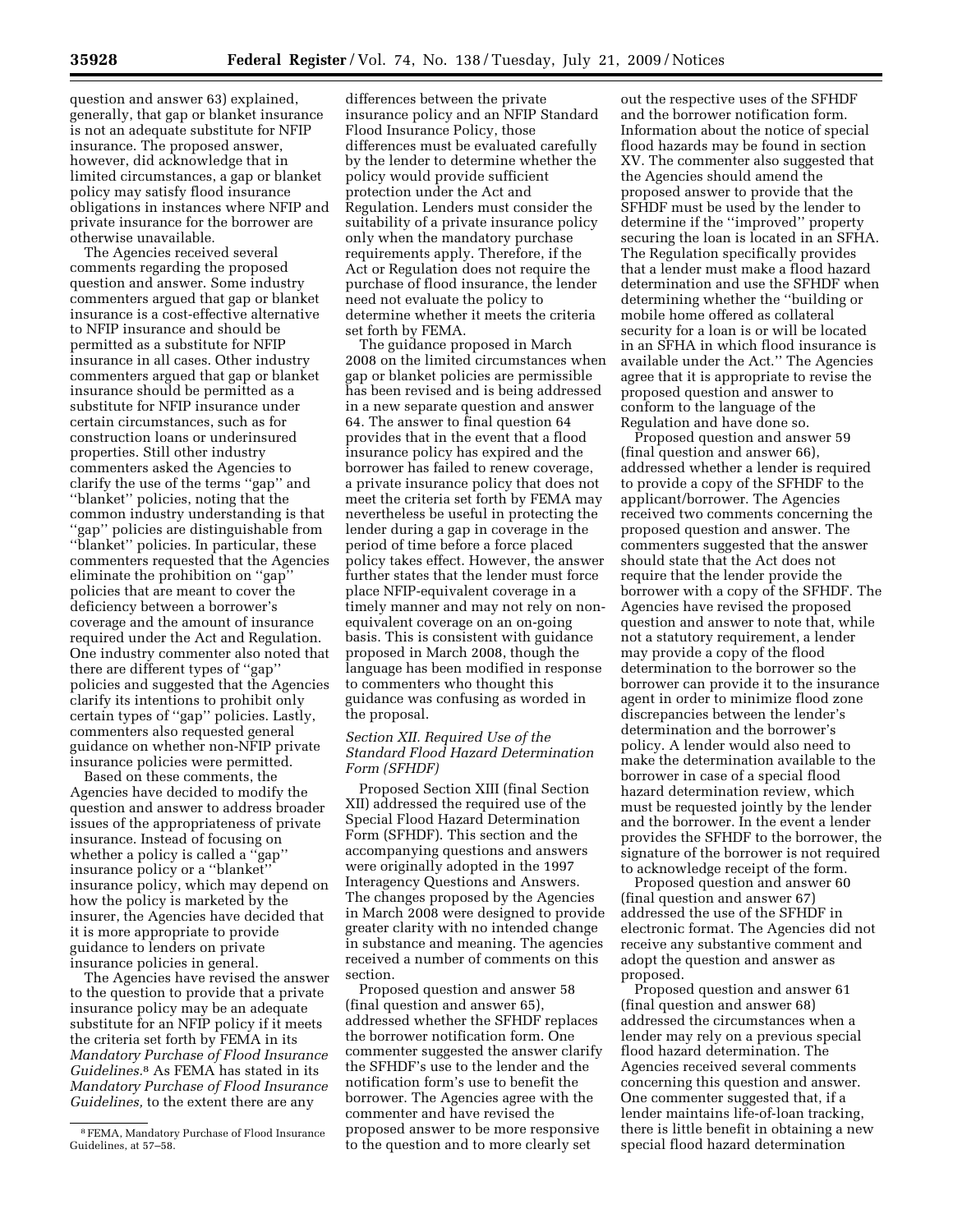question and answer 63) explained, generally, that gap or blanket insurance is not an adequate substitute for NFIP insurance. The proposed answer, however, did acknowledge that in limited circumstances, a gap or blanket policy may satisfy flood insurance obligations in instances where NFIP and private insurance for the borrower are otherwise unavailable.

The Agencies received several comments regarding the proposed question and answer. Some industry commenters argued that gap or blanket insurance is a cost-effective alternative to NFIP insurance and should be permitted as a substitute for NFIP insurance in all cases. Other industry commenters argued that gap or blanket insurance should be permitted as a substitute for NFIP insurance under certain circumstances, such as for construction loans or underinsured properties. Still other industry commenters asked the Agencies to clarify the use of the terms ''gap'' and ''blanket'' policies, noting that the common industry understanding is that ''gap'' policies are distinguishable from ''blanket'' policies. In particular, these commenters requested that the Agencies eliminate the prohibition on ''gap'' policies that are meant to cover the deficiency between a borrower's coverage and the amount of insurance required under the Act and Regulation. One industry commenter also noted that there are different types of ''gap'' policies and suggested that the Agencies clarify its intentions to prohibit only certain types of ''gap'' policies. Lastly, commenters also requested general guidance on whether non-NFIP private insurance policies were permitted.

Based on these comments, the Agencies have decided to modify the question and answer to address broader issues of the appropriateness of private insurance. Instead of focusing on whether a policy is called a "gap" insurance policy or a ''blanket'' insurance policy, which may depend on how the policy is marketed by the insurer, the Agencies have decided that it is more appropriate to provide guidance to lenders on private insurance policies in general.

The Agencies have revised the answer to the question to provide that a private insurance policy may be an adequate substitute for an NFIP policy if it meets the criteria set forth by FEMA in its *Mandatory Purchase of Flood Insurance Guidelines.*8 As FEMA has stated in its *Mandatory Purchase of Flood Insurance Guidelines,* to the extent there are any

differences between the private insurance policy and an NFIP Standard Flood Insurance Policy, those differences must be evaluated carefully by the lender to determine whether the policy would provide sufficient protection under the Act and Regulation. Lenders must consider the suitability of a private insurance policy only when the mandatory purchase requirements apply. Therefore, if the Act or Regulation does not require the purchase of flood insurance, the lender need not evaluate the policy to determine whether it meets the criteria set forth by FEMA.

The guidance proposed in March 2008 on the limited circumstances when gap or blanket policies are permissible has been revised and is being addressed in a new separate question and answer 64. The answer to final question 64 provides that in the event that a flood insurance policy has expired and the borrower has failed to renew coverage, a private insurance policy that does not meet the criteria set forth by FEMA may nevertheless be useful in protecting the lender during a gap in coverage in the period of time before a force placed policy takes effect. However, the answer further states that the lender must force place NFIP-equivalent coverage in a timely manner and may not rely on nonequivalent coverage on an on-going basis. This is consistent with guidance proposed in March 2008, though the language has been modified in response to commenters who thought this guidance was confusing as worded in the proposal.

# *Section XII. Required Use of the Standard Flood Hazard Determination Form (SFHDF)*

Proposed Section XIII (final Section XII) addressed the required use of the Special Flood Hazard Determination Form (SFHDF). This section and the accompanying questions and answers were originally adopted in the 1997 Interagency Questions and Answers. The changes proposed by the Agencies in March 2008 were designed to provide greater clarity with no intended change in substance and meaning. The agencies received a number of comments on this section.

Proposed question and answer 58 (final question and answer 65), addressed whether the SFHDF replaces the borrower notification form. One commenter suggested the answer clarify the SFHDF's use to the lender and the notification form's use to benefit the borrower. The Agencies agree with the commenter and have revised the proposed answer to be more responsive to the question and to more clearly set

out the respective uses of the SFHDF and the borrower notification form. Information about the notice of special flood hazards may be found in section XV. The commenter also suggested that the Agencies should amend the proposed answer to provide that the SFHDF must be used by the lender to determine if the ''improved'' property securing the loan is located in an SFHA. The Regulation specifically provides that a lender must make a flood hazard determination and use the SFHDF when determining whether the ''building or mobile home offered as collateral security for a loan is or will be located in an SFHA in which flood insurance is available under the Act.'' The Agencies agree that it is appropriate to revise the proposed question and answer to conform to the language of the Regulation and have done so.

Proposed question and answer 59 (final question and answer 66), addressed whether a lender is required to provide a copy of the SFHDF to the applicant/borrower. The Agencies received two comments concerning the proposed question and answer. The commenters suggested that the answer should state that the Act does not require that the lender provide the borrower with a copy of the SFHDF. The Agencies have revised the proposed question and answer to note that, while not a statutory requirement, a lender may provide a copy of the flood determination to the borrower so the borrower can provide it to the insurance agent in order to minimize flood zone discrepancies between the lender's determination and the borrower's policy. A lender would also need to make the determination available to the borrower in case of a special flood hazard determination review, which must be requested jointly by the lender and the borrower. In the event a lender provides the SFHDF to the borrower, the signature of the borrower is not required to acknowledge receipt of the form.

Proposed question and answer 60 (final question and answer 67) addressed the use of the SFHDF in electronic format. The Agencies did not receive any substantive comment and adopt the question and answer as proposed.

Proposed question and answer 61 (final question and answer 68) addressed the circumstances when a lender may rely on a previous special flood hazard determination. The Agencies received several comments concerning this question and answer. One commenter suggested that, if a lender maintains life-of-loan tracking, there is little benefit in obtaining a new special flood hazard determination

<sup>8</sup>FEMA, Mandatory Purchase of Flood Insurance Guidelines, at 57–58.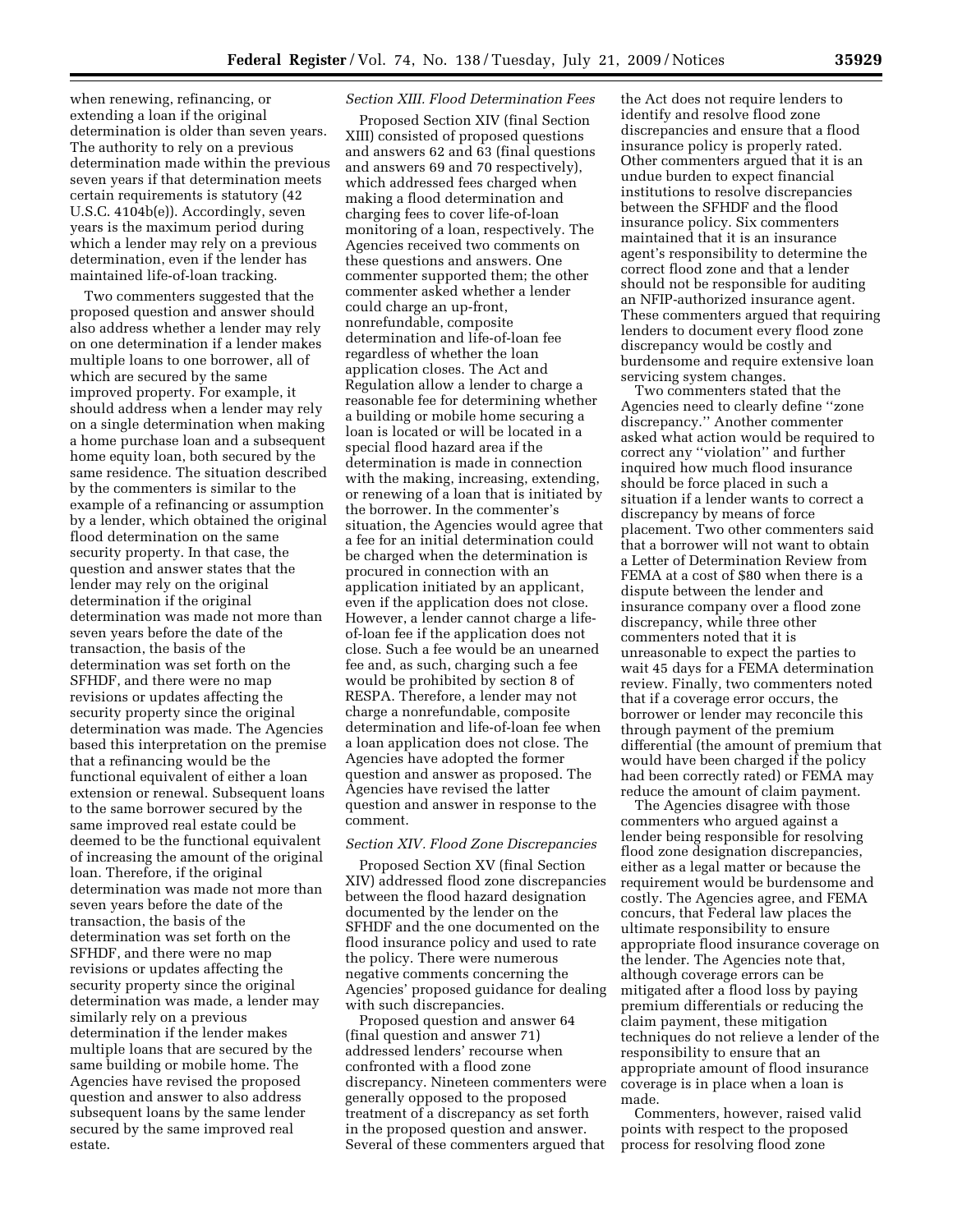when renewing, refinancing, or extending a loan if the original determination is older than seven years. The authority to rely on a previous determination made within the previous seven years if that determination meets certain requirements is statutory (42 U.S.C. 4104b(e)). Accordingly, seven years is the maximum period during which a lender may rely on a previous determination, even if the lender has maintained life-of-loan tracking.

Two commenters suggested that the proposed question and answer should also address whether a lender may rely on one determination if a lender makes multiple loans to one borrower, all of which are secured by the same improved property. For example, it should address when a lender may rely on a single determination when making a home purchase loan and a subsequent home equity loan, both secured by the same residence. The situation described by the commenters is similar to the example of a refinancing or assumption by a lender, which obtained the original flood determination on the same security property. In that case, the question and answer states that the lender may rely on the original determination if the original determination was made not more than seven years before the date of the transaction, the basis of the determination was set forth on the SFHDF, and there were no map revisions or updates affecting the security property since the original determination was made. The Agencies based this interpretation on the premise that a refinancing would be the functional equivalent of either a loan extension or renewal. Subsequent loans to the same borrower secured by the same improved real estate could be deemed to be the functional equivalent of increasing the amount of the original loan. Therefore, if the original determination was made not more than seven years before the date of the transaction, the basis of the determination was set forth on the SFHDF, and there were no map revisions or updates affecting the security property since the original determination was made, a lender may similarly rely on a previous determination if the lender makes multiple loans that are secured by the same building or mobile home. The Agencies have revised the proposed question and answer to also address subsequent loans by the same lender secured by the same improved real estate.

# *Section XIII. Flood Determination Fees*

Proposed Section XIV (final Section XIII) consisted of proposed questions and answers 62 and 63 (final questions and answers 69 and 70 respectively), which addressed fees charged when making a flood determination and charging fees to cover life-of-loan monitoring of a loan, respectively. The Agencies received two comments on these questions and answers. One commenter supported them; the other commenter asked whether a lender could charge an up-front, nonrefundable, composite determination and life-of-loan fee regardless of whether the loan application closes. The Act and Regulation allow a lender to charge a reasonable fee for determining whether a building or mobile home securing a loan is located or will be located in a special flood hazard area if the determination is made in connection with the making, increasing, extending, or renewing of a loan that is initiated by the borrower. In the commenter's situation, the Agencies would agree that a fee for an initial determination could be charged when the determination is procured in connection with an application initiated by an applicant, even if the application does not close. However, a lender cannot charge a lifeof-loan fee if the application does not close. Such a fee would be an unearned fee and, as such, charging such a fee would be prohibited by section 8 of RESPA. Therefore, a lender may not charge a nonrefundable, composite determination and life-of-loan fee when a loan application does not close. The Agencies have adopted the former question and answer as proposed. The Agencies have revised the latter question and answer in response to the comment.

# *Section XIV. Flood Zone Discrepancies*

Proposed Section XV (final Section XIV) addressed flood zone discrepancies between the flood hazard designation documented by the lender on the SFHDF and the one documented on the flood insurance policy and used to rate the policy. There were numerous negative comments concerning the Agencies' proposed guidance for dealing with such discrepancies.

Proposed question and answer 64 (final question and answer 71) addressed lenders' recourse when confronted with a flood zone discrepancy. Nineteen commenters were generally opposed to the proposed treatment of a discrepancy as set forth in the proposed question and answer. Several of these commenters argued that

the Act does not require lenders to identify and resolve flood zone discrepancies and ensure that a flood insurance policy is properly rated. Other commenters argued that it is an undue burden to expect financial institutions to resolve discrepancies between the SFHDF and the flood insurance policy. Six commenters maintained that it is an insurance agent's responsibility to determine the correct flood zone and that a lender should not be responsible for auditing an NFIP-authorized insurance agent. These commenters argued that requiring lenders to document every flood zone discrepancy would be costly and burdensome and require extensive loan servicing system changes.

Two commenters stated that the Agencies need to clearly define ''zone discrepancy.'' Another commenter asked what action would be required to correct any ''violation'' and further inquired how much flood insurance should be force placed in such a situation if a lender wants to correct a discrepancy by means of force placement. Two other commenters said that a borrower will not want to obtain a Letter of Determination Review from FEMA at a cost of \$80 when there is a dispute between the lender and insurance company over a flood zone discrepancy, while three other commenters noted that it is unreasonable to expect the parties to wait 45 days for a FEMA determination review. Finally, two commenters noted that if a coverage error occurs, the borrower or lender may reconcile this through payment of the premium differential (the amount of premium that would have been charged if the policy had been correctly rated) or FEMA may reduce the amount of claim payment.

The Agencies disagree with those commenters who argued against a lender being responsible for resolving flood zone designation discrepancies, either as a legal matter or because the requirement would be burdensome and costly. The Agencies agree, and FEMA concurs, that Federal law places the ultimate responsibility to ensure appropriate flood insurance coverage on the lender. The Agencies note that, although coverage errors can be mitigated after a flood loss by paying premium differentials or reducing the claim payment, these mitigation techniques do not relieve a lender of the responsibility to ensure that an appropriate amount of flood insurance coverage is in place when a loan is made.

Commenters, however, raised valid points with respect to the proposed process for resolving flood zone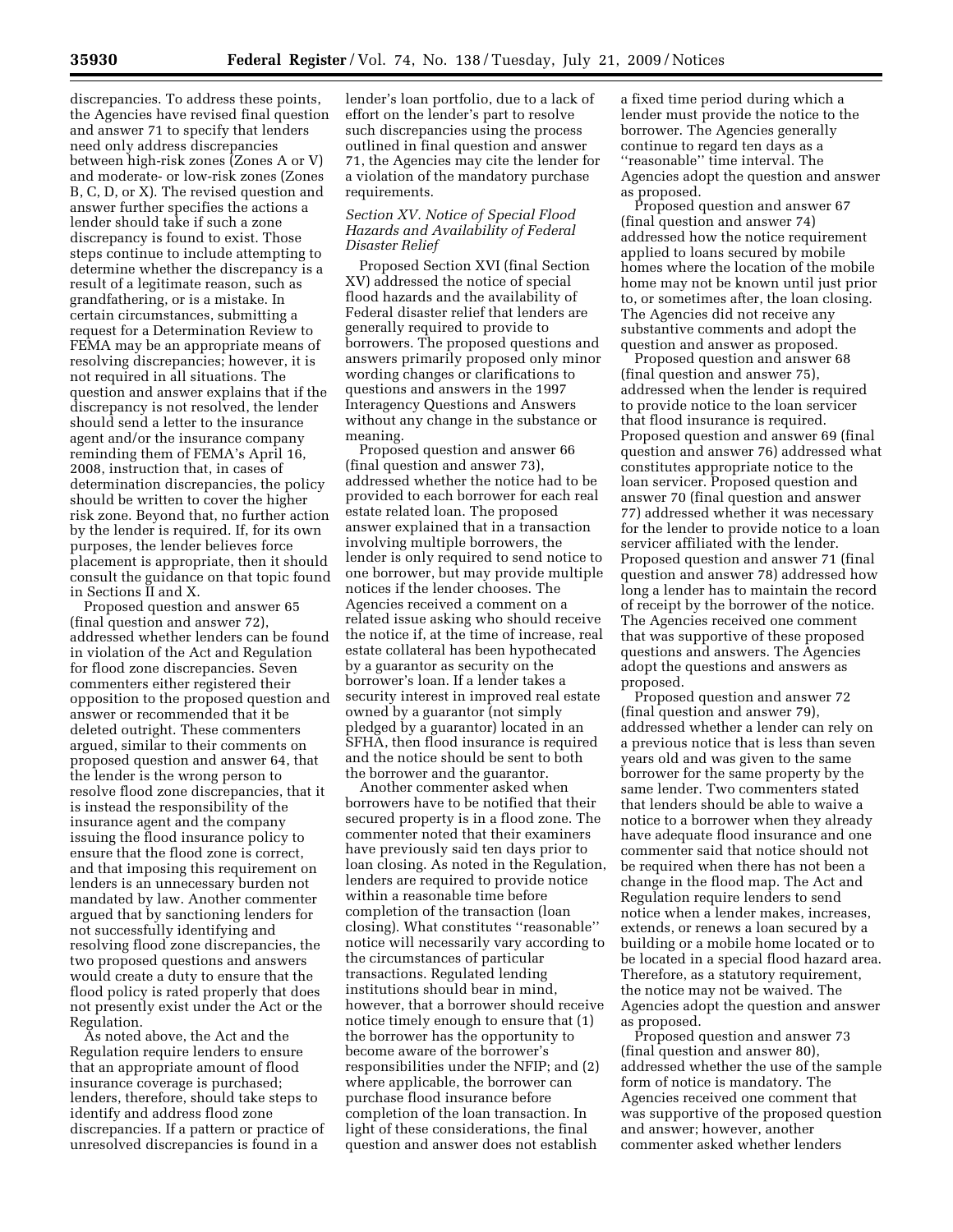discrepancies. To address these points, the Agencies have revised final question and answer 71 to specify that lenders need only address discrepancies between high-risk zones (Zones A or V) and moderate- or low-risk zones (Zones B, C, D, or X). The revised question and answer further specifies the actions a lender should take if such a zone discrepancy is found to exist. Those steps continue to include attempting to determine whether the discrepancy is a result of a legitimate reason, such as grandfathering, or is a mistake. In certain circumstances, submitting a request for a Determination Review to FEMA may be an appropriate means of resolving discrepancies; however, it is not required in all situations. The question and answer explains that if the discrepancy is not resolved, the lender should send a letter to the insurance agent and/or the insurance company reminding them of FEMA's April 16, 2008, instruction that, in cases of determination discrepancies, the policy should be written to cover the higher risk zone. Beyond that, no further action by the lender is required. If, for its own purposes, the lender believes force placement is appropriate, then it should consult the guidance on that topic found in Sections II and X.

Proposed question and answer 65 (final question and answer 72), addressed whether lenders can be found in violation of the Act and Regulation for flood zone discrepancies. Seven commenters either registered their opposition to the proposed question and answer or recommended that it be deleted outright. These commenters argued, similar to their comments on proposed question and answer 64, that the lender is the wrong person to resolve flood zone discrepancies, that it is instead the responsibility of the insurance agent and the company issuing the flood insurance policy to ensure that the flood zone is correct, and that imposing this requirement on lenders is an unnecessary burden not mandated by law. Another commenter argued that by sanctioning lenders for not successfully identifying and resolving flood zone discrepancies, the two proposed questions and answers would create a duty to ensure that the flood policy is rated properly that does not presently exist under the Act or the Regulation.

As noted above, the Act and the Regulation require lenders to ensure that an appropriate amount of flood insurance coverage is purchased; lenders, therefore, should take steps to identify and address flood zone discrepancies. If a pattern or practice of unresolved discrepancies is found in a

lender's loan portfolio, due to a lack of effort on the lender's part to resolve such discrepancies using the process outlined in final question and answer 71, the Agencies may cite the lender for a violation of the mandatory purchase requirements.

# *Section XV. Notice of Special Flood Hazards and Availability of Federal Disaster Relief*

Proposed Section XVI (final Section XV) addressed the notice of special flood hazards and the availability of Federal disaster relief that lenders are generally required to provide to borrowers. The proposed questions and answers primarily proposed only minor wording changes or clarifications to questions and answers in the 1997 Interagency Questions and Answers without any change in the substance or meaning.

Proposed question and answer 66 (final question and answer 73), addressed whether the notice had to be provided to each borrower for each real estate related loan. The proposed answer explained that in a transaction involving multiple borrowers, the lender is only required to send notice to one borrower, but may provide multiple notices if the lender chooses. The Agencies received a comment on a related issue asking who should receive the notice if, at the time of increase, real estate collateral has been hypothecated by a guarantor as security on the borrower's loan. If a lender takes a security interest in improved real estate owned by a guarantor (not simply pledged by a guarantor) located in an SFHA, then flood insurance is required and the notice should be sent to both the borrower and the guarantor.

Another commenter asked when borrowers have to be notified that their secured property is in a flood zone. The commenter noted that their examiners have previously said ten days prior to loan closing. As noted in the Regulation, lenders are required to provide notice within a reasonable time before completion of the transaction (loan closing). What constitutes ''reasonable'' notice will necessarily vary according to the circumstances of particular transactions. Regulated lending institutions should bear in mind, however, that a borrower should receive notice timely enough to ensure that (1) the borrower has the opportunity to become aware of the borrower's responsibilities under the NFIP; and (2) where applicable, the borrower can purchase flood insurance before completion of the loan transaction. In light of these considerations, the final question and answer does not establish

a fixed time period during which a lender must provide the notice to the borrower. The Agencies generally continue to regard ten days as a ''reasonable'' time interval. The Agencies adopt the question and answer as proposed.

Proposed question and answer 67 (final question and answer 74) addressed how the notice requirement applied to loans secured by mobile homes where the location of the mobile home may not be known until just prior to, or sometimes after, the loan closing. The Agencies did not receive any substantive comments and adopt the question and answer as proposed.

Proposed question and answer 68 (final question and answer 75), addressed when the lender is required to provide notice to the loan servicer that flood insurance is required. Proposed question and answer 69 (final question and answer 76) addressed what constitutes appropriate notice to the loan servicer. Proposed question and answer 70 (final question and answer 77) addressed whether it was necessary for the lender to provide notice to a loan servicer affiliated with the lender. Proposed question and answer 71 (final question and answer 78) addressed how long a lender has to maintain the record of receipt by the borrower of the notice. The Agencies received one comment that was supportive of these proposed questions and answers. The Agencies adopt the questions and answers as proposed.

Proposed question and answer 72 (final question and answer 79), addressed whether a lender can rely on a previous notice that is less than seven years old and was given to the same borrower for the same property by the same lender. Two commenters stated that lenders should be able to waive a notice to a borrower when they already have adequate flood insurance and one commenter said that notice should not be required when there has not been a change in the flood map. The Act and Regulation require lenders to send notice when a lender makes, increases, extends, or renews a loan secured by a building or a mobile home located or to be located in a special flood hazard area. Therefore, as a statutory requirement, the notice may not be waived. The Agencies adopt the question and answer as proposed.

Proposed question and answer 73 (final question and answer 80), addressed whether the use of the sample form of notice is mandatory. The Agencies received one comment that was supportive of the proposed question and answer; however, another commenter asked whether lenders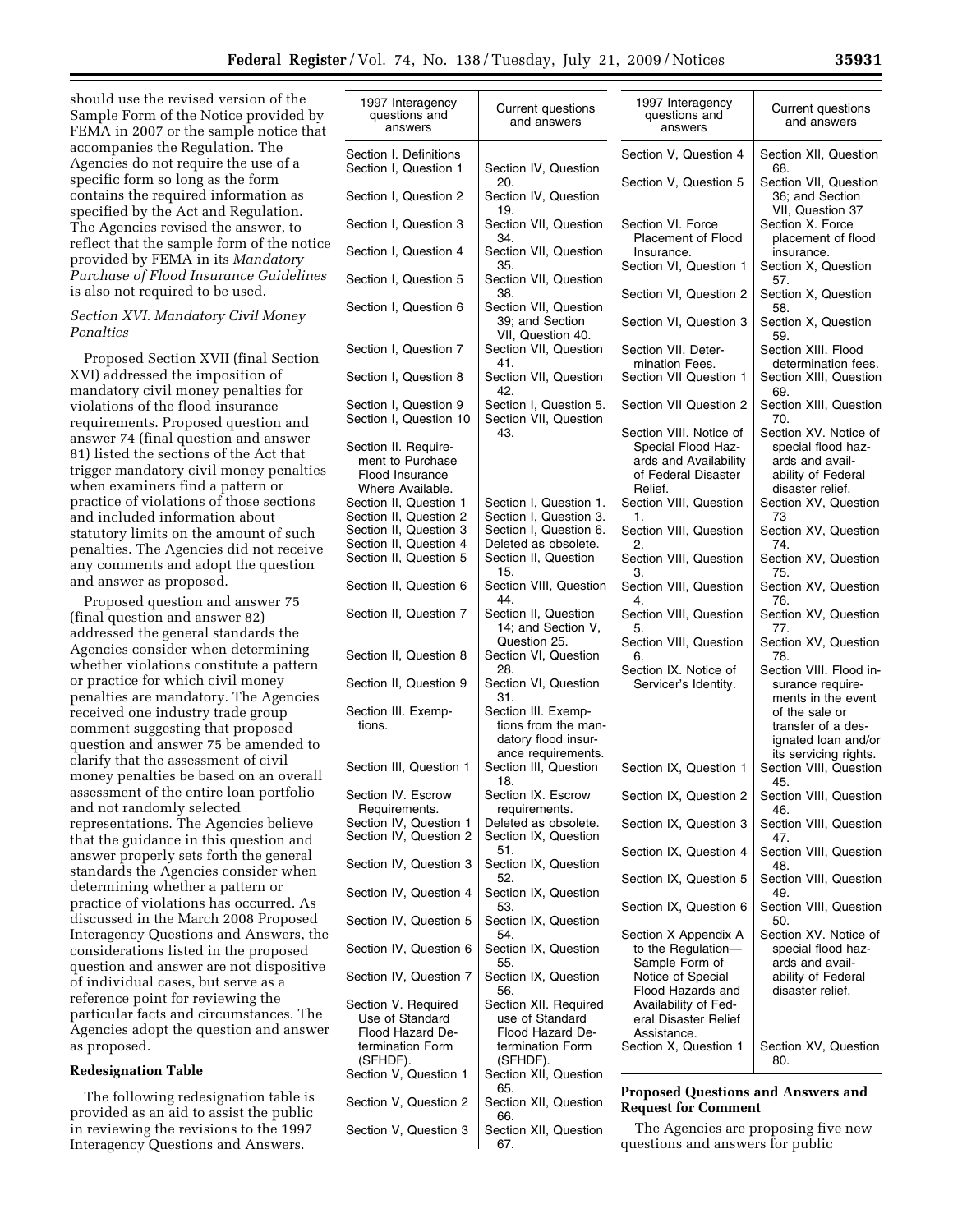should use the revised version of the Sample Form of the Notice provided by FEMA in 2007 or the sample notice that accompanies the Regulation. The Agencies do not require the use of a specific form so long as the form contains the required information as specified by the Act and Regulation. The Agencies revised the answer, to reflect that the sample form of the notice provided by FEMA in its *Mandatory Purchase of Flood Insurance Guidelines*  is also not required to be used.

## *Section XVI. Mandatory Civil Money Penalties*

Proposed Section XVII (final Section XVI) addressed the imposition of mandatory civil money penalties for violations of the flood insurance requirements. Proposed question and answer 74 (final question and answer 81) listed the sections of the Act that trigger mandatory civil money penalties when examiners find a pattern or practice of violations of those sections and included information about statutory limits on the amount of such penalties. The Agencies did not receive any comments and adopt the question and answer as proposed.

Proposed question and answer 75 (final question and answer 82) addressed the general standards the Agencies consider when determining whether violations constitute a pattern or practice for which civil money penalties are mandatory. The Agencies received one industry trade group comment suggesting that proposed question and answer 75 be amended to clarify that the assessment of civil money penalties be based on an overall assessment of the entire loan portfolio and not randomly selected representations. The Agencies believe that the guidance in this question and answer properly sets forth the general standards the Agencies consider when determining whether a pattern or practice of violations has occurred. As discussed in the March 2008 Proposed Interagency Questions and Answers, the considerations listed in the proposed question and answer are not dispositive of individual cases, but serve as a reference point for reviewing the particular facts and circumstances. The Agencies adopt the question and answer as proposed.

## **Redesignation Table**

The following redesignation table is provided as an aid to assist the public in reviewing the revisions to the 1997 Interagency Questions and Answers.

| 1997 Interagency<br>questions and<br>answers     | Current questions<br>and answers                   | 1997 Interagency<br>questions and<br>answers               | <b>Current questions</b><br>and answers                 |
|--------------------------------------------------|----------------------------------------------------|------------------------------------------------------------|---------------------------------------------------------|
| Section I. Definitions<br>Section I, Question 1  | Section IV, Question                               | Section V, Question 4                                      | Section XII, Question<br>68.                            |
| Section I, Question 2                            | 20.<br>Section IV, Question                        | Section V, Question 5                                      | Section VII, Question<br>36; and Section                |
| Section I, Question 3                            | 19.<br>Section VII, Question                       | Section VI. Force                                          | VII, Question 37<br>Section X. Force                    |
| Section I, Question 4                            | 34.<br>Section VII, Question<br>35.                | Placement of Flood<br>Insurance.<br>Section VI, Question 1 | placement of flood<br>insurance.<br>Section X, Question |
| Section I, Question 5                            | Section VII, Question<br>38.                       | Section VI, Question 2                                     | 57.<br>Section X, Question                              |
| Section I, Question 6                            | Section VII, Question<br>39; and Section           | Section VI, Question 3                                     | 58.<br>Section X, Question                              |
| Section I, Question 7                            | VII, Question 40.<br>Section VII, Question<br>41.  | Section VII. Deter-<br>mination Fees.                      | 59.<br>Section XIII. Flood<br>determination fees.       |
| Section I, Question 8                            | Section VII, Question<br>42.                       | Section VII Question 1                                     | Section XIII, Question<br>69.                           |
| Section I, Question 9<br>Section I, Question 10  | Section I, Question 5.<br>Section VII, Question    | Section VII Question 2                                     | Section XIII, Question<br>70.                           |
| Section II. Require-                             | 43.                                                | Section VIII. Notice of<br>Special Flood Haz-              | Section XV. Notice of<br>special flood haz-             |
| ment to Purchase                                 |                                                    | ards and Availability                                      | ards and avail-                                         |
| Flood Insurance                                  |                                                    | of Federal Disaster                                        | ability of Federal                                      |
| Where Available.                                 |                                                    | Relief.                                                    | disaster relief.                                        |
| Section II, Question 1                           | Section I, Question 1.                             | Section VIII, Question                                     | Section XV, Question                                    |
| Section II, Question 2                           | Section I, Question 3.                             | 1.                                                         | 73                                                      |
| Section II, Question 3                           | Section I, Question 6.<br>Deleted as obsolete.     | Section VIII, Question                                     | Section XV, Question                                    |
| Section II, Question 4<br>Section II, Question 5 | Section II, Question<br>15.                        | 2.<br>Section VIII, Question<br>3.                         | 74.<br>Section XV, Question<br>75.                      |
| Section II, Question 6                           | Section VIII, Question<br>44.                      | Section VIII, Question<br>4.                               | Section XV, Question<br>76.                             |
| Section II, Question 7                           | Section II, Question<br>14; and Section V,         | Section VIII, Question<br>5.                               | Section XV, Question<br>77.                             |
| Section II, Question 8                           | Question 25.<br>Section VI, Question               | Section VIII, Question<br>6.                               | Section XV, Question<br>78.                             |
| Section II, Question 9                           | 28.<br>Section VI, Question<br>31.                 | Section IX. Notice of<br>Servicer's Identity.              | Section VIII. Flood in-<br>surance require-             |
| Section III. Exemp-                              | Section III. Exemp-                                |                                                            | ments in the event<br>of the sale or                    |
| tions.                                           | tions from the man-<br>datory flood insur-         |                                                            | transfer of a des-<br>ignated loan and/or               |
| Section III, Question 1                          | ance requirements.<br>Section III, Question<br>18. | Section IX, Question 1                                     | its servicing rights.<br>Section VIII, Question<br>45.  |
| Section IV. Escrow                               | Section IX. Escrow                                 | Section IX, Question 2                                     | Section VIII, Question                                  |
| Requirements.                                    | requirements.                                      |                                                            | 46.                                                     |
| Section IV, Question 1<br>Section IV, Question 2 | Deleted as obsolete.<br>Section IX, Question       | Section IX, Question 3                                     | Section VIII, Question<br>47.                           |
| Section IV, Question 3                           | 51.<br>Section IX, Question                        | Section IX, Question 4                                     | Section VIII, Question<br>48.                           |
| Section IV, Question 4                           | 52.<br>Section IX, Question<br>53.                 | Section IX, Question 5<br>Section IX, Question 6           | Section VIII, Question<br>49.<br>Section VIII, Question |
| Section IV, Question 5                           | Section IX, Question<br>54.                        | Section X Appendix A                                       | 50.<br>Section XV. Notice of                            |
| Section IV, Question 6                           | Section IX, Question<br>55.                        | to the Regulation-<br>Sample Form of                       | special flood haz-<br>ards and avail-                   |
| Section IV, Question 7                           | Section IX, Question<br>56.                        | Notice of Special<br>Flood Hazards and                     | ability of Federal<br>disaster relief.                  |
| Section V. Required<br>Use of Standard           | Section XII. Required<br>use of Standard           | Availability of Fed-<br>eral Disaster Relief               |                                                         |
| Flood Hazard De-                                 | Flood Hazard De-                                   | Assistance.                                                |                                                         |
| termination Form                                 | termination Form                                   | Section X, Question 1                                      | Section XV, Question                                    |
| (SFHDF).<br>Section V, Question 1                | (SFHDF).<br>Section XII, Question                  |                                                            | 80.                                                     |
|                                                  | 65.                                                | <b>Proposed Questions and Answers and</b>                  |                                                         |
| Section V, Question 2                            | Section XII, Question<br>66.                       | <b>Request for Comment</b>                                 |                                                         |
| Section V, Question 3                            | Section XII, Question                              | The Agencies are proposing five new                        |                                                         |

67.

questions and answers for public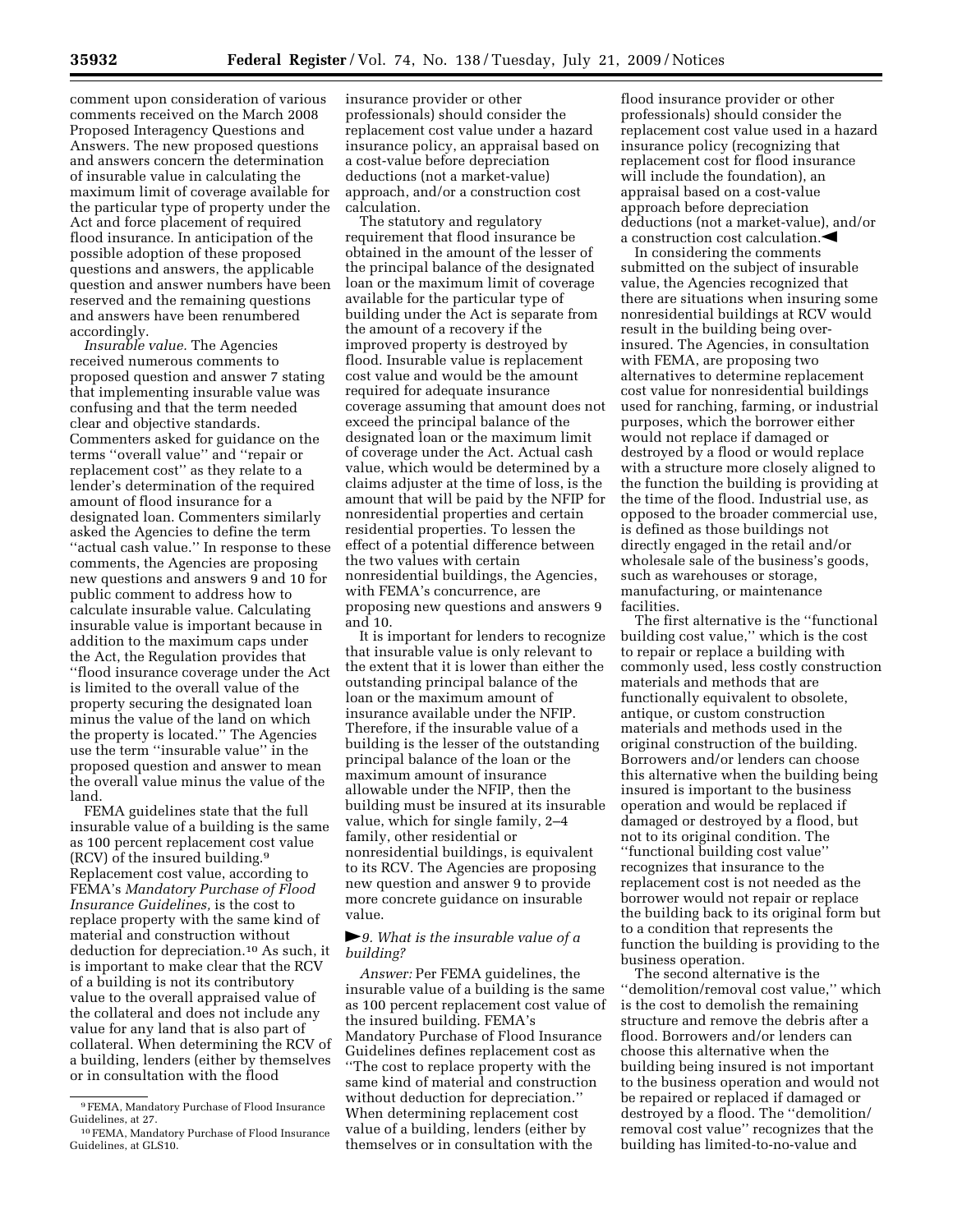comment upon consideration of various comments received on the March 2008 Proposed Interagency Questions and Answers. The new proposed questions and answers concern the determination of insurable value in calculating the maximum limit of coverage available for the particular type of property under the Act and force placement of required flood insurance. In anticipation of the possible adoption of these proposed questions and answers, the applicable question and answer numbers have been reserved and the remaining questions and answers have been renumbered accordingly.

*Insurable value.* The Agencies received numerous comments to proposed question and answer 7 stating that implementing insurable value was confusing and that the term needed clear and objective standards. Commenters asked for guidance on the terms ''overall value'' and ''repair or replacement cost'' as they relate to a lender's determination of the required amount of flood insurance for a designated loan. Commenters similarly asked the Agencies to define the term ''actual cash value.'' In response to these comments, the Agencies are proposing new questions and answers 9 and 10 for public comment to address how to calculate insurable value. Calculating insurable value is important because in addition to the maximum caps under the Act, the Regulation provides that ''flood insurance coverage under the Act is limited to the overall value of the property securing the designated loan minus the value of the land on which the property is located.'' The Agencies use the term ''insurable value'' in the proposed question and answer to mean the overall value minus the value of the land.

FEMA guidelines state that the full insurable value of a building is the same as 100 percent replacement cost value (RCV) of the insured building.9 Replacement cost value, according to FEMA's *Mandatory Purchase of Flood Insurance Guidelines,* is the cost to replace property with the same kind of material and construction without deduction for depreciation.10 As such, it is important to make clear that the RCV of a building is not its contributory value to the overall appraised value of the collateral and does not include any value for any land that is also part of collateral. When determining the RCV of a building, lenders (either by themselves or in consultation with the flood

insurance provider or other professionals) should consider the replacement cost value under a hazard insurance policy, an appraisal based on a cost-value before depreciation deductions (not a market-value) approach, and/or a construction cost calculation.

The statutory and regulatory requirement that flood insurance be obtained in the amount of the lesser of the principal balance of the designated loan or the maximum limit of coverage available for the particular type of building under the Act is separate from the amount of a recovery if the improved property is destroyed by flood. Insurable value is replacement cost value and would be the amount required for adequate insurance coverage assuming that amount does not exceed the principal balance of the designated loan or the maximum limit of coverage under the Act. Actual cash value, which would be determined by a claims adjuster at the time of loss, is the amount that will be paid by the NFIP for nonresidential properties and certain residential properties. To lessen the effect of a potential difference between the two values with certain nonresidential buildings, the Agencies, with FEMA's concurrence, are proposing new questions and answers 9 and 10.

It is important for lenders to recognize that insurable value is only relevant to the extent that it is lower than either the outstanding principal balance of the loan or the maximum amount of insurance available under the NFIP. Therefore, if the insurable value of a building is the lesser of the outstanding principal balance of the loan or the maximum amount of insurance allowable under the NFIP, then the building must be insured at its insurable value, which for single family, 2–4 family, other residential or nonresidential buildings, is equivalent to its RCV. The Agencies are proposing new question and answer 9 to provide more concrete guidance on insurable value.

## fl*9. What is the insurable value of a building?*

*Answer:* Per FEMA guidelines, the insurable value of a building is the same as 100 percent replacement cost value of the insured building. FEMA's Mandatory Purchase of Flood Insurance Guidelines defines replacement cost as ''The cost to replace property with the same kind of material and construction without deduction for depreciation.'' When determining replacement cost value of a building, lenders (either by themselves or in consultation with the

flood insurance provider or other professionals) should consider the replacement cost value used in a hazard insurance policy (recognizing that replacement cost for flood insurance will include the foundation), an appraisal based on a cost-value approach before depreciation deductions (not a market-value), and/or a construction cost calculation. $\blacktriangleleft$ 

In considering the comments submitted on the subject of insurable value, the Agencies recognized that there are situations when insuring some nonresidential buildings at RCV would result in the building being overinsured. The Agencies, in consultation with FEMA, are proposing two alternatives to determine replacement cost value for nonresidential buildings used for ranching, farming, or industrial purposes, which the borrower either would not replace if damaged or destroyed by a flood or would replace with a structure more closely aligned to the function the building is providing at the time of the flood. Industrial use, as opposed to the broader commercial use, is defined as those buildings not directly engaged in the retail and/or wholesale sale of the business's goods, such as warehouses or storage, manufacturing, or maintenance facilities.

The first alternative is the ''functional building cost value,'' which is the cost to repair or replace a building with commonly used, less costly construction materials and methods that are functionally equivalent to obsolete, antique, or custom construction materials and methods used in the original construction of the building. Borrowers and/or lenders can choose this alternative when the building being insured is important to the business operation and would be replaced if damaged or destroyed by a flood, but not to its original condition. The ''functional building cost value'' recognizes that insurance to the replacement cost is not needed as the borrower would not repair or replace the building back to its original form but to a condition that represents the function the building is providing to the business operation.

The second alternative is the ''demolition/removal cost value,'' which is the cost to demolish the remaining structure and remove the debris after a flood. Borrowers and/or lenders can choose this alternative when the building being insured is not important to the business operation and would not be repaired or replaced if damaged or destroyed by a flood. The ''demolition/ removal cost value'' recognizes that the building has limited-to-no-value and

<sup>9</sup>FEMA, Mandatory Purchase of Flood Insurance Guidelines, at 27.

<sup>10</sup>FEMA, Mandatory Purchase of Flood Insurance Guidelines, at GLS10.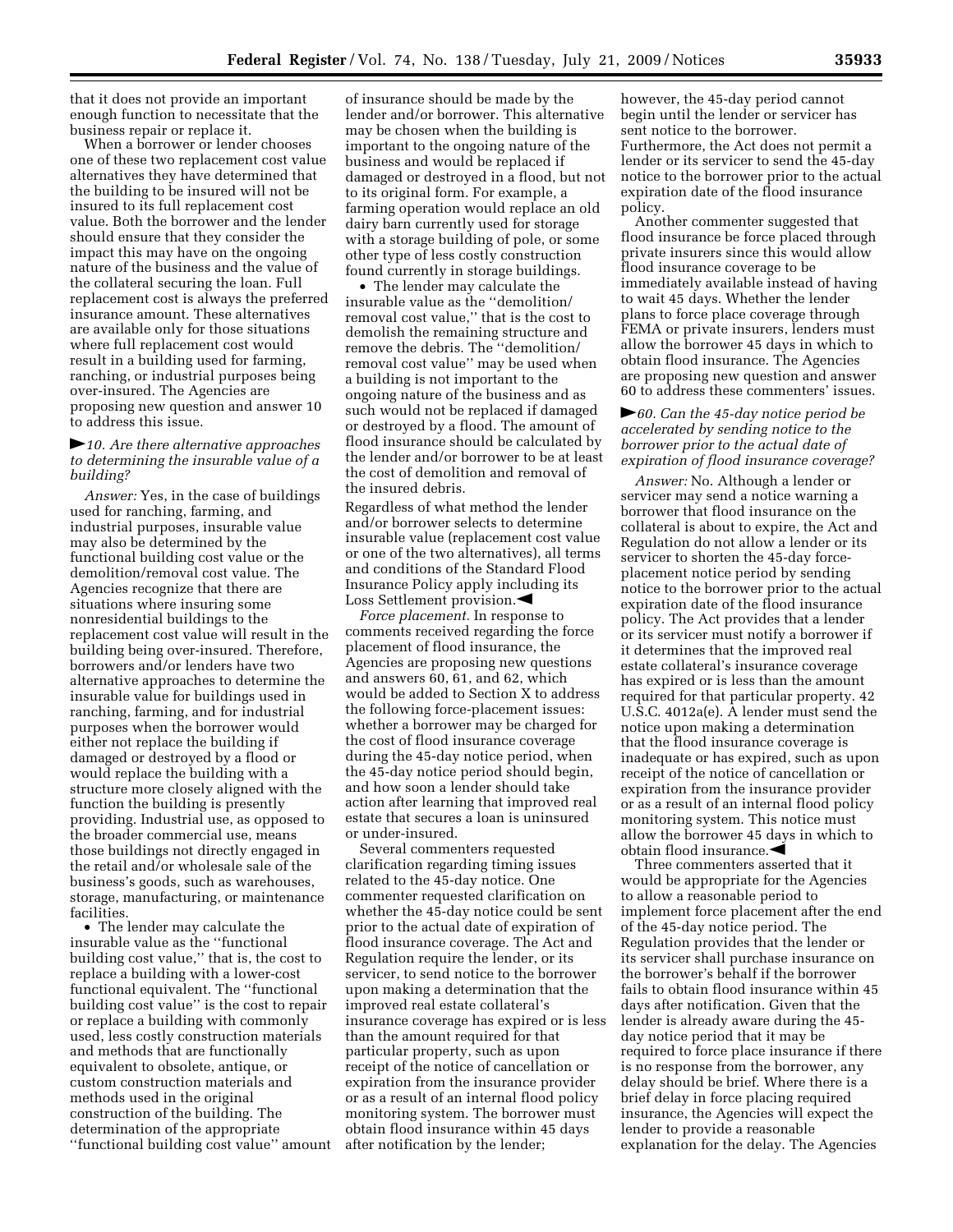that it does not provide an important enough function to necessitate that the business repair or replace it.

When a borrower or lender chooses one of these two replacement cost value alternatives they have determined that the building to be insured will not be insured to its full replacement cost value. Both the borrower and the lender should ensure that they consider the impact this may have on the ongoing nature of the business and the value of the collateral securing the loan. Full replacement cost is always the preferred insurance amount. These alternatives are available only for those situations where full replacement cost would result in a building used for farming, ranching, or industrial purposes being over-insured. The Agencies are proposing new question and answer 10 to address this issue.

## fl*10. Are there alternative approaches to determining the insurable value of a building?*

*Answer:* Yes, in the case of buildings used for ranching, farming, and industrial purposes, insurable value may also be determined by the functional building cost value or the demolition/removal cost value. The Agencies recognize that there are situations where insuring some nonresidential buildings to the replacement cost value will result in the building being over-insured. Therefore, borrowers and/or lenders have two alternative approaches to determine the insurable value for buildings used in ranching, farming, and for industrial purposes when the borrower would either not replace the building if damaged or destroyed by a flood or would replace the building with a structure more closely aligned with the function the building is presently providing. Industrial use, as opposed to the broader commercial use, means those buildings not directly engaged in the retail and/or wholesale sale of the business's goods, such as warehouses, storage, manufacturing, or maintenance facilities.

• The lender may calculate the insurable value as the ''functional building cost value,'' that is, the cost to replace a building with a lower-cost functional equivalent. The ''functional building cost value'' is the cost to repair or replace a building with commonly used, less costly construction materials and methods that are functionally equivalent to obsolete, antique, or custom construction materials and methods used in the original construction of the building. The determination of the appropriate ''functional building cost value'' amount

of insurance should be made by the lender and/or borrower. This alternative may be chosen when the building is important to the ongoing nature of the business and would be replaced if damaged or destroyed in a flood, but not to its original form. For example, a farming operation would replace an old dairy barn currently used for storage with a storage building of pole, or some other type of less costly construction found currently in storage buildings.

• The lender may calculate the insurable value as the ''demolition/ removal cost value,'' that is the cost to demolish the remaining structure and remove the debris. The ''demolition/ removal cost value'' may be used when a building is not important to the ongoing nature of the business and as such would not be replaced if damaged or destroyed by a flood. The amount of flood insurance should be calculated by the lender and/or borrower to be at least the cost of demolition and removal of the insured debris.

Regardless of what method the lender and/or borrower selects to determine insurable value (replacement cost value or one of the two alternatives), all terms and conditions of the Standard Flood Insurance Policy apply including its Loss Settlement provision. $\blacktriangleleft$ 

*Force placement.* In response to comments received regarding the force placement of flood insurance, the Agencies are proposing new questions and answers 60, 61, and 62, which would be added to Section X to address the following force-placement issues: whether a borrower may be charged for the cost of flood insurance coverage during the 45-day notice period, when the 45-day notice period should begin, and how soon a lender should take action after learning that improved real estate that secures a loan is uninsured or under-insured.

Several commenters requested clarification regarding timing issues related to the 45-day notice. One commenter requested clarification on whether the 45-day notice could be sent prior to the actual date of expiration of flood insurance coverage. The Act and Regulation require the lender, or its servicer, to send notice to the borrower upon making a determination that the improved real estate collateral's insurance coverage has expired or is less than the amount required for that particular property, such as upon receipt of the notice of cancellation or expiration from the insurance provider or as a result of an internal flood policy monitoring system. The borrower must obtain flood insurance within 45 days after notification by the lender;

however, the 45-day period cannot begin until the lender or servicer has sent notice to the borrower. Furthermore, the Act does not permit a lender or its servicer to send the 45-day notice to the borrower prior to the actual expiration date of the flood insurance policy.

Another commenter suggested that flood insurance be force placed through private insurers since this would allow flood insurance coverage to be immediately available instead of having to wait 45 days. Whether the lender plans to force place coverage through FEMA or private insurers, lenders must allow the borrower 45 days in which to obtain flood insurance. The Agencies are proposing new question and answer 60 to address these commenters' issues.

## **►***60. Can the 45-day notice period be accelerated by sending notice to the borrower prior to the actual date of expiration of flood insurance coverage?*

*Answer:* No. Although a lender or servicer may send a notice warning a borrower that flood insurance on the collateral is about to expire, the Act and Regulation do not allow a lender or its servicer to shorten the 45-day forceplacement notice period by sending notice to the borrower prior to the actual expiration date of the flood insurance policy. The Act provides that a lender or its servicer must notify a borrower if it determines that the improved real estate collateral's insurance coverage has expired or is less than the amount required for that particular property. 42 U.S.C. 4012a(e). A lender must send the notice upon making a determination that the flood insurance coverage is inadequate or has expired, such as upon receipt of the notice of cancellation or expiration from the insurance provider or as a result of an internal flood policy monitoring system. This notice must allow the borrower 45 days in which to obtain flood insurance. $\blacktriangleleft$ 

Three commenters asserted that it would be appropriate for the Agencies to allow a reasonable period to implement force placement after the end of the 45-day notice period. The Regulation provides that the lender or its servicer shall purchase insurance on the borrower's behalf if the borrower fails to obtain flood insurance within 45 days after notification. Given that the lender is already aware during the 45 day notice period that it may be required to force place insurance if there is no response from the borrower, any delay should be brief. Where there is a brief delay in force placing required insurance, the Agencies will expect the lender to provide a reasonable explanation for the delay. The Agencies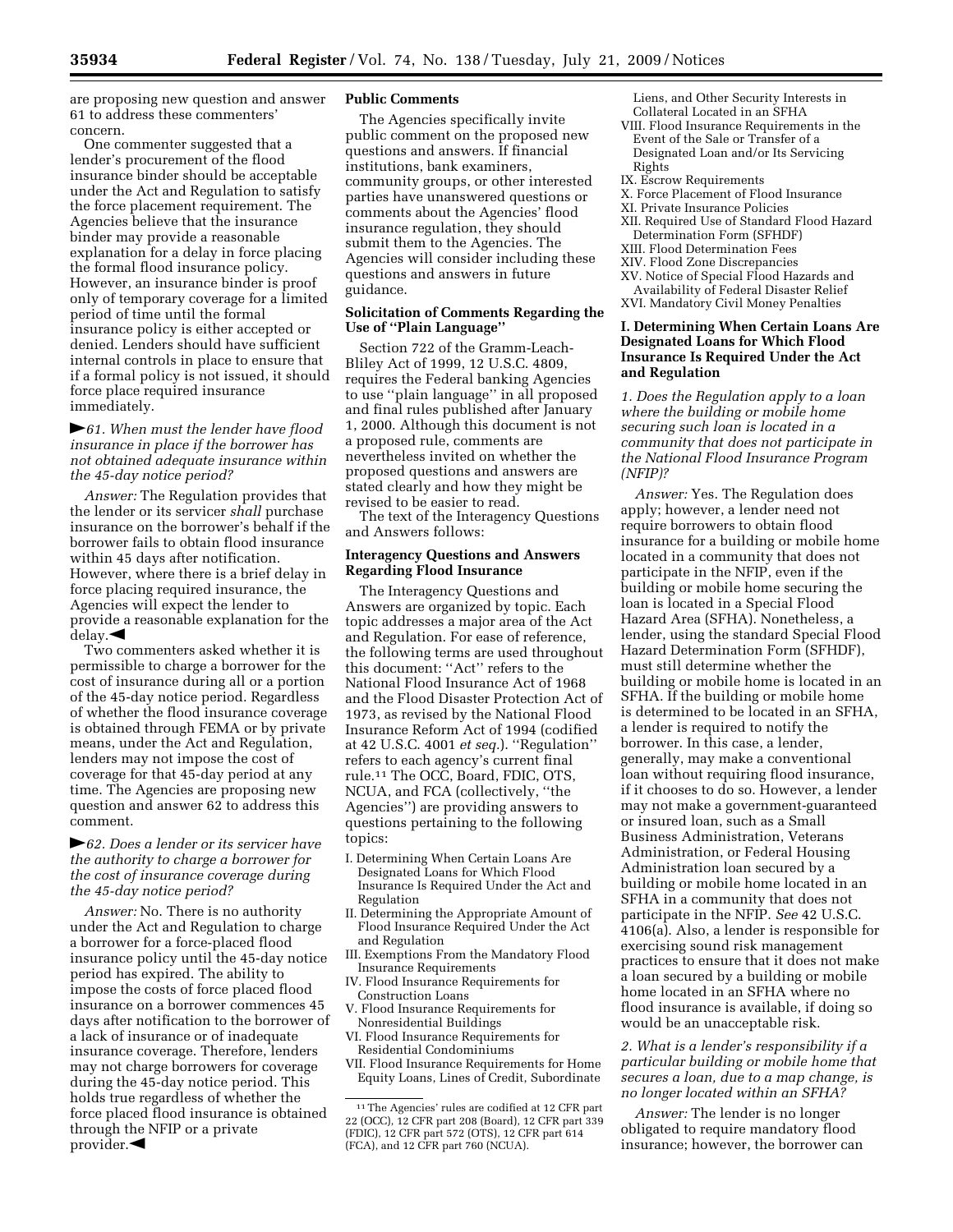are proposing new question and answer 61 to address these commenters' concern.

One commenter suggested that a lender's procurement of the flood insurance binder should be acceptable under the Act and Regulation to satisfy the force placement requirement. The Agencies believe that the insurance binder may provide a reasonable explanation for a delay in force placing the formal flood insurance policy. However, an insurance binder is proof only of temporary coverage for a limited period of time until the formal insurance policy is either accepted or denied. Lenders should have sufficient internal controls in place to ensure that if a formal policy is not issued, it should force place required insurance immediately.

## **►***61. When must the lender have flood insurance in place if the borrower has not obtained adequate insurance within the 45-day notice period?*

*Answer:* The Regulation provides that the lender or its servicer *shall* purchase insurance on the borrower's behalf if the borrower fails to obtain flood insurance within 45 days after notification. However, where there is a brief delay in force placing required insurance, the Agencies will expect the lender to provide a reasonable explanation for the  $del$ ay. $\blacktriangleleft$ 

Two commenters asked whether it is permissible to charge a borrower for the cost of insurance during all or a portion of the 45-day notice period. Regardless of whether the flood insurance coverage is obtained through FEMA or by private means, under the Act and Regulation, lenders may not impose the cost of coverage for that 45-day period at any time. The Agencies are proposing new question and answer 62 to address this comment.

## fl*62. Does a lender or its servicer have the authority to charge a borrower for the cost of insurance coverage during the 45-day notice period?*

*Answer:* No. There is no authority under the Act and Regulation to charge a borrower for a force-placed flood insurance policy until the 45-day notice period has expired. The ability to impose the costs of force placed flood insurance on a borrower commences 45 days after notification to the borrower of a lack of insurance or of inadequate insurance coverage. Therefore, lenders may not charge borrowers for coverage during the 45-day notice period. This holds true regardless of whether the force placed flood insurance is obtained through the NFIP or a private provider. $\blacktriangleleft$ 

#### **Public Comments**

The Agencies specifically invite public comment on the proposed new questions and answers. If financial institutions, bank examiners, community groups, or other interested parties have unanswered questions or comments about the Agencies' flood insurance regulation, they should submit them to the Agencies. The Agencies will consider including these questions and answers in future guidance.

## **Solicitation of Comments Regarding the Use of ''Plain Language''**

Section 722 of the Gramm-Leach-Bliley Act of 1999, 12 U.S.C. 4809, requires the Federal banking Agencies to use ''plain language'' in all proposed and final rules published after January 1, 2000. Although this document is not a proposed rule, comments are nevertheless invited on whether the proposed questions and answers are stated clearly and how they might be revised to be easier to read.

The text of the Interagency Questions and Answers follows:

## **Interagency Questions and Answers Regarding Flood Insurance**

The Interagency Questions and Answers are organized by topic. Each topic addresses a major area of the Act and Regulation. For ease of reference, the following terms are used throughout this document: ''Act'' refers to the National Flood Insurance Act of 1968 and the Flood Disaster Protection Act of 1973, as revised by the National Flood Insurance Reform Act of 1994 (codified at 42 U.S.C. 4001 *et seq.*). ''Regulation'' refers to each agency's current final rule.11 The OCC, Board, FDIC, OTS, NCUA, and FCA (collectively, ''the Agencies'') are providing answers to questions pertaining to the following topics:

- I. Determining When Certain Loans Are Designated Loans for Which Flood Insurance Is Required Under the Act and Regulation
- II. Determining the Appropriate Amount of Flood Insurance Required Under the Act and Regulation
- III. Exemptions From the Mandatory Flood Insurance Requirements
- IV. Flood Insurance Requirements for Construction Loans
- V. Flood Insurance Requirements for Nonresidential Buildings
- VI. Flood Insurance Requirements for Residential Condominiums
- VII. Flood Insurance Requirements for Home Equity Loans, Lines of Credit, Subordinate
- Liens, and Other Security Interests in Collateral Located in an SFHA
- VIII. Flood Insurance Requirements in the Event of the Sale or Transfer of a Designated Loan and/or Its Servicing
- Rights
- IX. Escrow Requirements
- X. Force Placement of Flood Insurance
- XI. Private Insurance Policies
- XII. Required Use of Standard Flood Hazard Determination Form (SFHDF)
- XIII. Flood Determination Fees
- XIV. Flood Zone Discrepancies
- XV. Notice of Special Flood Hazards and
- Availability of Federal Disaster Relief XVI. Mandatory Civil Money Penalties

# **I. Determining When Certain Loans Are Designated Loans for Which Flood Insurance Is Required Under the Act and Regulation**

*1. Does the Regulation apply to a loan where the building or mobile home securing such loan is located in a community that does not participate in the National Flood Insurance Program (NFIP)?* 

*Answer:* Yes. The Regulation does apply; however, a lender need not require borrowers to obtain flood insurance for a building or mobile home located in a community that does not participate in the NFIP, even if the building or mobile home securing the loan is located in a Special Flood Hazard Area (SFHA). Nonetheless, a lender, using the standard Special Flood Hazard Determination Form (SFHDF), must still determine whether the building or mobile home is located in an SFHA. If the building or mobile home is determined to be located in an SFHA, a lender is required to notify the borrower. In this case, a lender, generally, may make a conventional loan without requiring flood insurance, if it chooses to do so. However, a lender may not make a government-guaranteed or insured loan, such as a Small Business Administration, Veterans Administration, or Federal Housing Administration loan secured by a building or mobile home located in an SFHA in a community that does not participate in the NFIP. *See* 42 U.S.C. 4106(a). Also, a lender is responsible for exercising sound risk management practices to ensure that it does not make a loan secured by a building or mobile home located in an SFHA where no flood insurance is available, if doing so would be an unacceptable risk.

# *2. What is a lender's responsibility if a particular building or mobile home that secures a loan, due to a map change, is no longer located within an SFHA?*

*Answer:* The lender is no longer obligated to require mandatory flood insurance; however, the borrower can

<sup>11</sup>The Agencies' rules are codified at 12 CFR part 22 (OCC), 12 CFR part 208 (Board), 12 CFR part 339 (FDIC), 12 CFR part 572 (OTS), 12 CFR part 614 (FCA), and 12 CFR part 760 (NCUA).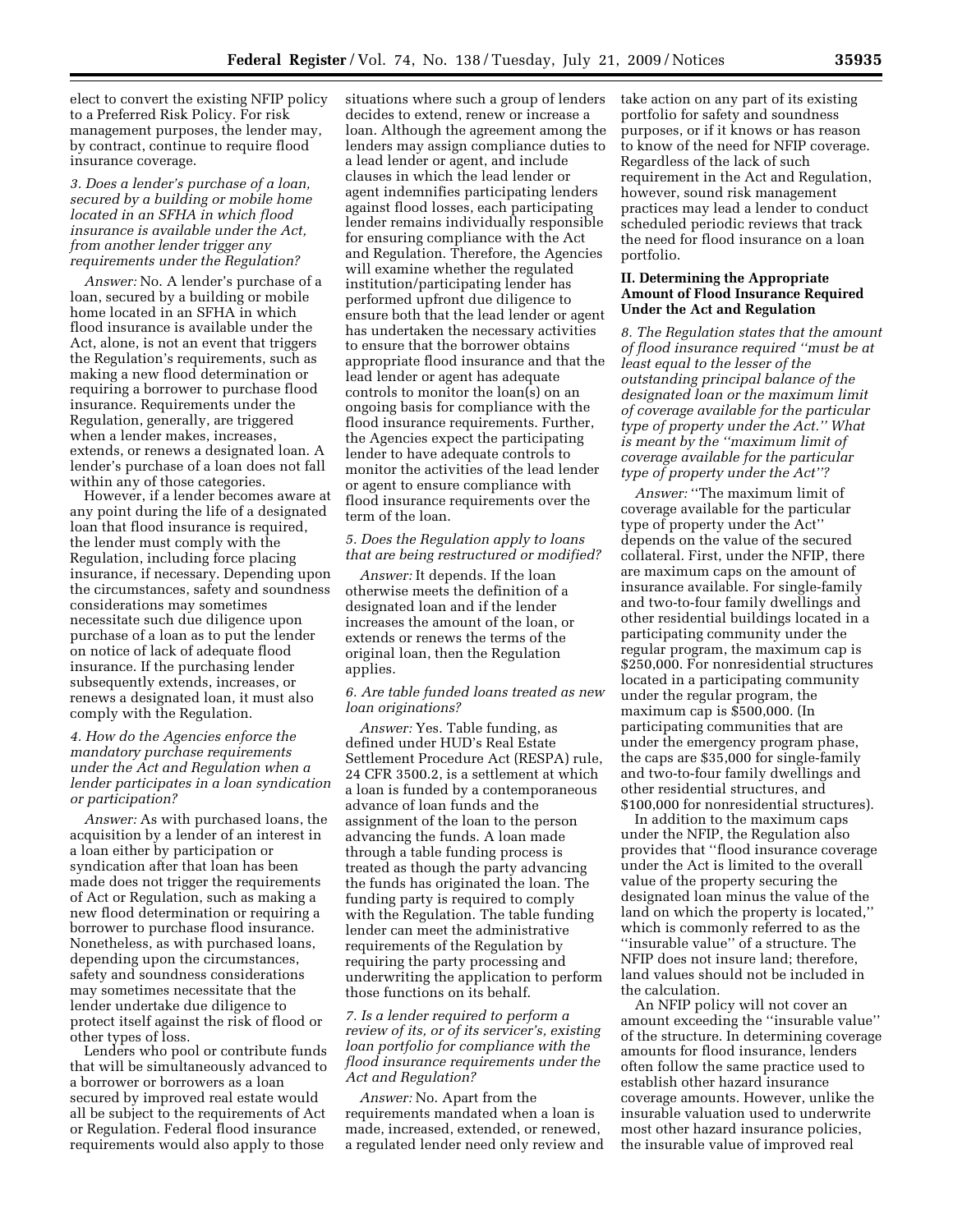elect to convert the existing NFIP policy to a Preferred Risk Policy. For risk management purposes, the lender may, by contract, continue to require flood insurance coverage.

## *3. Does a lender's purchase of a loan, secured by a building or mobile home located in an SFHA in which flood insurance is available under the Act, from another lender trigger any requirements under the Regulation?*

*Answer:* No. A lender's purchase of a loan, secured by a building or mobile home located in an SFHA in which flood insurance is available under the Act, alone, is not an event that triggers the Regulation's requirements, such as making a new flood determination or requiring a borrower to purchase flood insurance. Requirements under the Regulation, generally, are triggered when a lender makes, increases, extends, or renews a designated loan. A lender's purchase of a loan does not fall within any of those categories.

However, if a lender becomes aware at any point during the life of a designated loan that flood insurance is required, the lender must comply with the Regulation, including force placing insurance, if necessary. Depending upon the circumstances, safety and soundness considerations may sometimes necessitate such due diligence upon purchase of a loan as to put the lender on notice of lack of adequate flood insurance. If the purchasing lender subsequently extends, increases, or renews a designated loan, it must also comply with the Regulation.

## *4. How do the Agencies enforce the mandatory purchase requirements under the Act and Regulation when a lender participates in a loan syndication or participation?*

*Answer:* As with purchased loans, the acquisition by a lender of an interest in a loan either by participation or syndication after that loan has been made does not trigger the requirements of Act or Regulation, such as making a new flood determination or requiring a borrower to purchase flood insurance. Nonetheless, as with purchased loans, depending upon the circumstances, safety and soundness considerations may sometimes necessitate that the lender undertake due diligence to protect itself against the risk of flood or other types of loss.

Lenders who pool or contribute funds that will be simultaneously advanced to a borrower or borrowers as a loan secured by improved real estate would all be subject to the requirements of Act or Regulation. Federal flood insurance requirements would also apply to those

situations where such a group of lenders decides to extend, renew or increase a loan. Although the agreement among the lenders may assign compliance duties to a lead lender or agent, and include clauses in which the lead lender or agent indemnifies participating lenders against flood losses, each participating lender remains individually responsible for ensuring compliance with the Act and Regulation. Therefore, the Agencies will examine whether the regulated institution/participating lender has performed upfront due diligence to ensure both that the lead lender or agent has undertaken the necessary activities to ensure that the borrower obtains appropriate flood insurance and that the lead lender or agent has adequate controls to monitor the loan(s) on an ongoing basis for compliance with the flood insurance requirements. Further, the Agencies expect the participating lender to have adequate controls to monitor the activities of the lead lender or agent to ensure compliance with flood insurance requirements over the term of the loan.

## *5. Does the Regulation apply to loans that are being restructured or modified?*

*Answer:* It depends. If the loan otherwise meets the definition of a designated loan and if the lender increases the amount of the loan, or extends or renews the terms of the original loan, then the Regulation applies.

## *6. Are table funded loans treated as new loan originations?*

*Answer:* Yes. Table funding, as defined under HUD's Real Estate Settlement Procedure Act (RESPA) rule, 24 CFR 3500.2, is a settlement at which a loan is funded by a contemporaneous advance of loan funds and the assignment of the loan to the person advancing the funds. A loan made through a table funding process is treated as though the party advancing the funds has originated the loan. The funding party is required to comply with the Regulation. The table funding lender can meet the administrative requirements of the Regulation by requiring the party processing and underwriting the application to perform those functions on its behalf.

# *7. Is a lender required to perform a review of its, or of its servicer's, existing loan portfolio for compliance with the flood insurance requirements under the Act and Regulation?*

*Answer:* No. Apart from the requirements mandated when a loan is made, increased, extended, or renewed, a regulated lender need only review and take action on any part of its existing portfolio for safety and soundness purposes, or if it knows or has reason to know of the need for NFIP coverage. Regardless of the lack of such requirement in the Act and Regulation, however, sound risk management practices may lead a lender to conduct scheduled periodic reviews that track the need for flood insurance on a loan portfolio.

#### **II. Determining the Appropriate Amount of Flood Insurance Required Under the Act and Regulation**

*8. The Regulation states that the amount of flood insurance required ''must be at least equal to the lesser of the outstanding principal balance of the designated loan or the maximum limit of coverage available for the particular type of property under the Act.'' What is meant by the ''maximum limit of coverage available for the particular type of property under the Act''?* 

*Answer:* ''The maximum limit of coverage available for the particular type of property under the Act'' depends on the value of the secured collateral. First, under the NFIP, there are maximum caps on the amount of insurance available. For single-family and two-to-four family dwellings and other residential buildings located in a participating community under the regular program, the maximum cap is \$250,000. For nonresidential structures located in a participating community under the regular program, the maximum cap is \$500,000. (In participating communities that are under the emergency program phase, the caps are \$35,000 for single-family and two-to-four family dwellings and other residential structures, and \$100,000 for nonresidential structures).

In addition to the maximum caps under the NFIP, the Regulation also provides that ''flood insurance coverage under the Act is limited to the overall value of the property securing the designated loan minus the value of the land on which the property is located,'' which is commonly referred to as the ''insurable value'' of a structure. The NFIP does not insure land; therefore, land values should not be included in the calculation.

An NFIP policy will not cover an amount exceeding the ''insurable value'' of the structure. In determining coverage amounts for flood insurance, lenders often follow the same practice used to establish other hazard insurance coverage amounts. However, unlike the insurable valuation used to underwrite most other hazard insurance policies, the insurable value of improved real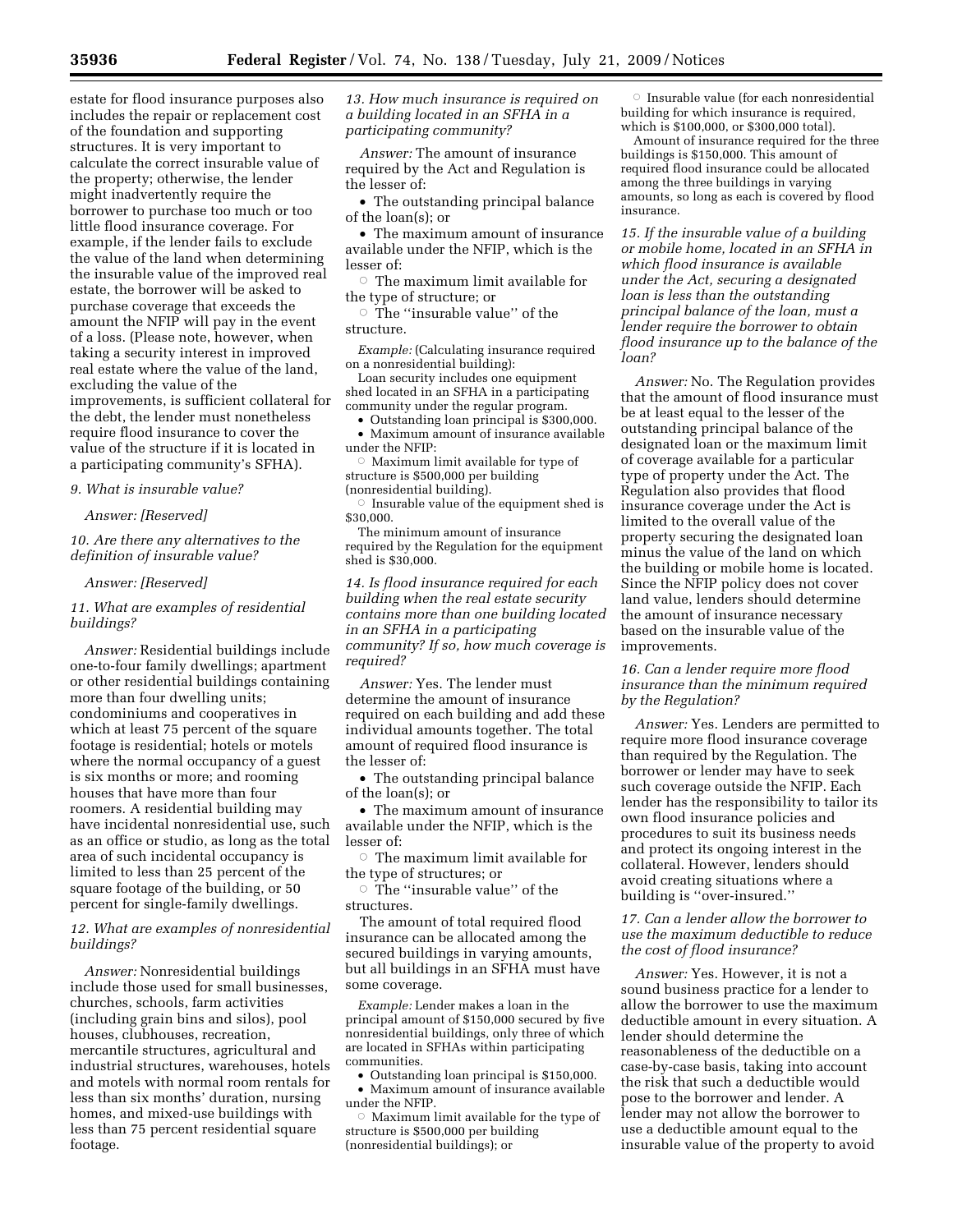estate for flood insurance purposes also includes the repair or replacement cost of the foundation and supporting structures. It is very important to calculate the correct insurable value of the property; otherwise, the lender might inadvertently require the borrower to purchase too much or too little flood insurance coverage. For example, if the lender fails to exclude the value of the land when determining the insurable value of the improved real estate, the borrower will be asked to purchase coverage that exceeds the amount the NFIP will pay in the event of a loss. (Please note, however, when taking a security interest in improved real estate where the value of the land, excluding the value of the improvements, is sufficient collateral for the debt, the lender must nonetheless require flood insurance to cover the value of the structure if it is located in a participating community's SFHA).

#### *9. What is insurable value?*

#### *Answer: [Reserved]*

*10. Are there any alternatives to the definition of insurable value?* 

#### *Answer: [Reserved]*

*11. What are examples of residential buildings?* 

*Answer:* Residential buildings include one-to-four family dwellings; apartment or other residential buildings containing more than four dwelling units; condominiums and cooperatives in which at least 75 percent of the square footage is residential; hotels or motels where the normal occupancy of a guest is six months or more; and rooming houses that have more than four roomers. A residential building may have incidental nonresidential use, such as an office or studio, as long as the total area of such incidental occupancy is limited to less than 25 percent of the square footage of the building, or 50 percent for single-family dwellings.

*12. What are examples of nonresidential buildings?* 

*Answer:* Nonresidential buildings include those used for small businesses, churches, schools, farm activities (including grain bins and silos), pool houses, clubhouses, recreation, mercantile structures, agricultural and industrial structures, warehouses, hotels and motels with normal room rentals for less than six months' duration, nursing homes, and mixed-use buildings with less than 75 percent residential square footage.

*13. How much insurance is required on a building located in an SFHA in a participating community?* 

*Answer:* The amount of insurance required by the Act and Regulation is the lesser of:

• The outstanding principal balance of the loan(s); or

• The maximum amount of insurance available under the NFIP, which is the lesser of:

 $\circ$  The maximum limit available for the type of structure; or

 $\circ$  The "insurable value" of the structure.

*Example:* (Calculating insurance required on a nonresidential building):

Loan security includes one equipment shed located in an SFHA in a participating community under the regular program.

• Outstanding loan principal is \$300,000. • Maximum amount of insurance available under the NFIP:

 $\circ$  Maximum limit available for type of structure is \$500,000 per building (nonresidential building).

 $\circ$  Insurable value of the equipment shed is \$30,000.

The minimum amount of insurance required by the Regulation for the equipment shed is \$30,000.

*14. Is flood insurance required for each building when the real estate security contains more than one building located in an SFHA in a participating community? If so, how much coverage is required?* 

*Answer:* Yes. The lender must determine the amount of insurance required on each building and add these individual amounts together. The total amount of required flood insurance is the lesser of:

• The outstanding principal balance of the loan(s); or

• The maximum amount of insurance available under the NFIP, which is the lesser of:

 $\circ$  The maximum limit available for the type of structures; or

 $\circ$  The "insurable value" of the structures.

The amount of total required flood insurance can be allocated among the secured buildings in varying amounts, but all buildings in an SFHA must have some coverage.

*Example:* Lender makes a loan in the principal amount of \$150,000 secured by five nonresidential buildings, only three of which are located in SFHAs within participating communities.

• Outstanding loan principal is \$150,000. • Maximum amount of insurance available under the NFIP.

 $\circ$  Maximum limit available for the type of structure is \$500,000 per building (nonresidential buildings); or

 $\circ$  Insurable value (for each nonresidential building for which insurance is required, which is \$100,000, or \$300,000 total).

Amount of insurance required for the three buildings is \$150,000. This amount of required flood insurance could be allocated among the three buildings in varying amounts, so long as each is covered by flood insurance.

*15. If the insurable value of a building or mobile home, located in an SFHA in which flood insurance is available under the Act, securing a designated loan is less than the outstanding principal balance of the loan, must a lender require the borrower to obtain flood insurance up to the balance of the loan?* 

*Answer:* No. The Regulation provides that the amount of flood insurance must be at least equal to the lesser of the outstanding principal balance of the designated loan or the maximum limit of coverage available for a particular type of property under the Act. The Regulation also provides that flood insurance coverage under the Act is limited to the overall value of the property securing the designated loan minus the value of the land on which the building or mobile home is located. Since the NFIP policy does not cover land value, lenders should determine the amount of insurance necessary based on the insurable value of the improvements.

*16. Can a lender require more flood insurance than the minimum required by the Regulation?* 

*Answer:* Yes. Lenders are permitted to require more flood insurance coverage than required by the Regulation. The borrower or lender may have to seek such coverage outside the NFIP. Each lender has the responsibility to tailor its own flood insurance policies and procedures to suit its business needs and protect its ongoing interest in the collateral. However, lenders should avoid creating situations where a building is ''over-insured.''

## *17. Can a lender allow the borrower to use the maximum deductible to reduce the cost of flood insurance?*

*Answer:* Yes. However, it is not a sound business practice for a lender to allow the borrower to use the maximum deductible amount in every situation. A lender should determine the reasonableness of the deductible on a case-by-case basis, taking into account the risk that such a deductible would pose to the borrower and lender. A lender may not allow the borrower to use a deductible amount equal to the insurable value of the property to avoid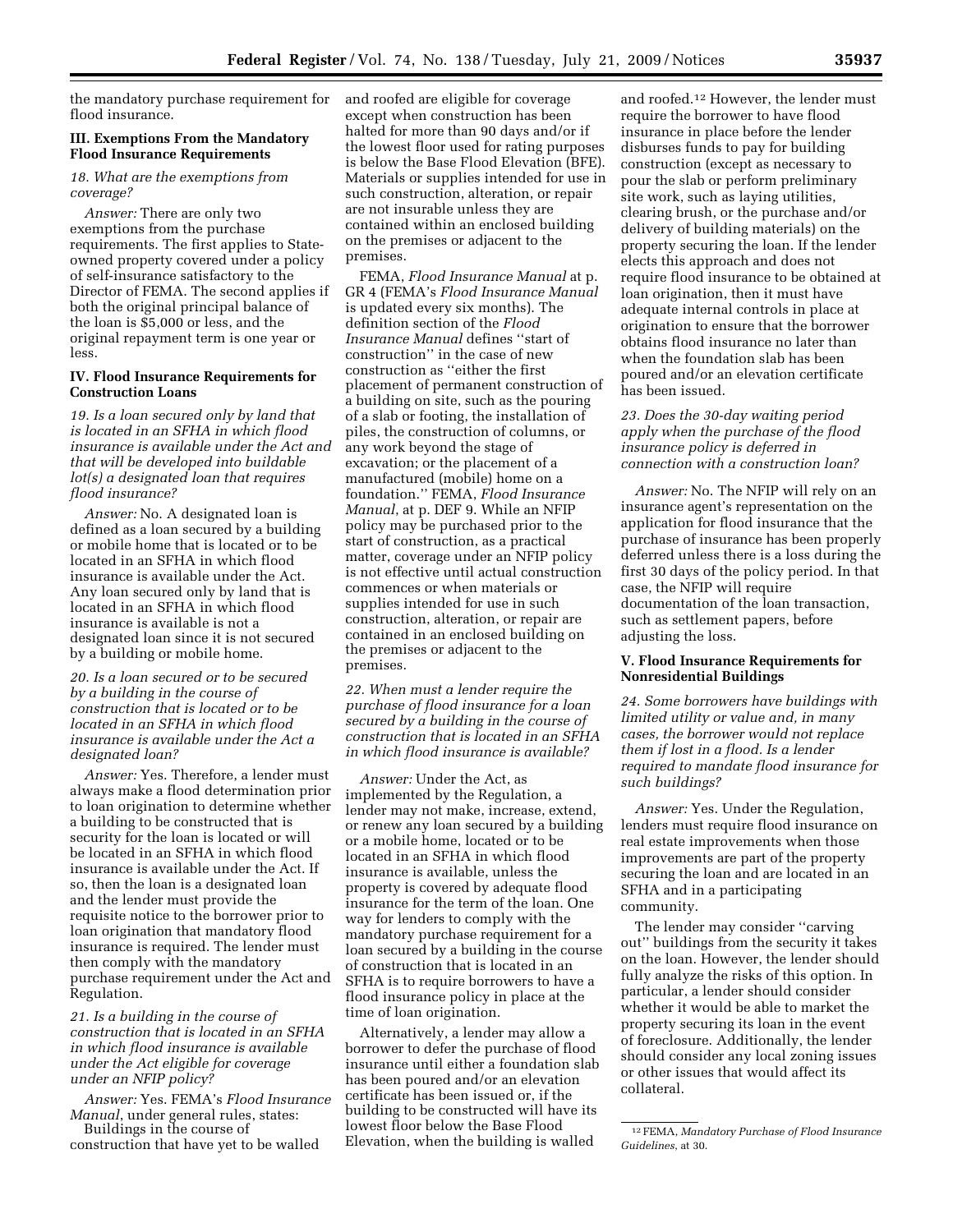the mandatory purchase requirement for flood insurance.

## **III. Exemptions From the Mandatory Flood Insurance Requirements**

#### *18. What are the exemptions from coverage?*

*Answer:* There are only two exemptions from the purchase requirements. The first applies to Stateowned property covered under a policy of self-insurance satisfactory to the Director of FEMA. The second applies if both the original principal balance of the loan is \$5,000 or less, and the original repayment term is one year or less.

## **IV. Flood Insurance Requirements for Construction Loans**

*19. Is a loan secured only by land that is located in an SFHA in which flood insurance is available under the Act and that will be developed into buildable lot(s) a designated loan that requires flood insurance?* 

*Answer:* No. A designated loan is defined as a loan secured by a building or mobile home that is located or to be located in an SFHA in which flood insurance is available under the Act. Any loan secured only by land that is located in an SFHA in which flood insurance is available is not a designated loan since it is not secured by a building or mobile home.

## *20. Is a loan secured or to be secured by a building in the course of construction that is located or to be located in an SFHA in which flood insurance is available under the Act a designated loan?*

*Answer:* Yes. Therefore, a lender must always make a flood determination prior to loan origination to determine whether a building to be constructed that is security for the loan is located or will be located in an SFHA in which flood insurance is available under the Act. If so, then the loan is a designated loan and the lender must provide the requisite notice to the borrower prior to loan origination that mandatory flood insurance is required. The lender must then comply with the mandatory purchase requirement under the Act and Regulation.

# *21. Is a building in the course of construction that is located in an SFHA in which flood insurance is available under the Act eligible for coverage under an NFIP policy?*

*Answer:* Yes. FEMA's *Flood Insurance Manual*, under general rules, states: Buildings in the course of

construction that have yet to be walled

and roofed are eligible for coverage except when construction has been halted for more than 90 days and/or if the lowest floor used for rating purposes is below the Base Flood Elevation (BFE). Materials or supplies intended for use in such construction, alteration, or repair are not insurable unless they are contained within an enclosed building on the premises or adjacent to the premises.

FEMA, *Flood Insurance Manual* at p. GR 4 (FEMA's *Flood Insurance Manual*  is updated every six months). The definition section of the *Flood Insurance Manual* defines ''start of construction'' in the case of new construction as ''either the first placement of permanent construction of a building on site, such as the pouring of a slab or footing, the installation of piles, the construction of columns, or any work beyond the stage of excavation; or the placement of a manufactured (mobile) home on a foundation.'' FEMA, *Flood Insurance Manual*, at p. DEF 9. While an NFIP policy may be purchased prior to the start of construction, as a practical matter, coverage under an NFIP policy is not effective until actual construction commences or when materials or supplies intended for use in such construction, alteration, or repair are contained in an enclosed building on the premises or adjacent to the premises.

*22. When must a lender require the purchase of flood insurance for a loan secured by a building in the course of construction that is located in an SFHA in which flood insurance is available?* 

*Answer:* Under the Act, as implemented by the Regulation, a lender may not make, increase, extend, or renew any loan secured by a building or a mobile home, located or to be located in an SFHA in which flood insurance is available, unless the property is covered by adequate flood insurance for the term of the loan. One way for lenders to comply with the mandatory purchase requirement for a loan secured by a building in the course of construction that is located in an SFHA is to require borrowers to have a flood insurance policy in place at the time of loan origination.

Alternatively, a lender may allow a borrower to defer the purchase of flood insurance until either a foundation slab has been poured and/or an elevation certificate has been issued or, if the building to be constructed will have its lowest floor below the Base Flood Elevation, when the building is walled

and roofed.12 However, the lender must require the borrower to have flood insurance in place before the lender disburses funds to pay for building construction (except as necessary to pour the slab or perform preliminary site work, such as laying utilities, clearing brush, or the purchase and/or delivery of building materials) on the property securing the loan. If the lender elects this approach and does not require flood insurance to be obtained at loan origination, then it must have adequate internal controls in place at origination to ensure that the borrower obtains flood insurance no later than when the foundation slab has been poured and/or an elevation certificate has been issued.

# *23. Does the 30-day waiting period apply when the purchase of the flood insurance policy is deferred in connection with a construction loan?*

*Answer:* No. The NFIP will rely on an insurance agent's representation on the application for flood insurance that the purchase of insurance has been properly deferred unless there is a loss during the first 30 days of the policy period. In that case, the NFIP will require documentation of the loan transaction, such as settlement papers, before adjusting the loss.

# **V. Flood Insurance Requirements for Nonresidential Buildings**

*24. Some borrowers have buildings with limited utility or value and, in many cases, the borrower would not replace them if lost in a flood. Is a lender required to mandate flood insurance for such buildings?* 

*Answer:* Yes. Under the Regulation, lenders must require flood insurance on real estate improvements when those improvements are part of the property securing the loan and are located in an SFHA and in a participating community.

The lender may consider ''carving out'' buildings from the security it takes on the loan. However, the lender should fully analyze the risks of this option. In particular, a lender should consider whether it would be able to market the property securing its loan in the event of foreclosure. Additionally, the lender should consider any local zoning issues or other issues that would affect its collateral.

<sup>12</sup>FEMA, *Mandatory Purchase of Flood Insurance Guidelines*, at 30.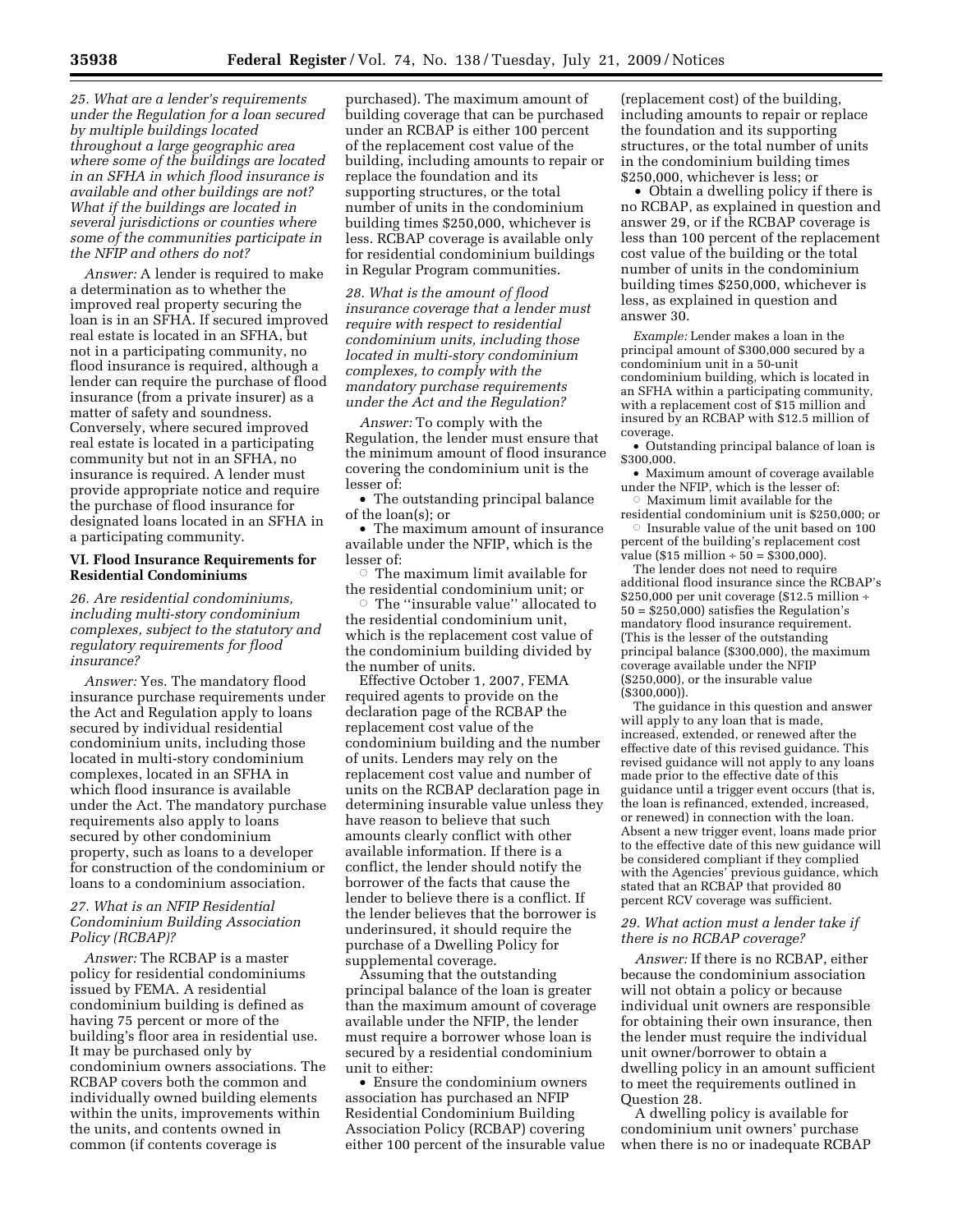*25. What are a lender's requirements under the Regulation for a loan secured by multiple buildings located throughout a large geographic area where some of the buildings are located in an SFHA in which flood insurance is available and other buildings are not? What if the buildings are located in several jurisdictions or counties where some of the communities participate in the NFIP and others do not?* 

*Answer:* A lender is required to make a determination as to whether the improved real property securing the loan is in an SFHA. If secured improved real estate is located in an SFHA, but not in a participating community, no flood insurance is required, although a lender can require the purchase of flood insurance (from a private insurer) as a matter of safety and soundness. Conversely, where secured improved real estate is located in a participating community but not in an SFHA, no insurance is required. A lender must provide appropriate notice and require the purchase of flood insurance for designated loans located in an SFHA in a participating community.

#### **VI. Flood Insurance Requirements for Residential Condominiums**

*26. Are residential condominiums, including multi-story condominium complexes, subject to the statutory and regulatory requirements for flood insurance?* 

*Answer:* Yes. The mandatory flood insurance purchase requirements under the Act and Regulation apply to loans secured by individual residential condominium units, including those located in multi-story condominium complexes, located in an SFHA in which flood insurance is available under the Act. The mandatory purchase requirements also apply to loans secured by other condominium property, such as loans to a developer for construction of the condominium or loans to a condominium association.

# *27. What is an NFIP Residential Condominium Building Association Policy (RCBAP)?*

*Answer:* The RCBAP is a master policy for residential condominiums issued by FEMA. A residential condominium building is defined as having 75 percent or more of the building's floor area in residential use. It may be purchased only by condominium owners associations. The RCBAP covers both the common and individually owned building elements within the units, improvements within the units, and contents owned in common (if contents coverage is

purchased). The maximum amount of building coverage that can be purchased under an RCBAP is either 100 percent of the replacement cost value of the building, including amounts to repair or replace the foundation and its supporting structures, or the total number of units in the condominium building times \$250,000, whichever is less. RCBAP coverage is available only for residential condominium buildings in Regular Program communities.

*28. What is the amount of flood insurance coverage that a lender must require with respect to residential condominium units, including those located in multi-story condominium complexes, to comply with the mandatory purchase requirements under the Act and the Regulation?* 

*Answer:* To comply with the Regulation, the lender must ensure that the minimum amount of flood insurance covering the condominium unit is the lesser of:

• The outstanding principal balance of the loan(s); or

• The maximum amount of insurance available under the NFIP, which is the lesser of:

 $\circ$  The maximum limit available for the residential condominium unit; or

 $\circ\,$  The ''insurable value'' allocated to the residential condominium unit, which is the replacement cost value of the condominium building divided by the number of units.

Effective October 1, 2007, FEMA required agents to provide on the declaration page of the RCBAP the replacement cost value of the condominium building and the number of units. Lenders may rely on the replacement cost value and number of units on the RCBAP declaration page in determining insurable value unless they have reason to believe that such amounts clearly conflict with other available information. If there is a conflict, the lender should notify the borrower of the facts that cause the lender to believe there is a conflict. If the lender believes that the borrower is underinsured, it should require the purchase of a Dwelling Policy for supplemental coverage.

Assuming that the outstanding principal balance of the loan is greater than the maximum amount of coverage available under the NFIP, the lender must require a borrower whose loan is secured by a residential condominium unit to either:

• Ensure the condominium owners association has purchased an NFIP Residential Condominium Building Association Policy (RCBAP) covering either 100 percent of the insurable value

(replacement cost) of the building, including amounts to repair or replace the foundation and its supporting structures, or the total number of units in the condominium building times \$250,000, whichever is less; or

• Obtain a dwelling policy if there is no RCBAP, as explained in question and answer 29, or if the RCBAP coverage is less than 100 percent of the replacement cost value of the building or the total number of units in the condominium building times \$250,000, whichever is less, as explained in question and answer 30.

*Example:* Lender makes a loan in the principal amount of \$300,000 secured by a condominium unit in a 50-unit condominium building, which is located in an SFHA within a participating community, with a replacement cost of \$15 million and insured by an RCBAP with \$12.5 million of coverage.

• Outstanding principal balance of loan is \$300,000.

• Maximum amount of coverage available under the NFIP, which is the lesser of:

 $\circ$ Maximum limit available for the residential condominium unit is \$250,000; or  $\circ\,$  Insurable value of the unit based on 100

percent of the building's replacement cost value (\$15 million  $\div 50 = $300,000$ ).

The lender does not need to require additional flood insurance since the RCBAP's \$250,000 per unit coverage (\$12.5 million ÷ 50 = \$250,000) satisfies the Regulation's mandatory flood insurance requirement. (This is the lesser of the outstanding principal balance (\$300,000), the maximum coverage available under the NFIP (\$250,000), or the insurable value (\$300,000)).

The guidance in this question and answer will apply to any loan that is made, increased, extended, or renewed after the effective date of this revised guidance. This revised guidance will not apply to any loans made prior to the effective date of this guidance until a trigger event occurs (that is, the loan is refinanced, extended, increased, or renewed) in connection with the loan. Absent a new trigger event, loans made prior to the effective date of this new guidance will be considered compliant if they complied with the Agencies' previous guidance, which stated that an RCBAP that provided 80 percent RCV coverage was sufficient.

# *29. What action must a lender take if there is no RCBAP coverage?*

*Answer:* If there is no RCBAP, either because the condominium association will not obtain a policy or because individual unit owners are responsible for obtaining their own insurance, then the lender must require the individual unit owner/borrower to obtain a dwelling policy in an amount sufficient to meet the requirements outlined in Question 28.

A dwelling policy is available for condominium unit owners' purchase when there is no or inadequate RCBAP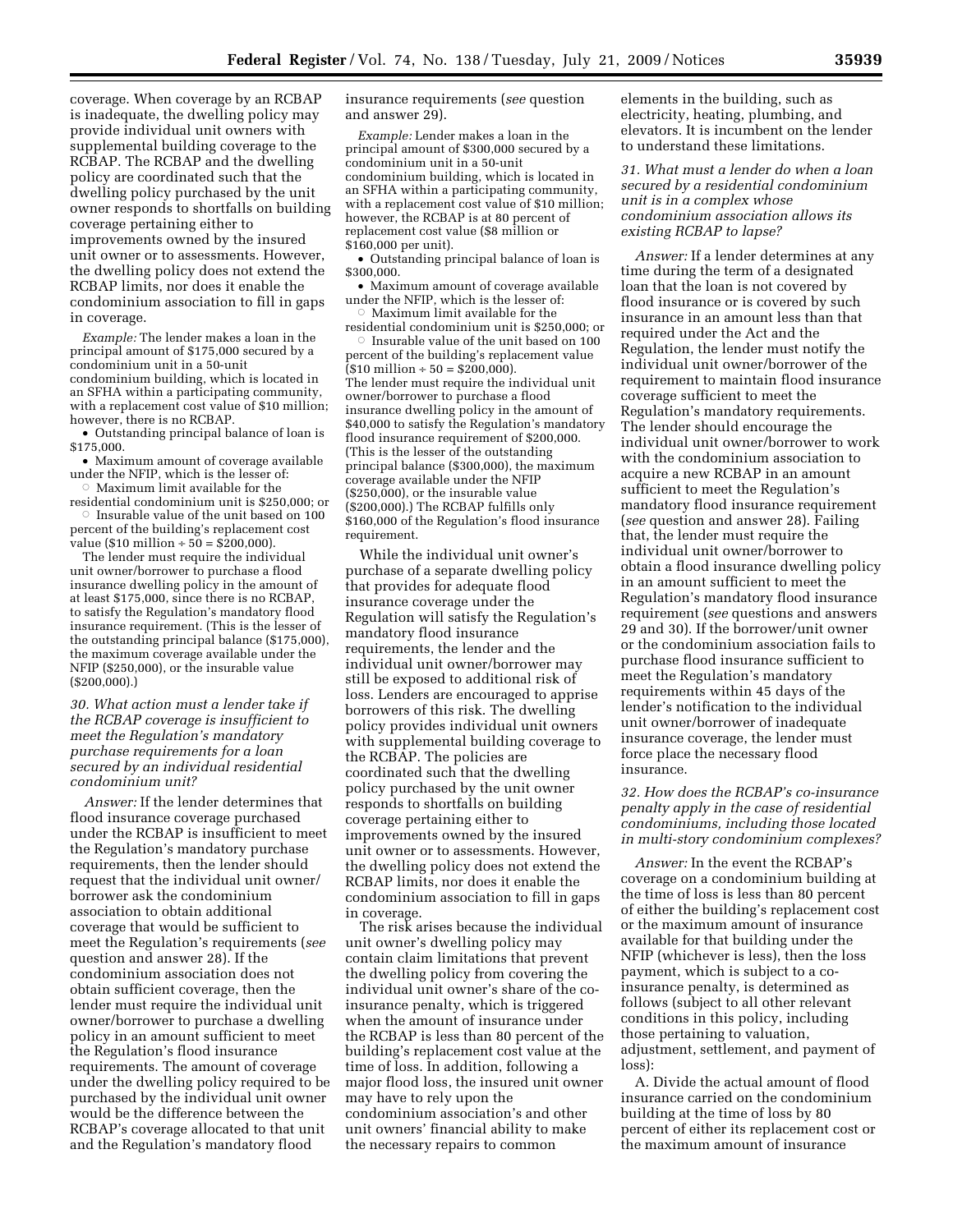coverage. When coverage by an RCBAP is inadequate, the dwelling policy may provide individual unit owners with supplemental building coverage to the RCBAP. The RCBAP and the dwelling policy are coordinated such that the dwelling policy purchased by the unit owner responds to shortfalls on building coverage pertaining either to improvements owned by the insured unit owner or to assessments. However, the dwelling policy does not extend the RCBAP limits, nor does it enable the condominium association to fill in gaps in coverage.

*Example:* The lender makes a loan in the principal amount of \$175,000 secured by a condominium unit in a 50-unit condominium building, which is located in an SFHA within a participating community, with a replacement cost value of \$10 million; however, there is no RCBAP.

• Outstanding principal balance of loan is \$175,000.

• Maximum amount of coverage available under the NFIP, which is the lesser of:

 $\circ$  Maximum limit available for the residential condominium unit is \$250,000; or  $\circ~$  Insurable value of the unit based on 100 percent of the building's replacement cost

value (\$10 million  $\div$  50 = \$200,000). The lender must require the individual unit owner/borrower to purchase a flood insurance dwelling policy in the amount of at least \$175,000, since there is no RCBAP, to satisfy the Regulation's mandatory flood insurance requirement. (This is the lesser of the outstanding principal balance (\$175,000), the maximum coverage available under the NFIP (\$250,000), or the insurable value (\$200,000).)

*30. What action must a lender take if the RCBAP coverage is insufficient to meet the Regulation's mandatory purchase requirements for a loan secured by an individual residential condominium unit?* 

*Answer:* If the lender determines that flood insurance coverage purchased under the RCBAP is insufficient to meet the Regulation's mandatory purchase requirements, then the lender should request that the individual unit owner/ borrower ask the condominium association to obtain additional coverage that would be sufficient to meet the Regulation's requirements (*see*  question and answer 28). If the condominium association does not obtain sufficient coverage, then the lender must require the individual unit owner/borrower to purchase a dwelling policy in an amount sufficient to meet the Regulation's flood insurance requirements. The amount of coverage under the dwelling policy required to be purchased by the individual unit owner would be the difference between the RCBAP's coverage allocated to that unit and the Regulation's mandatory flood

insurance requirements (*see* question and answer 29).

*Example:* Lender makes a loan in the principal amount of \$300,000 secured by a condominium unit in a 50-unit condominium building, which is located in an SFHA within a participating community, with a replacement cost value of \$10 million; however, the RCBAP is at 80 percent of replacement cost value (\$8 million or \$160,000 per unit).

• Outstanding principal balance of loan is \$300,000.

• Maximum amount of coverage available under the NFIP, which is the lesser of:  $\circ$  Maximum limit available for the

residential condominium unit is \$250,000; or  $\circ$  Insurable value of the unit based on 100

percent of the building's replacement value  $($10 \text{ million} \div 50 = $200,000).$ The lender must require the individual unit owner/borrower to purchase a flood insurance dwelling policy in the amount of \$40,000 to satisfy the Regulation's mandatory flood insurance requirement of \$200,000. (This is the lesser of the outstanding principal balance (\$300,000), the maximum coverage available under the NFIP (\$250,000), or the insurable value (\$200,000).) The RCBAP fulfills only \$160,000 of the Regulation's flood insurance requirement.

While the individual unit owner's purchase of a separate dwelling policy that provides for adequate flood insurance coverage under the Regulation will satisfy the Regulation's mandatory flood insurance requirements, the lender and the individual unit owner/borrower may still be exposed to additional risk of loss. Lenders are encouraged to apprise borrowers of this risk. The dwelling policy provides individual unit owners with supplemental building coverage to the RCBAP. The policies are coordinated such that the dwelling policy purchased by the unit owner responds to shortfalls on building coverage pertaining either to improvements owned by the insured unit owner or to assessments. However, the dwelling policy does not extend the RCBAP limits, nor does it enable the condominium association to fill in gaps in coverage.

The risk arises because the individual unit owner's dwelling policy may contain claim limitations that prevent the dwelling policy from covering the individual unit owner's share of the coinsurance penalty, which is triggered when the amount of insurance under the RCBAP is less than 80 percent of the building's replacement cost value at the time of loss. In addition, following a major flood loss, the insured unit owner may have to rely upon the condominium association's and other unit owners' financial ability to make the necessary repairs to common

elements in the building, such as electricity, heating, plumbing, and elevators. It is incumbent on the lender to understand these limitations.

*31. What must a lender do when a loan secured by a residential condominium unit is in a complex whose condominium association allows its existing RCBAP to lapse?* 

*Answer:* If a lender determines at any time during the term of a designated loan that the loan is not covered by flood insurance or is covered by such insurance in an amount less than that required under the Act and the Regulation, the lender must notify the individual unit owner/borrower of the requirement to maintain flood insurance coverage sufficient to meet the Regulation's mandatory requirements. The lender should encourage the individual unit owner/borrower to work with the condominium association to acquire a new RCBAP in an amount sufficient to meet the Regulation's mandatory flood insurance requirement (*see* question and answer 28). Failing that, the lender must require the individual unit owner/borrower to obtain a flood insurance dwelling policy in an amount sufficient to meet the Regulation's mandatory flood insurance requirement (*see* questions and answers 29 and 30). If the borrower/unit owner or the condominium association fails to purchase flood insurance sufficient to meet the Regulation's mandatory requirements within 45 days of the lender's notification to the individual unit owner/borrower of inadequate insurance coverage, the lender must force place the necessary flood insurance.

## *32. How does the RCBAP's co-insurance penalty apply in the case of residential condominiums, including those located in multi-story condominium complexes?*

*Answer:* In the event the RCBAP's coverage on a condominium building at the time of loss is less than 80 percent of either the building's replacement cost or the maximum amount of insurance available for that building under the NFIP (whichever is less), then the loss payment, which is subject to a coinsurance penalty, is determined as follows (subject to all other relevant conditions in this policy, including those pertaining to valuation, adjustment, settlement, and payment of loss):

A. Divide the actual amount of flood insurance carried on the condominium building at the time of loss by 80 percent of either its replacement cost or the maximum amount of insurance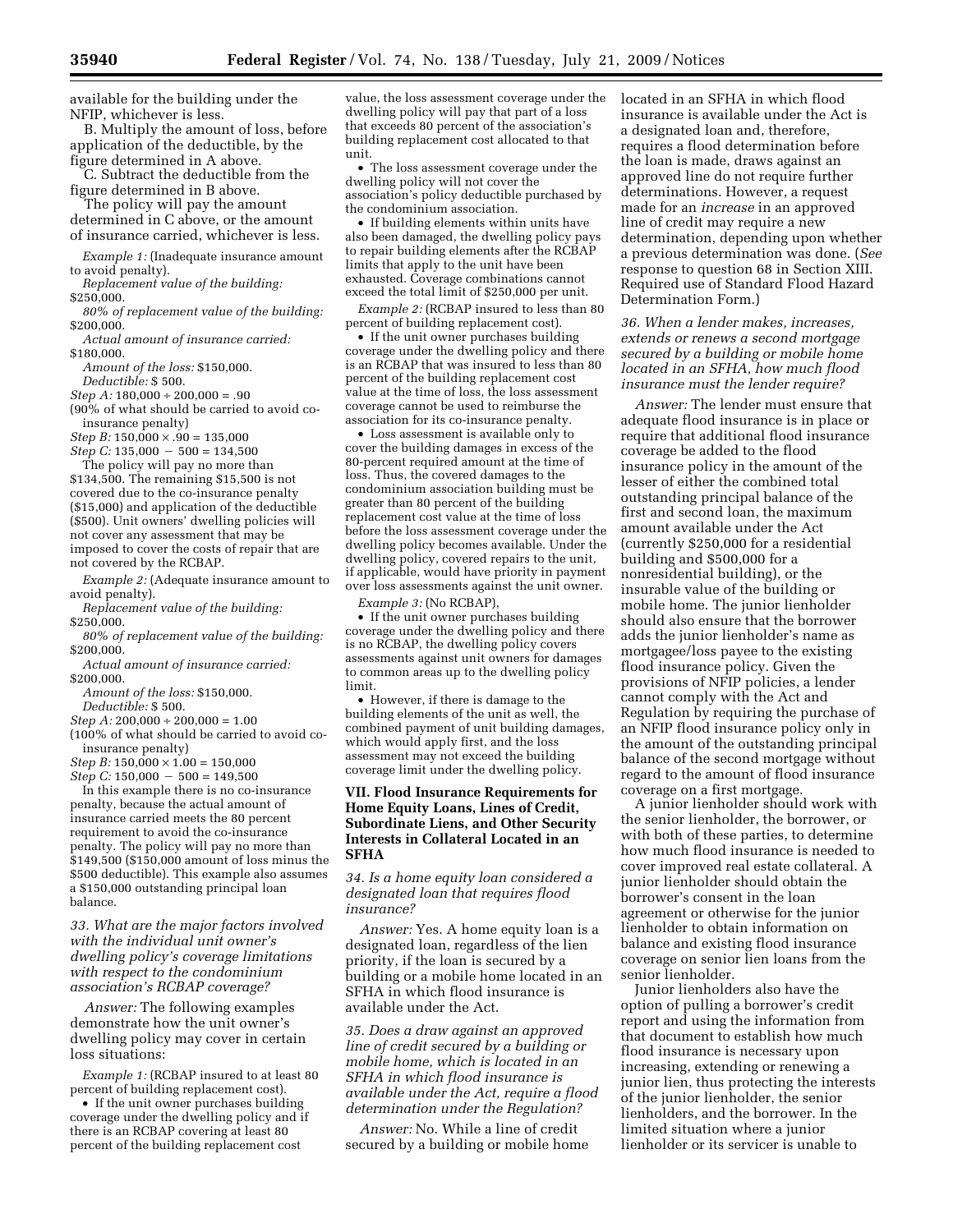available for the building under the NFIP, whichever is less.

B. Multiply the amount of loss, before application of the deductible, by the figure determined in A above.

C. Subtract the deductible from the figure determined in B above.

The policy will pay the amount

determined in C above, or the amount of insurance carried, whichever is less.

*Example 1:* (Inadequate insurance amount to avoid penalty).

*Replacement value of the building:*  \$250,000.

*80% of replacement value of the building:*  \$200,000.

*Actual amount of insurance carried:*  \$180,000.

*Amount of the loss:* \$150,000. *Deductible:* \$ 500.

*Step A:* 180,000 ÷ 200,000 = .90

(90% of what should be carried to avoid coinsurance penalty)

*Step B:*  $150,000 \times .90 = 135,000$ 

 $Step C: 135,000 - 500 = 134,500$ The policy will pay no more than

\$134,500. The remaining \$15,500 is not covered due to the co-insurance penalty (\$15,000) and application of the deductible (\$500). Unit owners' dwelling policies will not cover any assessment that may be imposed to cover the costs of repair that are not covered by the RCBAP.

*Example 2:* (Adequate insurance amount to avoid penalty).

*Replacement value of the building:*  \$250,000.

*80% of replacement value of the building:*  \$200,000.

*Actual amount of insurance carried:*  \$200,000.

*Amount of the loss:* \$150,000. *Deductible:* \$ 500.

*Step A:* 200,000 ÷ 200,000 = 1.00

(100% of what should be carried to avoid coinsurance penalty)

*Step B:* 150,000 × 1.00 = 150,000

 $Step C: 150,000 - 500 = 149,500$ In this example there is no co-insurance penalty, because the actual amount of insurance carried meets the 80 percent requirement to avoid the co-insurance penalty. The policy will pay no more than \$149,500 (\$150,000 amount of loss minus the \$500 deductible). This example also assumes a \$150,000 outstanding principal loan balance.

*33. What are the major factors involved with the individual unit owner's dwelling policy's coverage limitations with respect to the condominium association's RCBAP coverage?* 

*Answer:* The following examples demonstrate how the unit owner's dwelling policy may cover in certain loss situations:

*Example 1:* (RCBAP insured to at least 80 percent of building replacement cost).

• If the unit owner purchases building coverage under the dwelling policy and if there is an RCBAP covering at least 80 percent of the building replacement cost

value, the loss assessment coverage under the dwelling policy will pay that part of a loss that exceeds 80 percent of the association's building replacement cost allocated to that unit.

• The loss assessment coverage under the dwelling policy will not cover the association's policy deductible purchased by the condominium association.

• If building elements within units have also been damaged, the dwelling policy pays to repair building elements after the RCBAP limits that apply to the unit have been exhausted. Coverage combinations cannot exceed the total limit of \$250,000 per unit.

*Example 2:* (RCBAP insured to less than 80 percent of building replacement cost).

• If the unit owner purchases building coverage under the dwelling policy and there is an RCBAP that was insured to less than 80 percent of the building replacement cost value at the time of loss, the loss assessment coverage cannot be used to reimburse the association for its co-insurance penalty.

• Loss assessment is available only to cover the building damages in excess of the 80-percent required amount at the time of loss. Thus, the covered damages to the condominium association building must be greater than 80 percent of the building replacement cost value at the time of loss before the loss assessment coverage under the dwelling policy becomes available. Under the dwelling policy, covered repairs to the unit, if applicable, would have priority in payment over loss assessments against the unit owner.

*Example 3:* (No RCBAP),

• If the unit owner purchases building coverage under the dwelling policy and there is no RCBAP, the dwelling policy covers assessments against unit owners for damages to common areas up to the dwelling policy limit.

• However, if there is damage to the building elements of the unit as well, the combined payment of unit building damages, which would apply first, and the loss assessment may not exceed the building coverage limit under the dwelling policy.

## **VII. Flood Insurance Requirements for Home Equity Loans, Lines of Credit, Subordinate Liens, and Other Security Interests in Collateral Located in an SFHA**

*34. Is a home equity loan considered a designated loan that requires flood insurance?* 

*Answer:* Yes. A home equity loan is a designated loan, regardless of the lien priority, if the loan is secured by a building or a mobile home located in an SFHA in which flood insurance is available under the Act.

*35. Does a draw against an approved line of credit secured by a building or mobile home, which is located in an SFHA in which flood insurance is available under the Act, require a flood determination under the Regulation?* 

*Answer:* No. While a line of credit secured by a building or mobile home located in an SFHA in which flood insurance is available under the Act is a designated loan and, therefore, requires a flood determination before the loan is made, draws against an approved line do not require further determinations. However, a request made for an *increase* in an approved line of credit may require a new determination, depending upon whether a previous determination was done. (*See*  response to question 68 in Section XIII. Required use of Standard Flood Hazard Determination Form.)

*36. When a lender makes, increases, extends or renews a second mortgage secured by a building or mobile home located in an SFHA, how much flood insurance must the lender require?* 

*Answer:* The lender must ensure that adequate flood insurance is in place or require that additional flood insurance coverage be added to the flood insurance policy in the amount of the lesser of either the combined total outstanding principal balance of the first and second loan, the maximum amount available under the Act (currently \$250,000 for a residential building and \$500,000 for a nonresidential building), or the insurable value of the building or mobile home. The junior lienholder should also ensure that the borrower adds the junior lienholder's name as mortgagee/loss payee to the existing flood insurance policy. Given the provisions of NFIP policies, a lender cannot comply with the Act and Regulation by requiring the purchase of an NFIP flood insurance policy only in the amount of the outstanding principal balance of the second mortgage without regard to the amount of flood insurance coverage on a first mortgage.

A junior lienholder should work with the senior lienholder, the borrower, or with both of these parties, to determine how much flood insurance is needed to cover improved real estate collateral. A junior lienholder should obtain the borrower's consent in the loan agreement or otherwise for the junior lienholder to obtain information on balance and existing flood insurance coverage on senior lien loans from the senior lienholder.

Junior lienholders also have the option of pulling a borrower's credit report and using the information from that document to establish how much flood insurance is necessary upon increasing, extending or renewing a junior lien, thus protecting the interests of the junior lienholder, the senior lienholders, and the borrower. In the limited situation where a junior lienholder or its servicer is unable to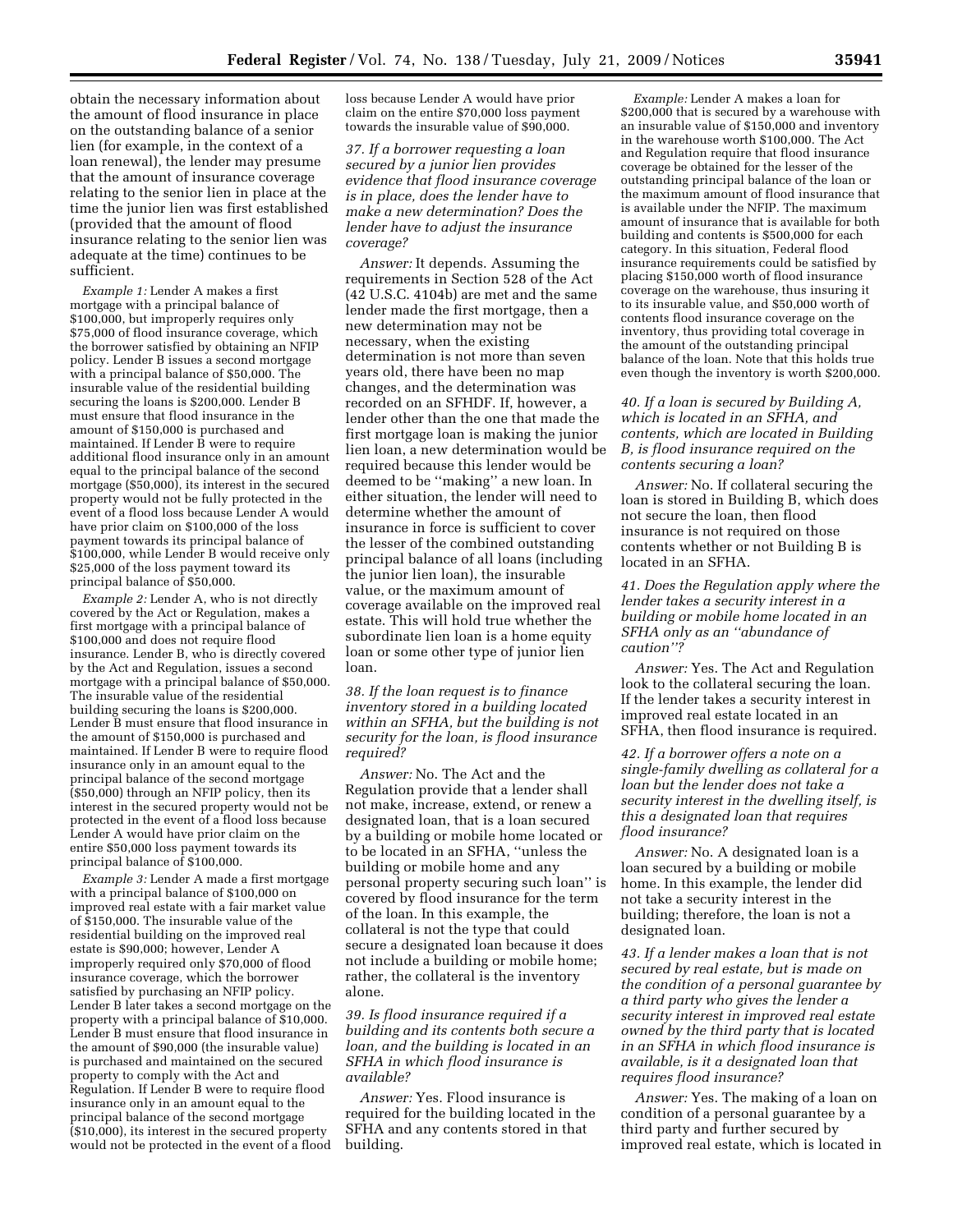obtain the necessary information about the amount of flood insurance in place on the outstanding balance of a senior lien (for example, in the context of a loan renewal), the lender may presume that the amount of insurance coverage relating to the senior lien in place at the time the junior lien was first established (provided that the amount of flood insurance relating to the senior lien was adequate at the time) continues to be sufficient.

*Example 1:* Lender A makes a first mortgage with a principal balance of \$100,000, but improperly requires only \$75,000 of flood insurance coverage, which the borrower satisfied by obtaining an NFIP policy. Lender B issues a second mortgage with a principal balance of \$50,000. The insurable value of the residential building securing the loans is \$200,000. Lender B must ensure that flood insurance in the amount of \$150,000 is purchased and maintained. If Lender B were to require additional flood insurance only in an amount equal to the principal balance of the second mortgage (\$50,000), its interest in the secured property would not be fully protected in the event of a flood loss because Lender A would have prior claim on \$100,000 of the loss payment towards its principal balance of \$100,000, while Lender B would receive only \$25,000 of the loss payment toward its principal balance of \$50,000.

*Example 2:* Lender A, who is not directly covered by the Act or Regulation, makes a first mortgage with a principal balance of \$100,000 and does not require flood insurance. Lender B, who is directly covered by the Act and Regulation, issues a second mortgage with a principal balance of \$50,000. The insurable value of the residential building securing the loans is \$200,000. Lender B must ensure that flood insurance in the amount of \$150,000 is purchased and maintained. If Lender B were to require flood insurance only in an amount equal to the principal balance of the second mortgage (\$50,000) through an NFIP policy, then its interest in the secured property would not be protected in the event of a flood loss because Lender A would have prior claim on the entire \$50,000 loss payment towards its principal balance of \$100,000.

*Example 3:* Lender A made a first mortgage with a principal balance of \$100,000 on improved real estate with a fair market value of \$150,000. The insurable value of the residential building on the improved real estate is \$90,000; however, Lender A improperly required only \$70,000 of flood insurance coverage, which the borrower satisfied by purchasing an NFIP policy. Lender B later takes a second mortgage on the property with a principal balance of \$10,000. Lender B must ensure that flood insurance in the amount of \$90,000 (the insurable value) is purchased and maintained on the secured property to comply with the Act and Regulation. If Lender B were to require flood insurance only in an amount equal to the principal balance of the second mortgage (\$10,000), its interest in the secured property would not be protected in the event of a flood

loss because Lender A would have prior claim on the entire \$70,000 loss payment towards the insurable value of \$90,000.

*37. If a borrower requesting a loan secured by a junior lien provides evidence that flood insurance coverage is in place, does the lender have to make a new determination? Does the lender have to adjust the insurance coverage?* 

*Answer:* It depends. Assuming the requirements in Section 528 of the Act (42 U.S.C. 4104b) are met and the same lender made the first mortgage, then a new determination may not be necessary, when the existing determination is not more than seven years old, there have been no map changes, and the determination was recorded on an SFHDF. If, however, a lender other than the one that made the first mortgage loan is making the junior lien loan, a new determination would be required because this lender would be deemed to be ''making'' a new loan. In either situation, the lender will need to determine whether the amount of insurance in force is sufficient to cover the lesser of the combined outstanding principal balance of all loans (including the junior lien loan), the insurable value, or the maximum amount of coverage available on the improved real estate. This will hold true whether the subordinate lien loan is a home equity loan or some other type of junior lien loan.

*38. If the loan request is to finance inventory stored in a building located within an SFHA, but the building is not security for the loan, is flood insurance required?* 

*Answer:* No. The Act and the Regulation provide that a lender shall not make, increase, extend, or renew a designated loan, that is a loan secured by a building or mobile home located or to be located in an SFHA, ''unless the building or mobile home and any personal property securing such loan'' is covered by flood insurance for the term of the loan. In this example, the collateral is not the type that could secure a designated loan because it does not include a building or mobile home; rather, the collateral is the inventory alone.

*39. Is flood insurance required if a building and its contents both secure a loan, and the building is located in an SFHA in which flood insurance is available?* 

*Answer:* Yes. Flood insurance is required for the building located in the SFHA and any contents stored in that building.

*Example:* Lender A makes a loan for \$200,000 that is secured by a warehouse with an insurable value of \$150,000 and inventory in the warehouse worth \$100,000. The Act and Regulation require that flood insurance coverage be obtained for the lesser of the outstanding principal balance of the loan or the maximum amount of flood insurance that is available under the NFIP. The maximum amount of insurance that is available for both building and contents is \$500,000 for each category. In this situation, Federal flood insurance requirements could be satisfied by placing \$150,000 worth of flood insurance coverage on the warehouse, thus insuring it to its insurable value, and \$50,000 worth of contents flood insurance coverage on the inventory, thus providing total coverage in the amount of the outstanding principal balance of the loan. Note that this holds true even though the inventory is worth \$200,000.

*40. If a loan is secured by Building A, which is located in an SFHA, and contents, which are located in Building B, is flood insurance required on the contents securing a loan?* 

*Answer:* No. If collateral securing the loan is stored in Building B, which does not secure the loan, then flood insurance is not required on those contents whether or not Building B is located in an SFHA.

*41. Does the Regulation apply where the lender takes a security interest in a building or mobile home located in an SFHA only as an ''abundance of caution''?* 

*Answer:* Yes. The Act and Regulation look to the collateral securing the loan. If the lender takes a security interest in improved real estate located in an SFHA, then flood insurance is required.

*42. If a borrower offers a note on a single-family dwelling as collateral for a loan but the lender does not take a security interest in the dwelling itself, is this a designated loan that requires flood insurance?* 

*Answer:* No. A designated loan is a loan secured by a building or mobile home. In this example, the lender did not take a security interest in the building; therefore, the loan is not a designated loan.

*43. If a lender makes a loan that is not secured by real estate, but is made on the condition of a personal guarantee by a third party who gives the lender a security interest in improved real estate owned by the third party that is located in an SFHA in which flood insurance is available, is it a designated loan that requires flood insurance?* 

*Answer:* Yes. The making of a loan on condition of a personal guarantee by a third party and further secured by improved real estate, which is located in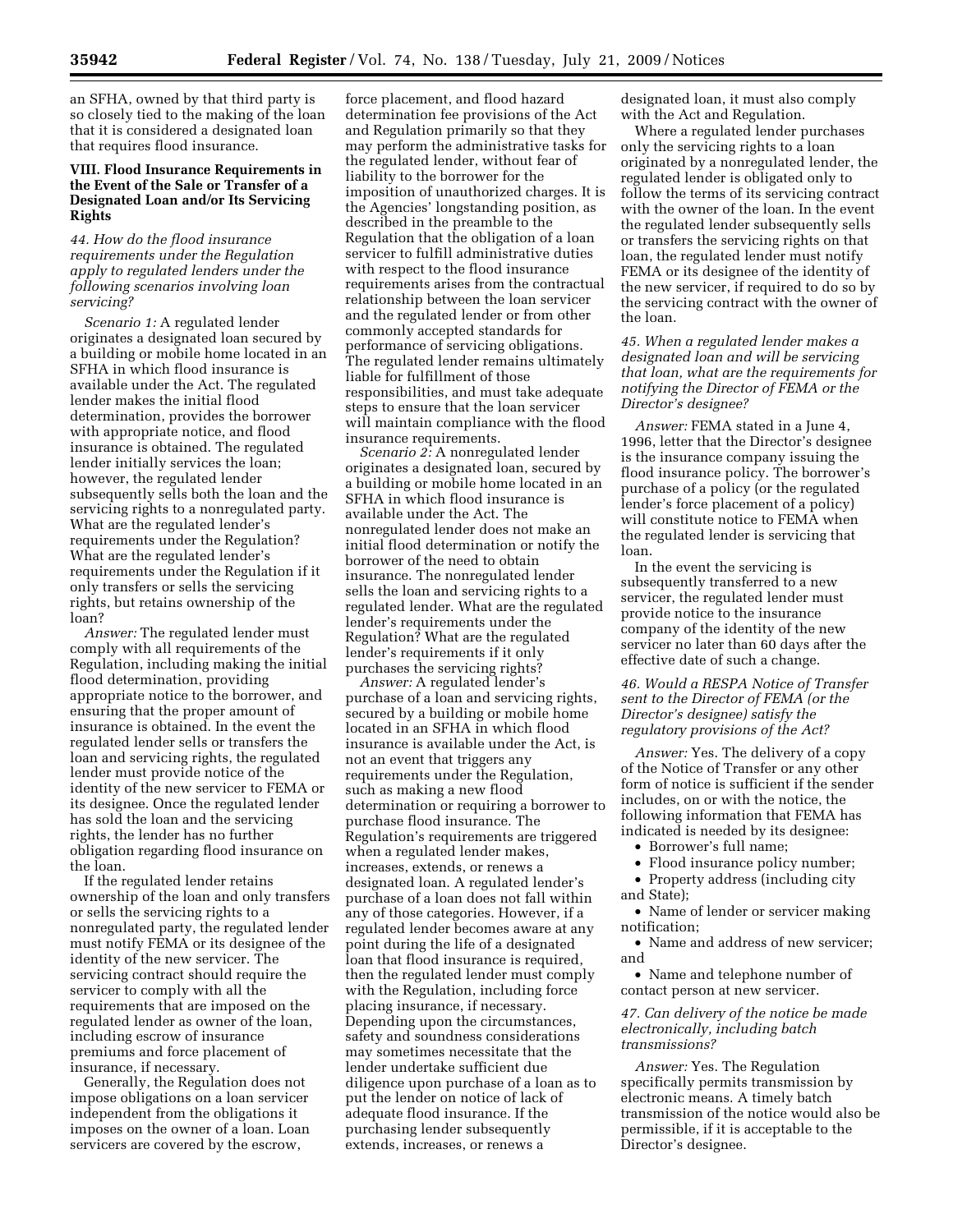an SFHA, owned by that third party is so closely tied to the making of the loan that it is considered a designated loan that requires flood insurance.

# **VIII. Flood Insurance Requirements in the Event of the Sale or Transfer of a Designated Loan and/or Its Servicing Rights**

*44. How do the flood insurance requirements under the Regulation apply to regulated lenders under the following scenarios involving loan servicing?* 

*Scenario 1:* A regulated lender originates a designated loan secured by a building or mobile home located in an SFHA in which flood insurance is available under the Act. The regulated lender makes the initial flood determination, provides the borrower with appropriate notice, and flood insurance is obtained. The regulated lender initially services the loan; however, the regulated lender subsequently sells both the loan and the servicing rights to a nonregulated party. What are the regulated lender's requirements under the Regulation? What are the regulated lender's requirements under the Regulation if it only transfers or sells the servicing rights, but retains ownership of the loan?

*Answer:* The regulated lender must comply with all requirements of the Regulation, including making the initial flood determination, providing appropriate notice to the borrower, and ensuring that the proper amount of insurance is obtained. In the event the regulated lender sells or transfers the loan and servicing rights, the regulated lender must provide notice of the identity of the new servicer to FEMA or its designee. Once the regulated lender has sold the loan and the servicing rights, the lender has no further obligation regarding flood insurance on the loan.

If the regulated lender retains ownership of the loan and only transfers or sells the servicing rights to a nonregulated party, the regulated lender must notify FEMA or its designee of the identity of the new servicer. The servicing contract should require the servicer to comply with all the requirements that are imposed on the regulated lender as owner of the loan, including escrow of insurance premiums and force placement of insurance, if necessary.

Generally, the Regulation does not impose obligations on a loan servicer independent from the obligations it imposes on the owner of a loan. Loan servicers are covered by the escrow,

force placement, and flood hazard determination fee provisions of the Act and Regulation primarily so that they may perform the administrative tasks for the regulated lender, without fear of liability to the borrower for the imposition of unauthorized charges. It is the Agencies' longstanding position, as described in the preamble to the Regulation that the obligation of a loan servicer to fulfill administrative duties with respect to the flood insurance requirements arises from the contractual relationship between the loan servicer and the regulated lender or from other commonly accepted standards for performance of servicing obligations. The regulated lender remains ultimately liable for fulfillment of those responsibilities, and must take adequate steps to ensure that the loan servicer will maintain compliance with the flood insurance requirements.

*Scenario 2:* A nonregulated lender originates a designated loan, secured by a building or mobile home located in an SFHA in which flood insurance is available under the Act. The nonregulated lender does not make an initial flood determination or notify the borrower of the need to obtain insurance. The nonregulated lender sells the loan and servicing rights to a regulated lender. What are the regulated lender's requirements under the Regulation? What are the regulated lender's requirements if it only purchases the servicing rights?

*Answer:* A regulated lender's purchase of a loan and servicing rights, secured by a building or mobile home located in an SFHA in which flood insurance is available under the Act, is not an event that triggers any requirements under the Regulation, such as making a new flood determination or requiring a borrower to purchase flood insurance. The Regulation's requirements are triggered when a regulated lender makes, increases, extends, or renews a designated loan. A regulated lender's purchase of a loan does not fall within any of those categories. However, if a regulated lender becomes aware at any point during the life of a designated loan that flood insurance is required, then the regulated lender must comply with the Regulation, including force placing insurance, if necessary. Depending upon the circumstances, safety and soundness considerations may sometimes necessitate that the lender undertake sufficient due diligence upon purchase of a loan as to put the lender on notice of lack of adequate flood insurance. If the purchasing lender subsequently extends, increases, or renews a

designated loan, it must also comply with the Act and Regulation.

Where a regulated lender purchases only the servicing rights to a loan originated by a nonregulated lender, the regulated lender is obligated only to follow the terms of its servicing contract with the owner of the loan. In the event the regulated lender subsequently sells or transfers the servicing rights on that loan, the regulated lender must notify FEMA or its designee of the identity of the new servicer, if required to do so by the servicing contract with the owner of the loan.

# *45. When a regulated lender makes a designated loan and will be servicing that loan, what are the requirements for notifying the Director of FEMA or the Director's designee?*

*Answer:* FEMA stated in a June 4, 1996, letter that the Director's designee is the insurance company issuing the flood insurance policy. The borrower's purchase of a policy (or the regulated lender's force placement of a policy) will constitute notice to FEMA when the regulated lender is servicing that loan.

In the event the servicing is subsequently transferred to a new servicer, the regulated lender must provide notice to the insurance company of the identity of the new servicer no later than 60 days after the effective date of such a change.

## *46. Would a RESPA Notice of Transfer sent to the Director of FEMA (or the Director's designee) satisfy the regulatory provisions of the Act?*

*Answer:* Yes. The delivery of a copy of the Notice of Transfer or any other form of notice is sufficient if the sender includes, on or with the notice, the following information that FEMA has indicated is needed by its designee:

- Borrower's full name;
- Flood insurance policy number;
- Property address (including city and State);
- Name of lender or servicer making notification;
- Name and address of new servicer; and

• Name and telephone number of contact person at new servicer.

#### *47. Can delivery of the notice be made electronically, including batch transmissions?*

*Answer:* Yes. The Regulation specifically permits transmission by electronic means. A timely batch transmission of the notice would also be permissible, if it is acceptable to the Director's designee.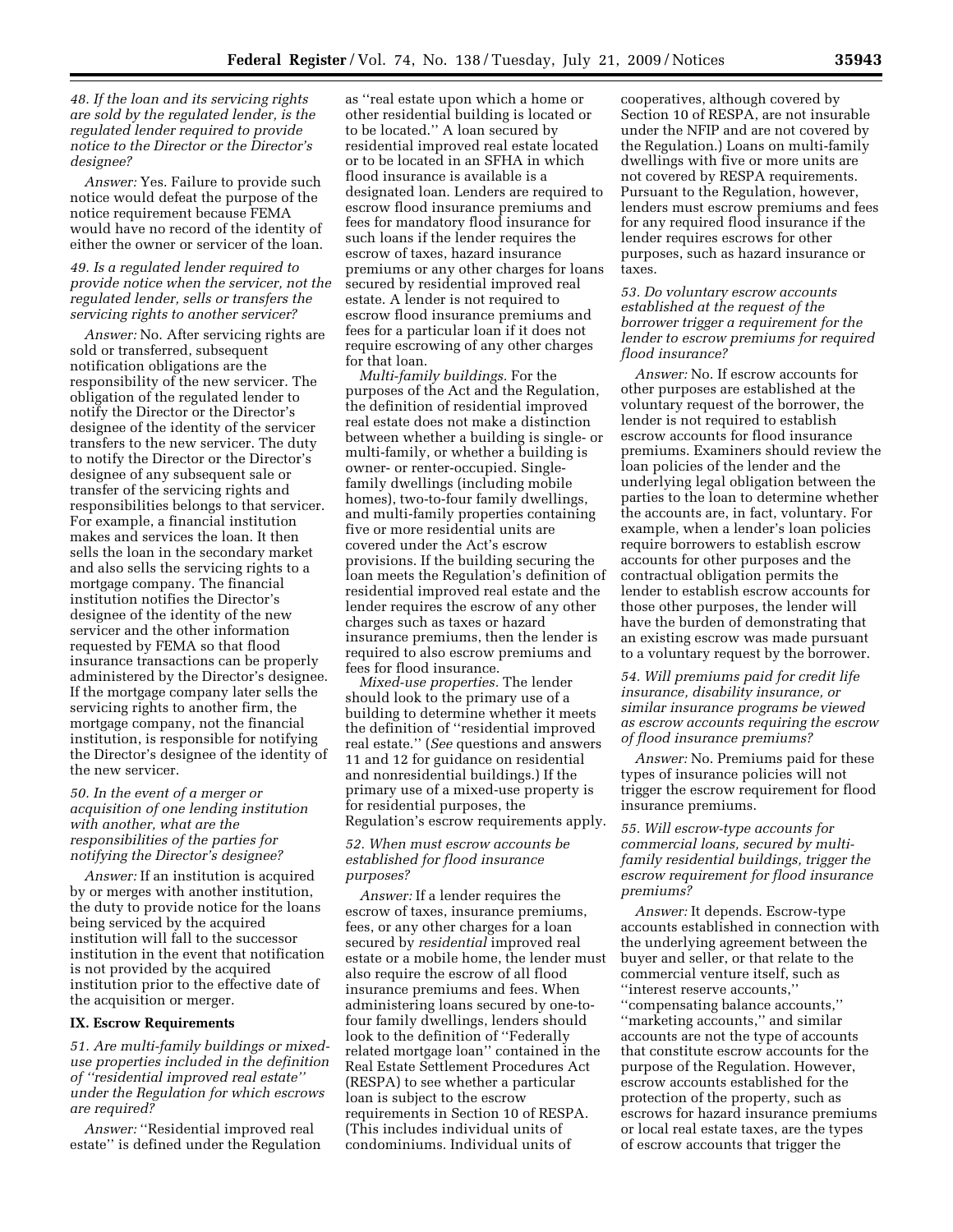*48. If the loan and its servicing rights are sold by the regulated lender, is the regulated lender required to provide notice to the Director or the Director's designee?* 

*Answer:* Yes. Failure to provide such notice would defeat the purpose of the notice requirement because FEMA would have no record of the identity of either the owner or servicer of the loan.

## *49. Is a regulated lender required to provide notice when the servicer, not the regulated lender, sells or transfers the servicing rights to another servicer?*

*Answer:* No. After servicing rights are sold or transferred, subsequent notification obligations are the responsibility of the new servicer. The obligation of the regulated lender to notify the Director or the Director's designee of the identity of the servicer transfers to the new servicer. The duty to notify the Director or the Director's designee of any subsequent sale or transfer of the servicing rights and responsibilities belongs to that servicer. For example, a financial institution makes and services the loan. It then sells the loan in the secondary market and also sells the servicing rights to a mortgage company. The financial institution notifies the Director's designee of the identity of the new servicer and the other information requested by FEMA so that flood insurance transactions can be properly administered by the Director's designee. If the mortgage company later sells the servicing rights to another firm, the mortgage company, not the financial institution, is responsible for notifying the Director's designee of the identity of the new servicer.

# *50. In the event of a merger or acquisition of one lending institution with another, what are the responsibilities of the parties for notifying the Director's designee?*

*Answer:* If an institution is acquired by or merges with another institution, the duty to provide notice for the loans being serviced by the acquired institution will fall to the successor institution in the event that notification is not provided by the acquired institution prior to the effective date of the acquisition or merger.

#### **IX. Escrow Requirements**

*51. Are multi-family buildings or mixeduse properties included in the definition of ''residential improved real estate'' under the Regulation for which escrows are required?* 

*Answer:* "Residential improved real estate'' is defined under the Regulation

as ''real estate upon which a home or other residential building is located or to be located.'' A loan secured by residential improved real estate located or to be located in an SFHA in which flood insurance is available is a designated loan. Lenders are required to escrow flood insurance premiums and fees for mandatory flood insurance for such loans if the lender requires the escrow of taxes, hazard insurance premiums or any other charges for loans secured by residential improved real estate. A lender is not required to escrow flood insurance premiums and fees for a particular loan if it does not require escrowing of any other charges for that loan.

*Multi-family buildings.* For the purposes of the Act and the Regulation, the definition of residential improved real estate does not make a distinction between whether a building is single- or multi-family, or whether a building is owner- or renter-occupied. Singlefamily dwellings (including mobile homes), two-to-four family dwellings, and multi-family properties containing five or more residential units are covered under the Act's escrow provisions. If the building securing the loan meets the Regulation's definition of residential improved real estate and the lender requires the escrow of any other charges such as taxes or hazard insurance premiums, then the lender is required to also escrow premiums and fees for flood insurance.

*Mixed-use properties.* The lender should look to the primary use of a building to determine whether it meets the definition of ''residential improved real estate.'' (*See* questions and answers 11 and 12 for guidance on residential and nonresidential buildings.) If the primary use of a mixed-use property is for residential purposes, the Regulation's escrow requirements apply.

## *52. When must escrow accounts be established for flood insurance purposes?*

*Answer:* If a lender requires the escrow of taxes, insurance premiums, fees, or any other charges for a loan secured by *residential* improved real estate or a mobile home, the lender must also require the escrow of all flood insurance premiums and fees. When administering loans secured by one-tofour family dwellings, lenders should look to the definition of ''Federally related mortgage loan'' contained in the Real Estate Settlement Procedures Act (RESPA) to see whether a particular loan is subject to the escrow requirements in Section 10 of RESPA. (This includes individual units of condominiums. Individual units of

cooperatives, although covered by Section 10 of RESPA, are not insurable under the NFIP and are not covered by the Regulation.) Loans on multi-family dwellings with five or more units are not covered by RESPA requirements. Pursuant to the Regulation, however, lenders must escrow premiums and fees for any required flood insurance if the lender requires escrows for other purposes, such as hazard insurance or taxes.

## *53. Do voluntary escrow accounts established at the request of the borrower trigger a requirement for the lender to escrow premiums for required flood insurance?*

*Answer:* No. If escrow accounts for other purposes are established at the voluntary request of the borrower, the lender is not required to establish escrow accounts for flood insurance premiums. Examiners should review the loan policies of the lender and the underlying legal obligation between the parties to the loan to determine whether the accounts are, in fact, voluntary. For example, when a lender's loan policies require borrowers to establish escrow accounts for other purposes and the contractual obligation permits the lender to establish escrow accounts for those other purposes, the lender will have the burden of demonstrating that an existing escrow was made pursuant to a voluntary request by the borrower.

## *54. Will premiums paid for credit life insurance, disability insurance, or similar insurance programs be viewed as escrow accounts requiring the escrow of flood insurance premiums?*

*Answer:* No. Premiums paid for these types of insurance policies will not trigger the escrow requirement for flood insurance premiums.

# *55. Will escrow-type accounts for commercial loans, secured by multifamily residential buildings, trigger the escrow requirement for flood insurance premiums?*

*Answer:* It depends. Escrow-type accounts established in connection with the underlying agreement between the buyer and seller, or that relate to the commercial venture itself, such as ''interest reserve accounts,'' ''compensating balance accounts,'' ''marketing accounts,'' and similar accounts are not the type of accounts that constitute escrow accounts for the purpose of the Regulation. However, escrow accounts established for the protection of the property, such as escrows for hazard insurance premiums or local real estate taxes, are the types of escrow accounts that trigger the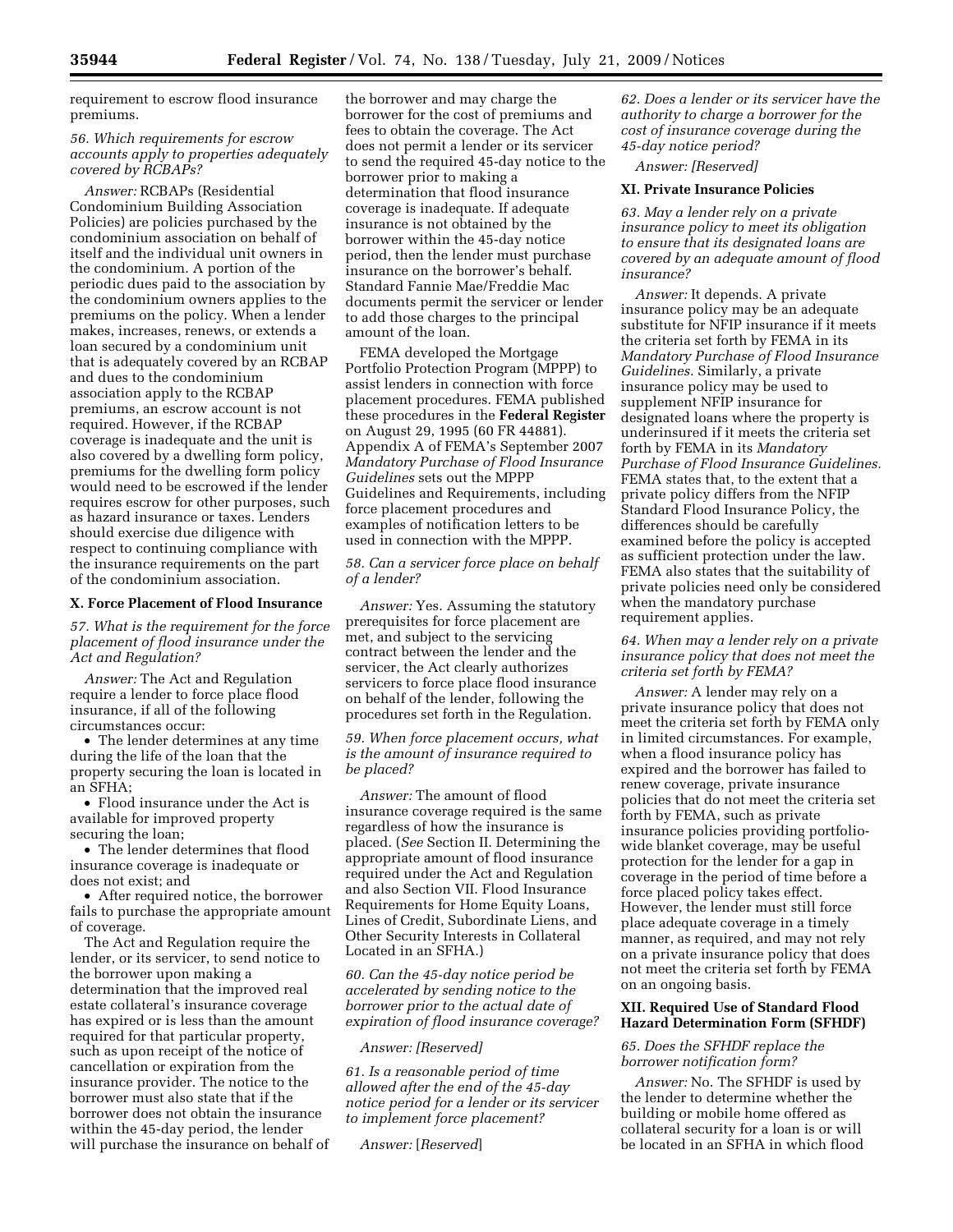requirement to escrow flood insurance premiums.

## *56. Which requirements for escrow accounts apply to properties adequately covered by RCBAPs?*

*Answer:* RCBAPs (Residential Condominium Building Association Policies) are policies purchased by the condominium association on behalf of itself and the individual unit owners in the condominium. A portion of the periodic dues paid to the association by the condominium owners applies to the premiums on the policy. When a lender makes, increases, renews, or extends a loan secured by a condominium unit that is adequately covered by an RCBAP and dues to the condominium association apply to the RCBAP premiums, an escrow account is not required. However, if the RCBAP coverage is inadequate and the unit is also covered by a dwelling form policy, premiums for the dwelling form policy would need to be escrowed if the lender requires escrow for other purposes, such as hazard insurance or taxes. Lenders should exercise due diligence with respect to continuing compliance with the insurance requirements on the part of the condominium association.

# **X. Force Placement of Flood Insurance**

*57. What is the requirement for the force placement of flood insurance under the Act and Regulation?* 

*Answer:* The Act and Regulation require a lender to force place flood insurance, if all of the following circumstances occur:

• The lender determines at any time during the life of the loan that the property securing the loan is located in an SFHA;

• Flood insurance under the Act is available for improved property securing the loan;

• The lender determines that flood insurance coverage is inadequate or does not exist; and

• After required notice, the borrower fails to purchase the appropriate amount of coverage.

The Act and Regulation require the lender, or its servicer, to send notice to the borrower upon making a determination that the improved real estate collateral's insurance coverage has expired or is less than the amount required for that particular property, such as upon receipt of the notice of cancellation or expiration from the insurance provider. The notice to the borrower must also state that if the borrower does not obtain the insurance within the 45-day period, the lender will purchase the insurance on behalf of the borrower and may charge the borrower for the cost of premiums and fees to obtain the coverage. The Act does not permit a lender or its servicer to send the required 45-day notice to the borrower prior to making a determination that flood insurance coverage is inadequate. If adequate insurance is not obtained by the borrower within the 45-day notice period, then the lender must purchase insurance on the borrower's behalf. Standard Fannie Mae/Freddie Mac documents permit the servicer or lender to add those charges to the principal amount of the loan.

FEMA developed the Mortgage Portfolio Protection Program (MPPP) to assist lenders in connection with force placement procedures. FEMA published these procedures in the **Federal Register**  on August 29, 1995 (60 FR 44881). Appendix A of FEMA's September 2007 *Mandatory Purchase of Flood Insurance Guidelines* sets out the MPPP Guidelines and Requirements, including force placement procedures and examples of notification letters to be used in connection with the MPPP.

## *58. Can a servicer force place on behalf of a lender?*

*Answer:* Yes. Assuming the statutory prerequisites for force placement are met, and subject to the servicing contract between the lender and the servicer, the Act clearly authorizes servicers to force place flood insurance on behalf of the lender, following the procedures set forth in the Regulation.

*59. When force placement occurs, what is the amount of insurance required to be placed?* 

*Answer:* The amount of flood insurance coverage required is the same regardless of how the insurance is placed. (*See* Section II. Determining the appropriate amount of flood insurance required under the Act and Regulation and also Section VII. Flood Insurance Requirements for Home Equity Loans, Lines of Credit, Subordinate Liens, and Other Security Interests in Collateral Located in an SFHA.)

*60. Can the 45-day notice period be accelerated by sending notice to the borrower prior to the actual date of expiration of flood insurance coverage?* 

#### *Answer: [Reserved]*

*61. Is a reasonable period of time allowed after the end of the 45-day notice period for a lender or its servicer to implement force placement?* 

*Answer:* [*Reserved*]

*62. Does a lender or its servicer have the authority to charge a borrower for the cost of insurance coverage during the 45-day notice period?* 

*Answer: [Reserved]* 

## **XI. Private Insurance Policies**

*63. May a lender rely on a private insurance policy to meet its obligation to ensure that its designated loans are covered by an adequate amount of flood insurance?* 

*Answer:* It depends. A private insurance policy may be an adequate substitute for NFIP insurance if it meets the criteria set forth by FEMA in its *Mandatory Purchase of Flood Insurance Guidelines.* Similarly, a private insurance policy may be used to supplement NFIP insurance for designated loans where the property is underinsured if it meets the criteria set forth by FEMA in its *Mandatory Purchase of Flood Insurance Guidelines.*  FEMA states that, to the extent that a private policy differs from the NFIP Standard Flood Insurance Policy, the differences should be carefully examined before the policy is accepted as sufficient protection under the law. FEMA also states that the suitability of private policies need only be considered when the mandatory purchase requirement applies.

*64. When may a lender rely on a private insurance policy that does not meet the criteria set forth by FEMA?* 

*Answer:* A lender may rely on a private insurance policy that does not meet the criteria set forth by FEMA only in limited circumstances. For example, when a flood insurance policy has expired and the borrower has failed to renew coverage, private insurance policies that do not meet the criteria set forth by FEMA, such as private insurance policies providing portfoliowide blanket coverage, may be useful protection for the lender for a gap in coverage in the period of time before a force placed policy takes effect. However, the lender must still force place adequate coverage in a timely manner, as required, and may not rely on a private insurance policy that does not meet the criteria set forth by FEMA on an ongoing basis.

## **XII. Required Use of Standard Flood Hazard Determination Form (SFHDF)**

#### *65. Does the SFHDF replace the borrower notification form?*

*Answer:* No. The SFHDF is used by the lender to determine whether the building or mobile home offered as collateral security for a loan is or will be located in an SFHA in which flood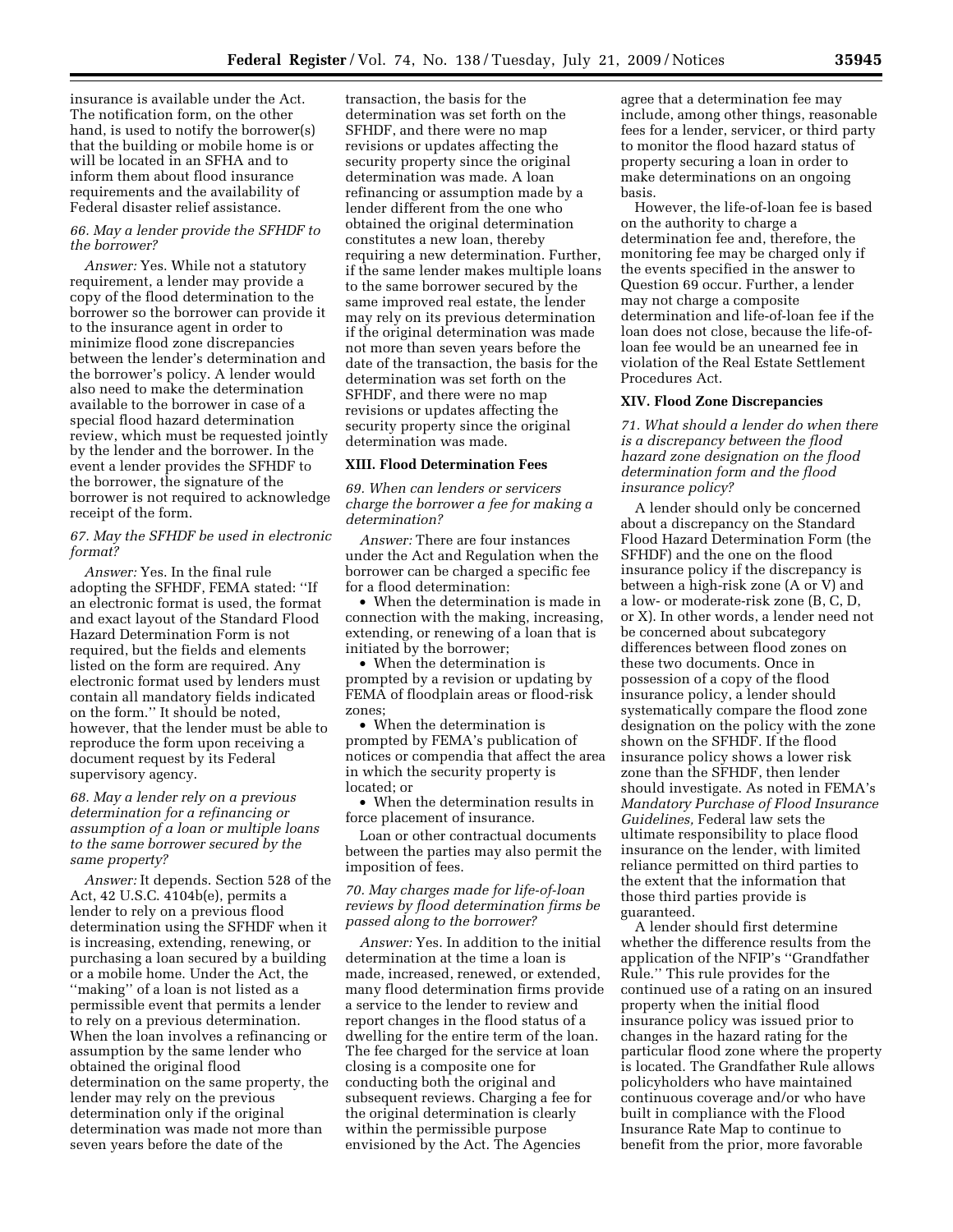insurance is available under the Act. The notification form, on the other hand, is used to notify the borrower(s) that the building or mobile home is or will be located in an SFHA and to inform them about flood insurance requirements and the availability of Federal disaster relief assistance.

# *66. May a lender provide the SFHDF to the borrower?*

*Answer:* Yes. While not a statutory requirement, a lender may provide a copy of the flood determination to the borrower so the borrower can provide it to the insurance agent in order to minimize flood zone discrepancies between the lender's determination and the borrower's policy. A lender would also need to make the determination available to the borrower in case of a special flood hazard determination review, which must be requested jointly by the lender and the borrower. In the event a lender provides the SFHDF to the borrower, the signature of the borrower is not required to acknowledge receipt of the form.

#### *67. May the SFHDF be used in electronic format?*

*Answer:* Yes. In the final rule adopting the SFHDF, FEMA stated: ''If an electronic format is used, the format and exact layout of the Standard Flood Hazard Determination Form is not required, but the fields and elements listed on the form are required. Any electronic format used by lenders must contain all mandatory fields indicated on the form.'' It should be noted, however, that the lender must be able to reproduce the form upon receiving a document request by its Federal supervisory agency.

# *68. May a lender rely on a previous determination for a refinancing or assumption of a loan or multiple loans to the same borrower secured by the same property?*

*Answer:* It depends. Section 528 of the Act, 42 U.S.C. 4104b(e), permits a lender to rely on a previous flood determination using the SFHDF when it is increasing, extending, renewing, or purchasing a loan secured by a building or a mobile home. Under the Act, the ''making'' of a loan is not listed as a permissible event that permits a lender to rely on a previous determination. When the loan involves a refinancing or assumption by the same lender who obtained the original flood determination on the same property, the lender may rely on the previous determination only if the original determination was made not more than seven years before the date of the

transaction, the basis for the determination was set forth on the SFHDF, and there were no map revisions or updates affecting the security property since the original determination was made. A loan refinancing or assumption made by a lender different from the one who obtained the original determination constitutes a new loan, thereby requiring a new determination. Further, if the same lender makes multiple loans to the same borrower secured by the same improved real estate, the lender may rely on its previous determination if the original determination was made not more than seven years before the date of the transaction, the basis for the determination was set forth on the SFHDF, and there were no map revisions or updates affecting the security property since the original determination was made.

#### **XIII. Flood Determination Fees**

*69. When can lenders or servicers charge the borrower a fee for making a determination?* 

*Answer:* There are four instances under the Act and Regulation when the borrower can be charged a specific fee for a flood determination:

• When the determination is made in connection with the making, increasing, extending, or renewing of a loan that is initiated by the borrower;

• When the determination is prompted by a revision or updating by FEMA of floodplain areas or flood-risk zones;

• When the determination is prompted by FEMA's publication of notices or compendia that affect the area in which the security property is located; or

• When the determination results in force placement of insurance.

Loan or other contractual documents between the parties may also permit the imposition of fees.

# *70. May charges made for life-of-loan reviews by flood determination firms be passed along to the borrower?*

*Answer:* Yes. In addition to the initial determination at the time a loan is made, increased, renewed, or extended, many flood determination firms provide a service to the lender to review and report changes in the flood status of a dwelling for the entire term of the loan. The fee charged for the service at loan closing is a composite one for conducting both the original and subsequent reviews. Charging a fee for the original determination is clearly within the permissible purpose envisioned by the Act. The Agencies

agree that a determination fee may include, among other things, reasonable fees for a lender, servicer, or third party to monitor the flood hazard status of property securing a loan in order to make determinations on an ongoing basis.

However, the life-of-loan fee is based on the authority to charge a determination fee and, therefore, the monitoring fee may be charged only if the events specified in the answer to Question 69 occur. Further, a lender may not charge a composite determination and life-of-loan fee if the loan does not close, because the life-ofloan fee would be an unearned fee in violation of the Real Estate Settlement Procedures Act.

#### **XIV. Flood Zone Discrepancies**

*71. What should a lender do when there is a discrepancy between the flood hazard zone designation on the flood determination form and the flood insurance policy?* 

A lender should only be concerned about a discrepancy on the Standard Flood Hazard Determination Form (the SFHDF) and the one on the flood insurance policy if the discrepancy is between a high-risk zone (A or V) and a low- or moderate-risk zone (B, C, D, or X). In other words, a lender need not be concerned about subcategory differences between flood zones on these two documents. Once in possession of a copy of the flood insurance policy, a lender should systematically compare the flood zone designation on the policy with the zone shown on the SFHDF. If the flood insurance policy shows a lower risk zone than the SFHDF, then lender should investigate. As noted in FEMA's *Mandatory Purchase of Flood Insurance Guidelines,* Federal law sets the ultimate responsibility to place flood insurance on the lender, with limited reliance permitted on third parties to the extent that the information that those third parties provide is guaranteed.

A lender should first determine whether the difference results from the application of the NFIP's ''Grandfather Rule.'' This rule provides for the continued use of a rating on an insured property when the initial flood insurance policy was issued prior to changes in the hazard rating for the particular flood zone where the property is located. The Grandfather Rule allows policyholders who have maintained continuous coverage and/or who have built in compliance with the Flood Insurance Rate Map to continue to benefit from the prior, more favorable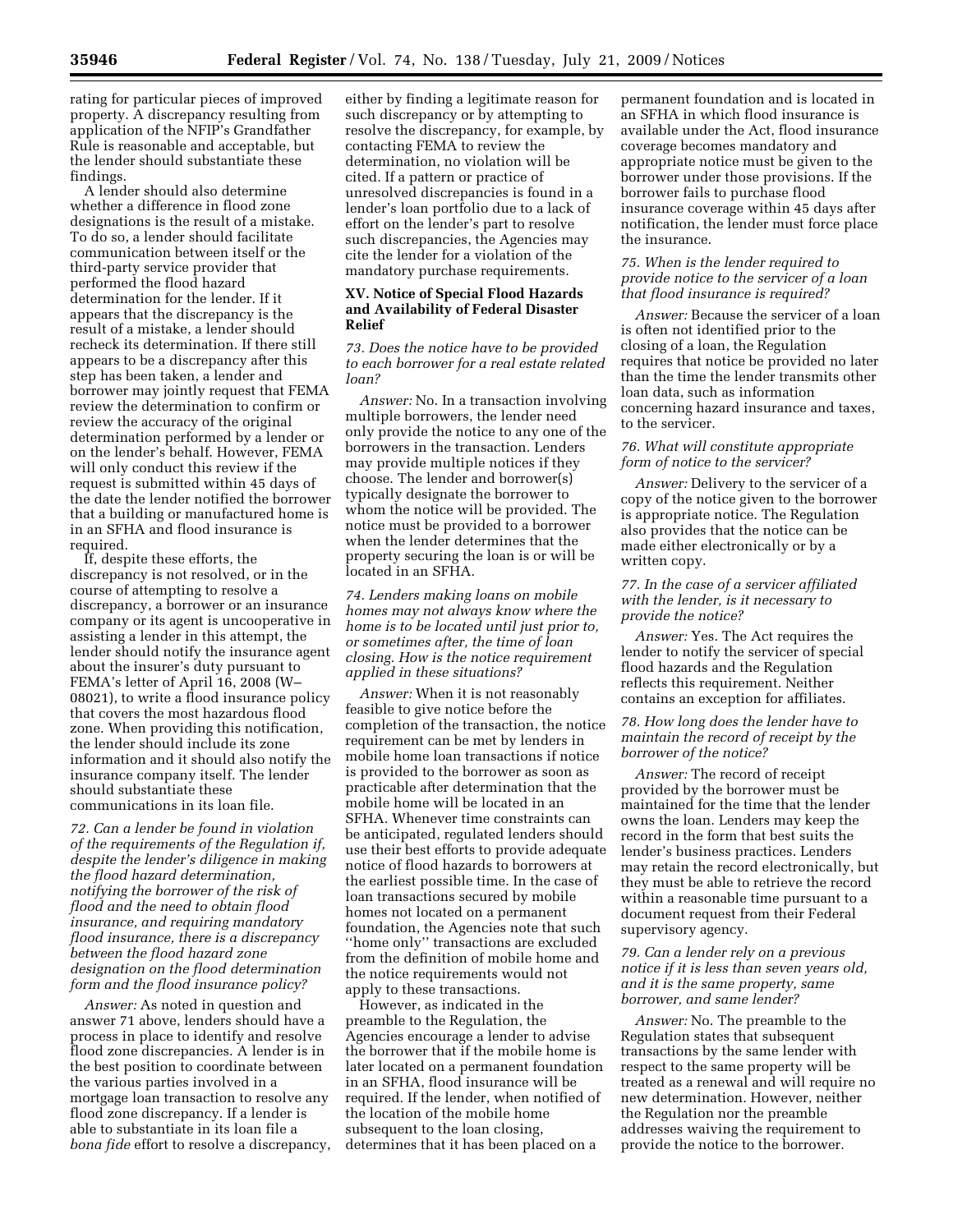rating for particular pieces of improved property. A discrepancy resulting from application of the NFIP's Grandfather Rule is reasonable and acceptable, but the lender should substantiate these findings.

A lender should also determine whether a difference in flood zone designations is the result of a mistake. To do so, a lender should facilitate communication between itself or the third-party service provider that performed the flood hazard determination for the lender. If it appears that the discrepancy is the result of a mistake, a lender should recheck its determination. If there still appears to be a discrepancy after this step has been taken, a lender and borrower may jointly request that FEMA review the determination to confirm or review the accuracy of the original determination performed by a lender or on the lender's behalf. However, FEMA will only conduct this review if the request is submitted within 45 days of the date the lender notified the borrower that a building or manufactured home is in an SFHA and flood insurance is required.

If, despite these efforts, the discrepancy is not resolved, or in the course of attempting to resolve a discrepancy, a borrower or an insurance company or its agent is uncooperative in assisting a lender in this attempt, the lender should notify the insurance agent about the insurer's duty pursuant to FEMA's letter of April 16, 2008 (W– 08021), to write a flood insurance policy that covers the most hazardous flood zone. When providing this notification, the lender should include its zone information and it should also notify the insurance company itself. The lender should substantiate these communications in its loan file.

*72. Can a lender be found in violation of the requirements of the Regulation if, despite the lender's diligence in making the flood hazard determination, notifying the borrower of the risk of flood and the need to obtain flood insurance, and requiring mandatory flood insurance, there is a discrepancy between the flood hazard zone designation on the flood determination form and the flood insurance policy?* 

*Answer:* As noted in question and answer 71 above, lenders should have a process in place to identify and resolve flood zone discrepancies. A lender is in the best position to coordinate between the various parties involved in a mortgage loan transaction to resolve any flood zone discrepancy. If a lender is able to substantiate in its loan file a *bona fide* effort to resolve a discrepancy,

either by finding a legitimate reason for such discrepancy or by attempting to resolve the discrepancy, for example, by contacting FEMA to review the determination, no violation will be cited. If a pattern or practice of unresolved discrepancies is found in a lender's loan portfolio due to a lack of effort on the lender's part to resolve such discrepancies, the Agencies may cite the lender for a violation of the mandatory purchase requirements.

## **XV. Notice of Special Flood Hazards and Availability of Federal Disaster Relief**

*73. Does the notice have to be provided to each borrower for a real estate related loan?* 

*Answer:* No. In a transaction involving multiple borrowers, the lender need only provide the notice to any one of the borrowers in the transaction. Lenders may provide multiple notices if they choose. The lender and borrower(s) typically designate the borrower to whom the notice will be provided. The notice must be provided to a borrower when the lender determines that the property securing the loan is or will be located in an SFHA.

*74. Lenders making loans on mobile homes may not always know where the home is to be located until just prior to, or sometimes after, the time of loan closing. How is the notice requirement applied in these situations?* 

*Answer:* When it is not reasonably feasible to give notice before the completion of the transaction, the notice requirement can be met by lenders in mobile home loan transactions if notice is provided to the borrower as soon as practicable after determination that the mobile home will be located in an SFHA. Whenever time constraints can be anticipated, regulated lenders should use their best efforts to provide adequate notice of flood hazards to borrowers at the earliest possible time. In the case of loan transactions secured by mobile homes not located on a permanent foundation, the Agencies note that such ''home only'' transactions are excluded from the definition of mobile home and the notice requirements would not apply to these transactions.

However, as indicated in the preamble to the Regulation, the Agencies encourage a lender to advise the borrower that if the mobile home is later located on a permanent foundation in an SFHA, flood insurance will be required. If the lender, when notified of the location of the mobile home subsequent to the loan closing, determines that it has been placed on a

permanent foundation and is located in an SFHA in which flood insurance is available under the Act, flood insurance coverage becomes mandatory and appropriate notice must be given to the borrower under those provisions. If the borrower fails to purchase flood insurance coverage within 45 days after notification, the lender must force place the insurance.

## *75. When is the lender required to provide notice to the servicer of a loan that flood insurance is required?*

*Answer:* Because the servicer of a loan is often not identified prior to the closing of a loan, the Regulation requires that notice be provided no later than the time the lender transmits other loan data, such as information concerning hazard insurance and taxes, to the servicer.

## *76. What will constitute appropriate form of notice to the servicer?*

*Answer:* Delivery to the servicer of a copy of the notice given to the borrower is appropriate notice. The Regulation also provides that the notice can be made either electronically or by a written copy.

## *77. In the case of a servicer affiliated with the lender, is it necessary to provide the notice?*

*Answer:* Yes. The Act requires the lender to notify the servicer of special flood hazards and the Regulation reflects this requirement. Neither contains an exception for affiliates.

# *78. How long does the lender have to maintain the record of receipt by the borrower of the notice?*

*Answer:* The record of receipt provided by the borrower must be maintained for the time that the lender owns the loan. Lenders may keep the record in the form that best suits the lender's business practices. Lenders may retain the record electronically, but they must be able to retrieve the record within a reasonable time pursuant to a document request from their Federal supervisory agency.

## *79. Can a lender rely on a previous notice if it is less than seven years old, and it is the same property, same borrower, and same lender?*

*Answer:* No. The preamble to the Regulation states that subsequent transactions by the same lender with respect to the same property will be treated as a renewal and will require no new determination. However, neither the Regulation nor the preamble addresses waiving the requirement to provide the notice to the borrower.